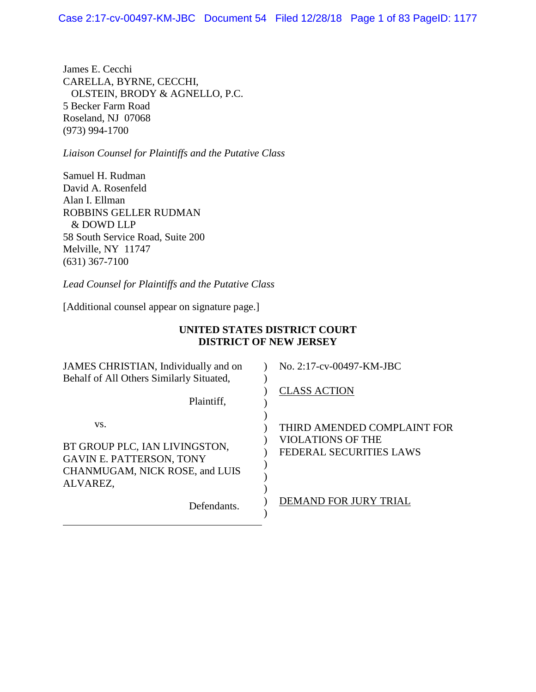James E. Cecchi CARELLA, BYRNE, CECCHI, OLSTEIN, BRODY & AGNELLO, P.C. 5 Becker Farm Road Roseland, NJ 07068 (973) 994-1700

*Liaison Counsel for Plaintiffs and the Putative Class*

Samuel H. Rudman David A. Rosenfeld Alan I. Ellman ROBBINS GELLER RUDMAN & DOWD LLP 58 South Service Road, Suite 200 Melville, NY 11747 (631) 367-7100

*Lead Counsel for Plaintiffs and the Putative Class*

[Additional counsel appear on signature page.]

# **UNITED STATES DISTRICT COURT DISTRICT OF NEW JERSEY**

| JAMES CHRISTIAN, Individually and on<br>Behalf of All Others Similarly Situated,                                      |                     | No. 2:17-cv-00497-KM-JBC                                      |
|-----------------------------------------------------------------------------------------------------------------------|---------------------|---------------------------------------------------------------|
| Plaintiff,                                                                                                            | <b>CLASS ACTION</b> |                                                               |
| VS.<br>BT GROUP PLC, IAN LIVINGSTON,<br><b>GAVIN E. PATTERSON, TONY</b><br>CHANMUGAM, NICK ROSE, and LUIS<br>ALVAREZ, | VIOLATIONS OF THE   | THIRD AMENDED COMPLAINT FOR<br><b>FEDERAL SECURITIES LAWS</b> |
| Defendants.                                                                                                           |                     | <b>DEMAND FOR JURY TRIAL</b>                                  |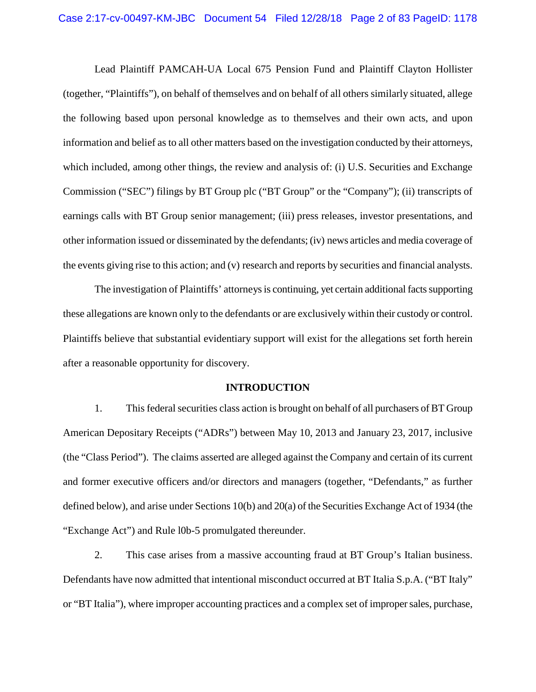Lead Plaintiff PAMCAH-UA Local 675 Pension Fund and Plaintiff Clayton Hollister (together, "Plaintiffs"), on behalf of themselves and on behalf of all others similarly situated, allege the following based upon personal knowledge as to themselves and their own acts, and upon information and belief as to all other matters based on the investigation conducted by their attorneys, which included, among other things, the review and analysis of: (i) U.S. Securities and Exchange Commission ("SEC") filings by BT Group plc ("BT Group" or the "Company"); (ii) transcripts of earnings calls with BT Group senior management; (iii) press releases, investor presentations, and other information issued or disseminated by the defendants; (iv) news articles and media coverage of the events giving rise to this action; and (v) research and reports by securities and financial analysts.

The investigation of Plaintiffs' attorneys is continuing, yet certain additional facts supporting these allegations are known only to the defendants or are exclusively within their custody or control. Plaintiffs believe that substantial evidentiary support will exist for the allegations set forth herein after a reasonable opportunity for discovery.

#### **INTRODUCTION**

1. This federal securities class action is brought on behalf of all purchasers of BT Group American Depositary Receipts ("ADRs") between May 10, 2013 and January 23, 2017, inclusive (the "Class Period"). The claims asserted are alleged against the Company and certain of its current and former executive officers and/or directors and managers (together, "Defendants," as further defined below), and arise under Sections 10(b) and 20(a) of the Securities Exchange Act of 1934 (the "Exchange Act") and Rule l0b-5 promulgated thereunder.

2. This case arises from a massive accounting fraud at BT Group's Italian business. Defendants have now admitted that intentional misconduct occurred at BT Italia S.p.A. ("BT Italy" or "BT Italia"), where improper accounting practices and a complex set of improper sales, purchase,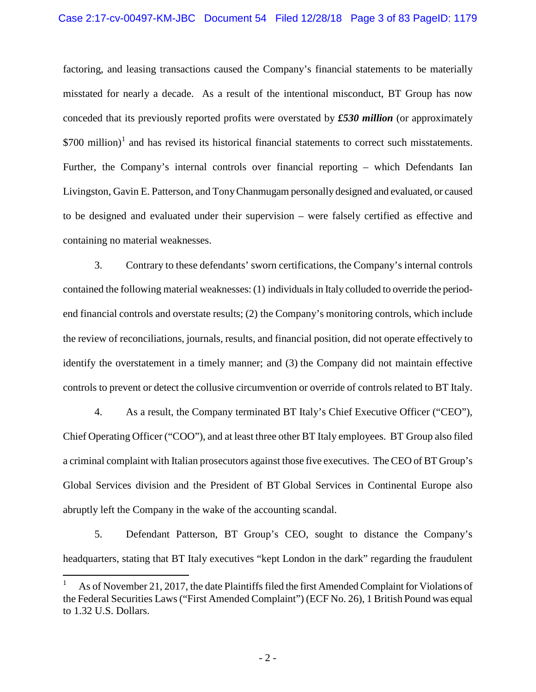### Case 2:17-cv-00497-KM-JBC Document 54 Filed 12/28/18 Page 3 of 83 PageID: 1179

factoring, and leasing transactions caused the Company's financial statements to be materially misstated for nearly a decade. As a result of the intentional misconduct, BT Group has now conceded that its previously reported profits were overstated by *£530 million* (or approximately  $$700$  million)<sup>[1](#page-2-0)</sup> and has revised its historical financial statements to correct such misstatements. Further, the Company's internal controls over financial reporting – which Defendants Ian Livingston, Gavin E. Patterson, and Tony Chanmugam personally designed and evaluated, or caused to be designed and evaluated under their supervision – were falsely certified as effective and containing no material weaknesses.

3. Contrary to these defendants' sworn certifications, the Company's internal controls contained the following material weaknesses: (1) individuals in Italy colluded to override the periodend financial controls and overstate results; (2) the Company's monitoring controls, which include the review of reconciliations, journals, results, and financial position, did not operate effectively to identify the overstatement in a timely manner; and (3) the Company did not maintain effective controls to prevent or detect the collusive circumvention or override of controls related to BT Italy.

4. As a result, the Company terminated BT Italy's Chief Executive Officer ("CEO"), Chief Operating Officer ("COO"), and at least three other BT Italy employees. BT Group also filed a criminal complaint with Italian prosecutors against those five executives. The CEO of BT Group's Global Services division and the President of BT Global Services in Continental Europe also abruptly left the Company in the wake of the accounting scandal.

5. Defendant Patterson, BT Group's CEO, sought to distance the Company's headquarters, stating that BT Italy executives "kept London in the dark" regarding the fraudulent

<span id="page-2-0"></span>As of November 21, 2017, the date Plaintiffs filed the first Amended Complaint for Violations of the Federal Securities Laws ("First Amended Complaint") (ECF No. 26), 1 British Pound was equal to 1.32 U.S. Dollars.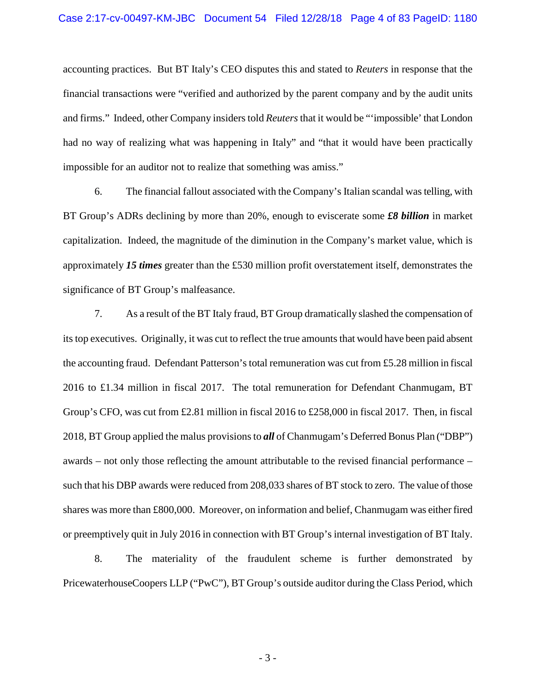accounting practices. But BT Italy's CEO disputes this and stated to *Reuters* in response that the financial transactions were "verified and authorized by the parent company and by the audit units and firms." Indeed, other Company insiders told *Reuters*that it would be "'impossible' that London had no way of realizing what was happening in Italy" and "that it would have been practically impossible for an auditor not to realize that something was amiss."

6. The financial fallout associated with the Company's Italian scandal was telling, with BT Group's ADRs declining by more than 20%, enough to eviscerate some *£8 billion* in market capitalization. Indeed, the magnitude of the diminution in the Company's market value, which is approximately *15 times* greater than the £530 million profit overstatement itself, demonstrates the significance of BT Group's malfeasance.

7. As a result of the BT Italy fraud, BT Group dramatically slashed the compensation of its top executives. Originally, it was cut to reflect the true amounts that would have been paid absent the accounting fraud. Defendant Patterson's total remuneration was cut from £5.28 million in fiscal 2016 to £1.34 million in fiscal 2017. The total remuneration for Defendant Chanmugam, BT Group's CFO, was cut from £2.81 million in fiscal 2016 to £258,000 in fiscal 2017. Then, in fiscal 2018, BT Group applied the malus provisions to *all* of Chanmugam's Deferred Bonus Plan ("DBP") awards – not only those reflecting the amount attributable to the revised financial performance – such that his DBP awards were reduced from 208,033 shares of BT stock to zero. The value of those shares was more than £800,000. Moreover, on information and belief, Chanmugam was either fired or preemptively quit in July 2016 in connection with BT Group's internal investigation of BT Italy.

8. The materiality of the fraudulent scheme is further demonstrated by PricewaterhouseCoopers LLP ("PwC"), BT Group's outside auditor during the Class Period, which

- 3 -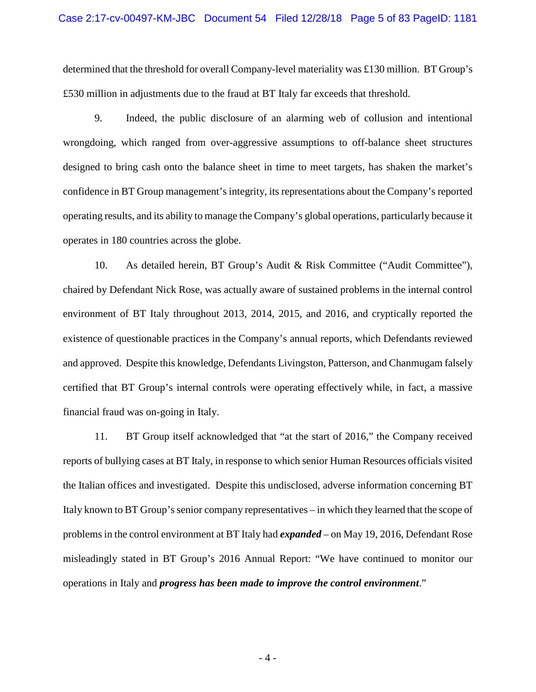#### Case 2:17-cv-00497-KM-JBC Document 54 Filed 12/28/18 Page 5 of 83 PageID: 1181

determined that the threshold for overall Company-level materiality was £130 million. BT Group's £530 million in adjustments due to the fraud at BT Italy far exceeds that threshold.

9. Indeed, the public disclosure of an alarming web of collusion and intentional wrongdoing, which ranged from over-aggressive assumptions to off-balance sheet structures designed to bring cash onto the balance sheet in time to meet targets, has shaken the market's confidence in BT Group management's integrity, its representations about the Company's reported operating results, and its ability to manage the Company's global operations, particularly because it operates in 180 countries across the globe.

10. As detailed herein, BT Group's Audit & Risk Committee ("Audit Committee"), chaired by Defendant Nick Rose, was actually aware of sustained problems in the internal control environment of BT Italy throughout 2013, 2014, 2015, and 2016, and cryptically reported the existence of questionable practices in the Company's annual reports, which Defendants reviewed and approved. Despite this knowledge, Defendants Livingston, Patterson, and Chanmugam falsely certified that BT Group's internal controls were operating effectively while, in fact, a massive financial fraud was on-going in Italy.

11. BT Group itself acknowledged that "at the start of 2016," the Company received reports of bullying cases at BT Italy, in response to which senior Human Resources officials visited the Italian offices and investigated. Despite this undisclosed, adverse information concerning BT Italy known to BT Group's senior company representatives – in which they learned that the scope of problems in the control environment at BT Italy had *expanded* – on May 19, 2016, Defendant Rose misleadingly stated in BT Group's 2016 Annual Report: "We have continued to monitor our operations in Italy and *progress has been made to improve the control environment*."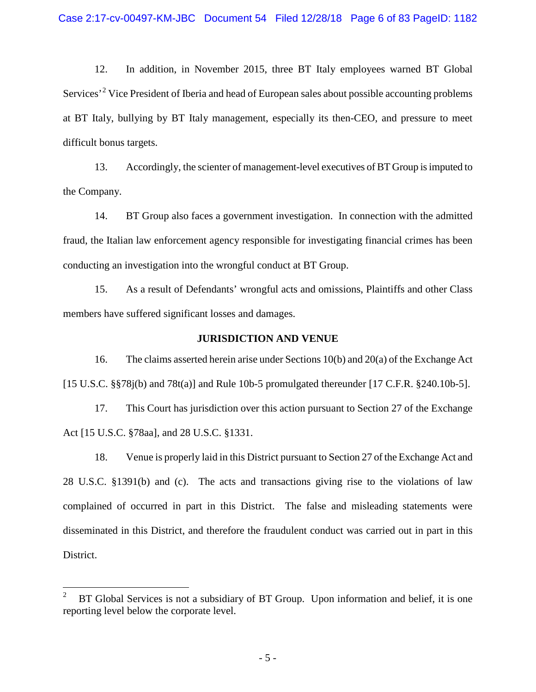12. In addition, in November 2015, three BT Italy employees warned BT Global Services<sup>[2](#page-5-0)</sup> Vice President of Iberia and head of European sales about possible accounting problems at BT Italy, bullying by BT Italy management, especially its then-CEO, and pressure to meet difficult bonus targets.

13. Accordingly, the scienter of management-level executives of BT Group is imputed to the Company.

14. BT Group also faces a government investigation. In connection with the admitted fraud, the Italian law enforcement agency responsible for investigating financial crimes has been conducting an investigation into the wrongful conduct at BT Group.

15. As a result of Defendants' wrongful acts and omissions, Plaintiffs and other Class members have suffered significant losses and damages.

## **JURISDICTION AND VENUE**

16. The claims asserted herein arise under Sections 10(b) and 20(a) of the Exchange Act [15 U.S.C. §§78j(b) and 78t(a)] and Rule 10b-5 promulgated thereunder [17 C.F.R. §240.10b-5].

17. This Court has jurisdiction over this action pursuant to Section 27 of the Exchange Act [15 U.S.C. §78aa], and 28 U.S.C. §1331.

18. Venue is properly laid in this District pursuant to Section 27 of the Exchange Act and 28 U.S.C. §1391(b) and (c). The acts and transactions giving rise to the violations of law complained of occurred in part in this District. The false and misleading statements were disseminated in this District, and therefore the fraudulent conduct was carried out in part in this District.

<span id="page-5-0"></span> <sup>2</sup> BT Global Services is not a subsidiary of BT Group. Upon information and belief, it is one reporting level below the corporate level.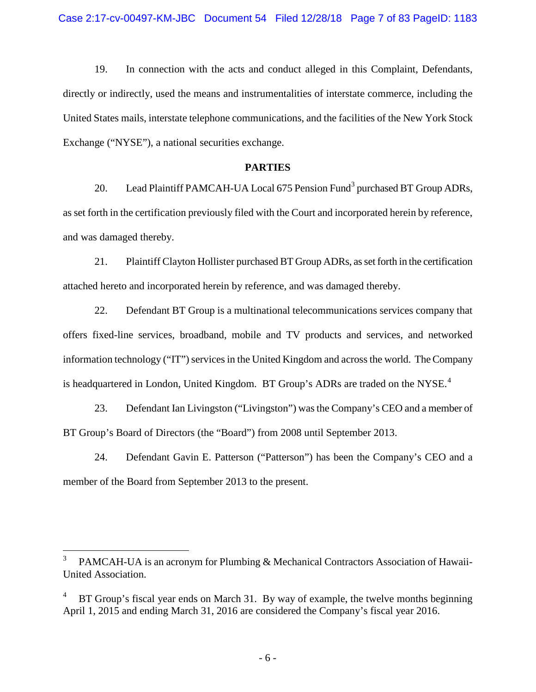19. In connection with the acts and conduct alleged in this Complaint, Defendants, directly or indirectly, used the means and instrumentalities of interstate commerce, including the United States mails, interstate telephone communications, and the facilities of the New York Stock Exchange ("NYSE"), a national securities exchange.

### **PARTIES**

20. Lead Plaintiff PAMCAH-UA Local 675 Pension Fund<sup>[3](#page-6-0)</sup> purchased BT Group ADRs, as set forth in the certification previously filed with the Court and incorporated herein by reference, and was damaged thereby.

21. Plaintiff Clayton Hollister purchased BT Group ADRs, as set forth in the certification attached hereto and incorporated herein by reference, and was damaged thereby.

22. Defendant BT Group is a multinational telecommunications services company that offers fixed-line services, broadband, mobile and TV products and services, and networked information technology ("IT") services in the United Kingdom and across the world. The Company is headquartered in London, United Kingdom. BT Group's ADRs are traded on the NYSE.<sup>[4](#page-6-1)</sup>

23. Defendant Ian Livingston ("Livingston") was the Company's CEO and a member of BT Group's Board of Directors (the "Board") from 2008 until September 2013.

24. Defendant Gavin E. Patterson ("Patterson") has been the Company's CEO and a member of the Board from September 2013 to the present.

<span id="page-6-0"></span>PAMCAH-UA is an acronym for Plumbing & Mechanical Contractors Association of Hawaii-United Association.

<span id="page-6-1"></span>BT Group's fiscal year ends on March 31. By way of example, the twelve months beginning April 1, 2015 and ending March 31, 2016 are considered the Company's fiscal year 2016.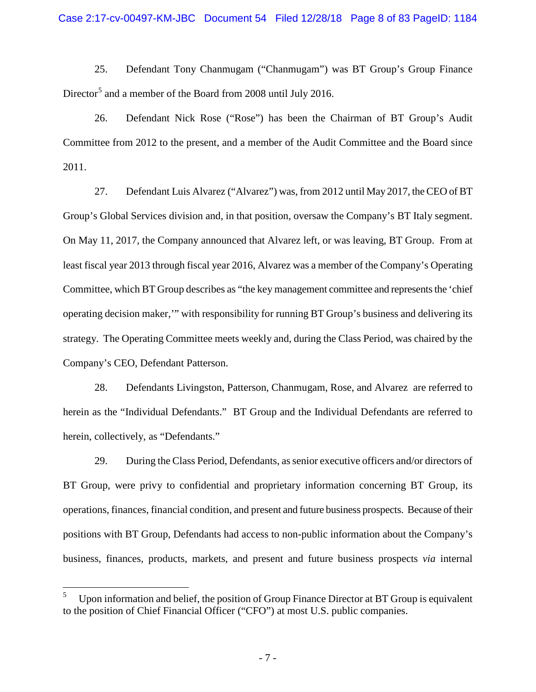25. Defendant Tony Chanmugam ("Chanmugam") was BT Group's Group Finance Director<sup>[5](#page-7-0)</sup> and a member of the Board from 2008 until July 2016.

26. Defendant Nick Rose ("Rose") has been the Chairman of BT Group's Audit Committee from 2012 to the present, and a member of the Audit Committee and the Board since 2011.

27. Defendant Luis Alvarez ("Alvarez") was, from 2012 until May 2017, the CEO of BT Group's Global Services division and, in that position, oversaw the Company's BT Italy segment. On May 11, 2017, the Company announced that Alvarez left, or was leaving, BT Group. From at least fiscal year 2013 through fiscal year 2016, Alvarez was a member of the Company's Operating Committee, which BT Group describes as "the key management committee and represents the 'chief operating decision maker,'" with responsibility for running BT Group's business and delivering its strategy. The Operating Committee meets weekly and, during the Class Period, was chaired by the Company's CEO, Defendant Patterson.

28. Defendants Livingston, Patterson, Chanmugam, Rose, and Alvarez are referred to herein as the "Individual Defendants." BT Group and the Individual Defendants are referred to herein, collectively, as "Defendants."

29. During the Class Period, Defendants, as senior executive officers and/or directors of BT Group, were privy to confidential and proprietary information concerning BT Group, its operations, finances, financial condition, and present and future business prospects. Because of their positions with BT Group, Defendants had access to non-public information about the Company's business, finances, products, markets, and present and future business prospects *via* internal

<span id="page-7-0"></span>Upon information and belief, the position of Group Finance Director at BT Group is equivalent to the position of Chief Financial Officer ("CFO") at most U.S. public companies.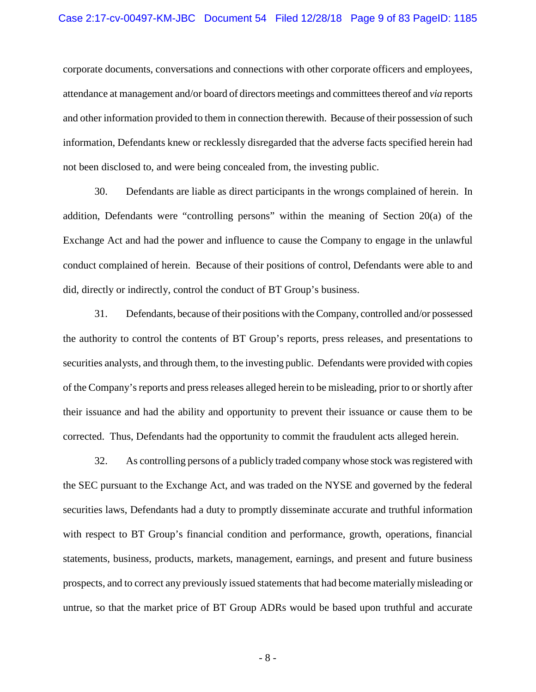#### Case 2:17-cv-00497-KM-JBC Document 54 Filed 12/28/18 Page 9 of 83 PageID: 1185

corporate documents, conversations and connections with other corporate officers and employees, attendance at management and/or board of directors meetings and committees thereof and *via* reports and other information provided to them in connection therewith. Because of their possession of such information, Defendants knew or recklessly disregarded that the adverse facts specified herein had not been disclosed to, and were being concealed from, the investing public.

30. Defendants are liable as direct participants in the wrongs complained of herein. In addition, Defendants were "controlling persons" within the meaning of Section 20(a) of the Exchange Act and had the power and influence to cause the Company to engage in the unlawful conduct complained of herein. Because of their positions of control, Defendants were able to and did, directly or indirectly, control the conduct of BT Group's business.

31. Defendants, because of their positions with the Company, controlled and/or possessed the authority to control the contents of BT Group's reports, press releases, and presentations to securities analysts, and through them, to the investing public. Defendants were provided with copies of the Company's reports and press releases alleged herein to be misleading, prior to or shortly after their issuance and had the ability and opportunity to prevent their issuance or cause them to be corrected. Thus, Defendants had the opportunity to commit the fraudulent acts alleged herein.

32. As controlling persons of a publicly traded company whose stock was registered with the SEC pursuant to the Exchange Act, and was traded on the NYSE and governed by the federal securities laws, Defendants had a duty to promptly disseminate accurate and truthful information with respect to BT Group's financial condition and performance, growth, operations, financial statements, business, products, markets, management, earnings, and present and future business prospects, and to correct any previously issued statements that had become materially misleading or untrue, so that the market price of BT Group ADRs would be based upon truthful and accurate

- 8 -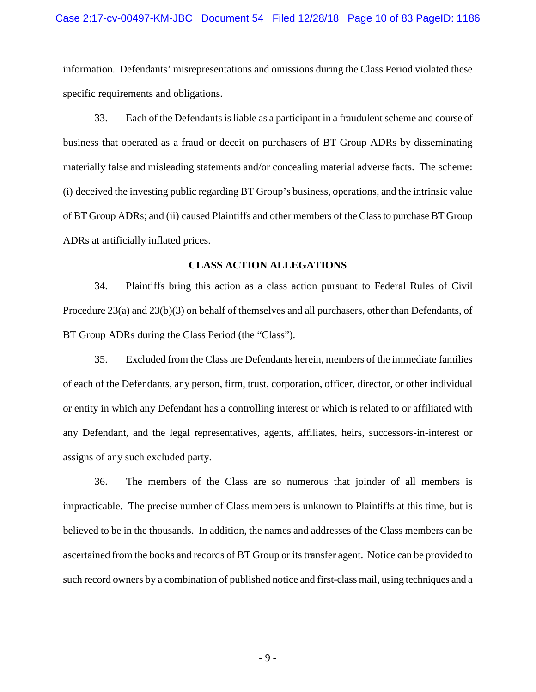#### Case 2:17-cv-00497-KM-JBC Document 54 Filed 12/28/18 Page 10 of 83 PageID: 1186

information. Defendants' misrepresentations and omissions during the Class Period violated these specific requirements and obligations.

33. Each of the Defendants is liable as a participant in a fraudulent scheme and course of business that operated as a fraud or deceit on purchasers of BT Group ADRs by disseminating materially false and misleading statements and/or concealing material adverse facts. The scheme: (i) deceived the investing public regarding BT Group's business, operations, and the intrinsic value of BT Group ADRs; and (ii) caused Plaintiffs and other members of the Class to purchase BT Group ADRs at artificially inflated prices.

#### **CLASS ACTION ALLEGATIONS**

34. Plaintiffs bring this action as a class action pursuant to Federal Rules of Civil Procedure 23(a) and 23(b)(3) on behalf of themselves and all purchasers, other than Defendants, of BT Group ADRs during the Class Period (the "Class").

35. Excluded from the Class are Defendants herein, members of the immediate families of each of the Defendants, any person, firm, trust, corporation, officer, director, or other individual or entity in which any Defendant has a controlling interest or which is related to or affiliated with any Defendant, and the legal representatives, agents, affiliates, heirs, successors-in-interest or assigns of any such excluded party.

36. The members of the Class are so numerous that joinder of all members is impracticable. The precise number of Class members is unknown to Plaintiffs at this time, but is believed to be in the thousands. In addition, the names and addresses of the Class members can be ascertained from the books and records of BT Group or its transfer agent. Notice can be provided to such record owners by a combination of published notice and first-class mail, using techniques and a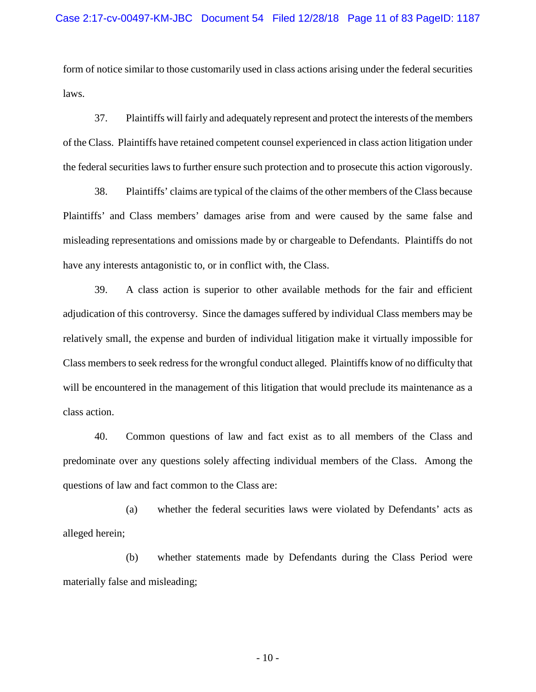form of notice similar to those customarily used in class actions arising under the federal securities laws.

37. Plaintiffs will fairly and adequately represent and protect the interests of the members of the Class. Plaintiffs have retained competent counsel experienced in class action litigation under the federal securities laws to further ensure such protection and to prosecute this action vigorously.

38. Plaintiffs' claims are typical of the claims of the other members of the Class because Plaintiffs' and Class members' damages arise from and were caused by the same false and misleading representations and omissions made by or chargeable to Defendants. Plaintiffs do not have any interests antagonistic to, or in conflict with, the Class.

39. A class action is superior to other available methods for the fair and efficient adjudication of this controversy. Since the damages suffered by individual Class members may be relatively small, the expense and burden of individual litigation make it virtually impossible for Class members to seek redress for the wrongful conduct alleged. Plaintiffs know of no difficulty that will be encountered in the management of this litigation that would preclude its maintenance as a class action.

40. Common questions of law and fact exist as to all members of the Class and predominate over any questions solely affecting individual members of the Class. Among the questions of law and fact common to the Class are:

(a) whether the federal securities laws were violated by Defendants' acts as alleged herein;

(b) whether statements made by Defendants during the Class Period were materially false and misleading;

- 10 -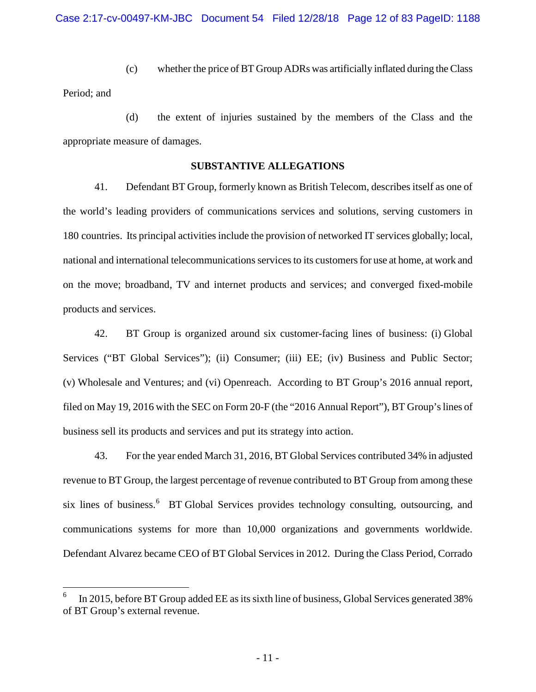(c) whether the price of BT Group ADRs was artificially inflated during the Class Period; and

(d) the extent of injuries sustained by the members of the Class and the appropriate measure of damages.

# **SUBSTANTIVE ALLEGATIONS**

41. Defendant BT Group, formerly known as British Telecom, describes itself as one of the world's leading providers of communications services and solutions, serving customers in 180 countries. Its principal activities include the provision of networked IT services globally; local, national and international telecommunications services to its customers for use at home, at work and on the move; broadband, TV and internet products and services; and converged fixed-mobile products and services.

42. BT Group is organized around six customer-facing lines of business: (i) Global Services ("BT Global Services"); (ii) Consumer; (iii) EE; (iv) Business and Public Sector; (v) Wholesale and Ventures; and (vi) Openreach. According to BT Group's 2016 annual report, filed on May 19, 2016 with the SEC on Form 20-F (the "2016 Annual Report"), BT Group's lines of business sell its products and services and put its strategy into action.

43. For the year ended March 31, 2016, BT Global Services contributed 34% in adjusted revenue to BT Group, the largest percentage of revenue contributed to BT Group from among these six lines of business.<sup>[6](#page-11-0)</sup> BT Global Services provides technology consulting, outsourcing, and communications systems for more than 10,000 organizations and governments worldwide. Defendant Alvarez became CEO of BT Global Services in 2012. During the Class Period, Corrado

<span id="page-11-0"></span>In 2015, before BT Group added EE as its sixth line of business, Global Services generated 38% of BT Group's external revenue.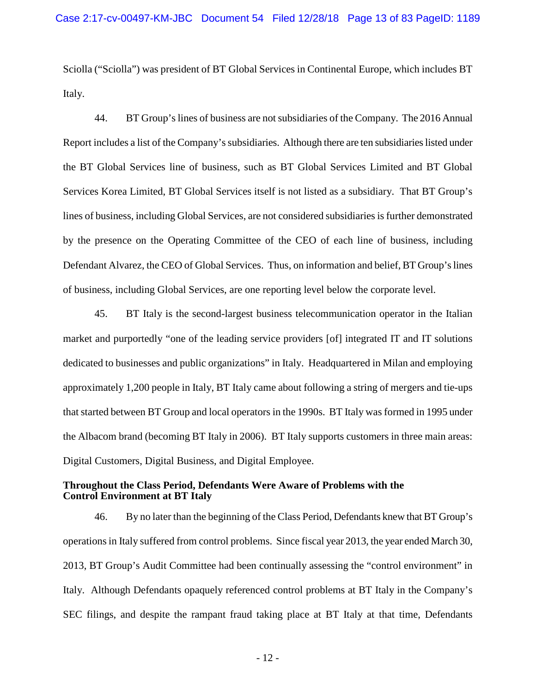Sciolla ("Sciolla") was president of BT Global Services in Continental Europe, which includes BT Italy.

44. BT Group's lines of business are not subsidiaries of the Company. The 2016 Annual Report includes a list of the Company's subsidiaries. Although there are ten subsidiaries listed under the BT Global Services line of business, such as BT Global Services Limited and BT Global Services Korea Limited, BT Global Services itself is not listed as a subsidiary. That BT Group's lines of business, including Global Services, are not considered subsidiaries is further demonstrated by the presence on the Operating Committee of the CEO of each line of business, including Defendant Alvarez, the CEO of Global Services. Thus, on information and belief, BT Group's lines of business, including Global Services, are one reporting level below the corporate level.

45. BT Italy is the second-largest business telecommunication operator in the Italian market and purportedly "one of the leading service providers [of] integrated IT and IT solutions dedicated to businesses and public organizations" in Italy. Headquartered in Milan and employing approximately 1,200 people in Italy, BT Italy came about following a string of mergers and tie-ups that started between BT Group and local operators in the 1990s. BT Italy wasformed in 1995 under the Albacom brand (becoming BT Italy in 2006). BT Italy supports customers in three main areas: Digital Customers, Digital Business, and Digital Employee.

### **Throughout the Class Period, Defendants Were Aware of Problems with the Control Environment at BT Italy**

46. By no later than the beginning of the Class Period, Defendants knew that BT Group's operations in Italy suffered from control problems. Since fiscal year 2013, the year ended March 30, 2013, BT Group's Audit Committee had been continually assessing the "control environment" in Italy. Although Defendants opaquely referenced control problems at BT Italy in the Company's SEC filings, and despite the rampant fraud taking place at BT Italy at that time, Defendants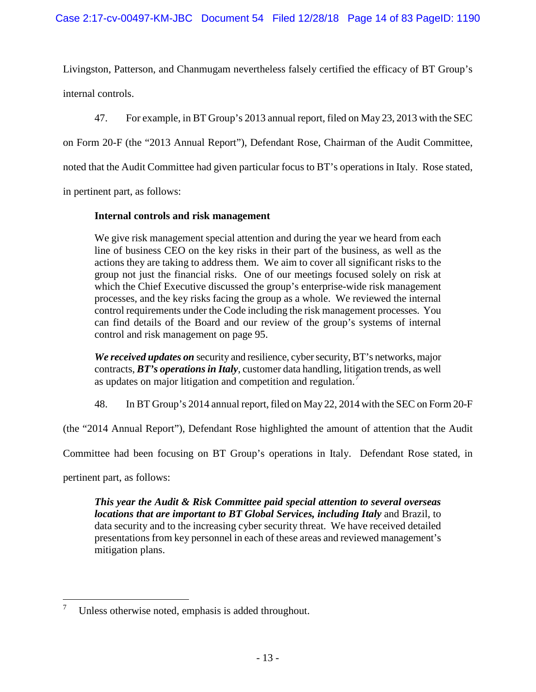Livingston, Patterson, and Chanmugam nevertheless falsely certified the efficacy of BT Group's internal controls.

47. For example, in BT Group's 2013 annual report, filed on May 23, 2013 with the SEC

on Form 20-F (the "2013 Annual Report"), Defendant Rose, Chairman of the Audit Committee,

noted that the Audit Committee had given particular focus to BT's operations in Italy. Rose stated,

in pertinent part, as follows:

# **Internal controls and risk management**

We give risk management special attention and during the year we heard from each line of business CEO on the key risks in their part of the business, as well as the actions they are taking to address them. We aim to cover all significant risks to the group not just the financial risks. One of our meetings focused solely on risk at which the Chief Executive discussed the group's enterprise-wide risk management processes, and the key risks facing the group as a whole. We reviewed the internal control requirements under the Code including the risk management processes. You can find details of the Board and our review of the group's systems of internal control and risk management on page 95.

*We received updates on* security and resilience, cyber security, BT's networks, major contracts, *BT's operations in Italy*, customer data handling, litigation trends, as well as updates on major litigation and competition and regulation.<sup>[7](#page-13-0)</sup>

48. In BT Group's 2014 annual report, filed on May 22, 2014 with the SEC on Form 20-F

(the "2014 Annual Report"), Defendant Rose highlighted the amount of attention that the Audit

Committee had been focusing on BT Group's operations in Italy. Defendant Rose stated, in

pertinent part, as follows:

*This year the Audit & Risk Committee paid special attention to several overseas locations that are important to BT Global Services, including Italy* and Brazil, to data security and to the increasing cyber security threat. We have received detailed presentations from key personnel in each of these areas and reviewed management's mitigation plans.

<span id="page-13-0"></span>Unless otherwise noted, emphasis is added throughout.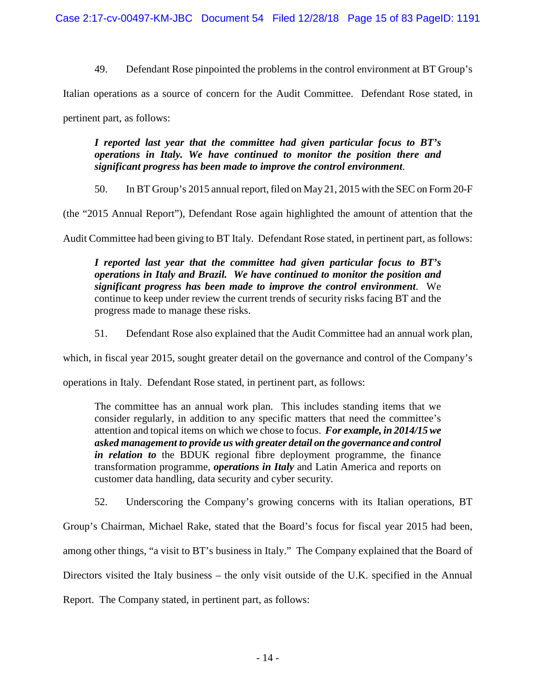49. Defendant Rose pinpointed the problems in the control environment at BT Group's

Italian operations as a source of concern for the Audit Committee. Defendant Rose stated, in

pertinent part, as follows:

# *I reported last year that the committee had given particular focus to BT's operations in Italy. We have continued to monitor the position there and significant progress has been made to improve the control environment*.

50. In BT Group's 2015 annual report, filed on May 21, 2015 with the SEC on Form 20-F

(the "2015 Annual Report"), Defendant Rose again highlighted the amount of attention that the

Audit Committee had been giving to BT Italy. Defendant Rose stated, in pertinent part, as follows:

*I reported last year that the committee had given particular focus to BT's operations in Italy and Brazil. We have continued to monitor the position and significant progress has been made to improve the control environment*. We continue to keep under review the current trends of security risks facing BT and the progress made to manage these risks.

51. Defendant Rose also explained that the Audit Committee had an annual work plan,

which, in fiscal year 2015, sought greater detail on the governance and control of the Company's

operations in Italy. Defendant Rose stated, in pertinent part, as follows:

The committee has an annual work plan. This includes standing items that we consider regularly, in addition to any specific matters that need the committee's attention and topical items on which we chose to focus. *For example, in 2014/15 we asked management to provide us with greater detail on the governance and control in relation to* the BDUK regional fibre deployment programme, the finance transformation programme, *operations in Italy* and Latin America and reports on customer data handling, data security and cyber security.

52. Underscoring the Company's growing concerns with its Italian operations, BT

Group's Chairman, Michael Rake, stated that the Board's focus for fiscal year 2015 had been, among other things, "a visit to BT's business in Italy." The Company explained that the Board of Directors visited the Italy business – the only visit outside of the U.K. specified in the Annual Report. The Company stated, in pertinent part, as follows: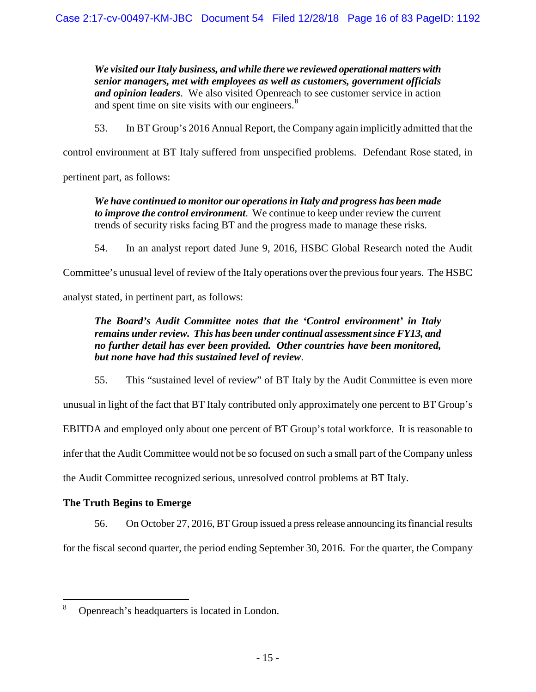*We visited our Italy business, and while there we reviewed operational matters with senior managers, met with employees as well as customers, government officials and opinion leaders*. We also visited Openreach to see customer service in action and spent time on site visits with our engineers.<sup>[8](#page-15-0)</sup>

53. In BT Group's 2016 Annual Report, the Company again implicitly admitted that the

control environment at BT Italy suffered from unspecified problems. Defendant Rose stated, in

pertinent part, as follows:

*We have continued to monitor our operations in Italy and progress has been made to improve the control environment*. We continue to keep under review the current trends of security risks facing BT and the progress made to manage these risks.

54. In an analyst report dated June 9, 2016, HSBC Global Research noted the Audit

Committee's unusual level of review of the Italy operations over the previous four years. The HSBC

analyst stated, in pertinent part, as follows:

# *The Board's Audit Committee notes that the 'Control environment' in Italy remains under review. This has been under continual assessment since FY13, and no further detail has ever been provided. Other countries have been monitored, but none have had this sustained level of review*.

55. This "sustained level of review" of BT Italy by the Audit Committee is even more

unusual in light of the fact that BT Italy contributed only approximately one percent to BT Group's

EBITDA and employed only about one percent of BT Group's total workforce. It is reasonable to

infer that the Audit Committee would not be so focused on such a small part of the Company unless

the Audit Committee recognized serious, unresolved control problems at BT Italy.

## **The Truth Begins to Emerge**

56. On October 27, 2016, BT Group issued a press release announcing its financial results

for the fiscal second quarter, the period ending September 30, 2016. For the quarter, the Company

<span id="page-15-0"></span> <sup>8</sup> Openreach's headquarters is located in London.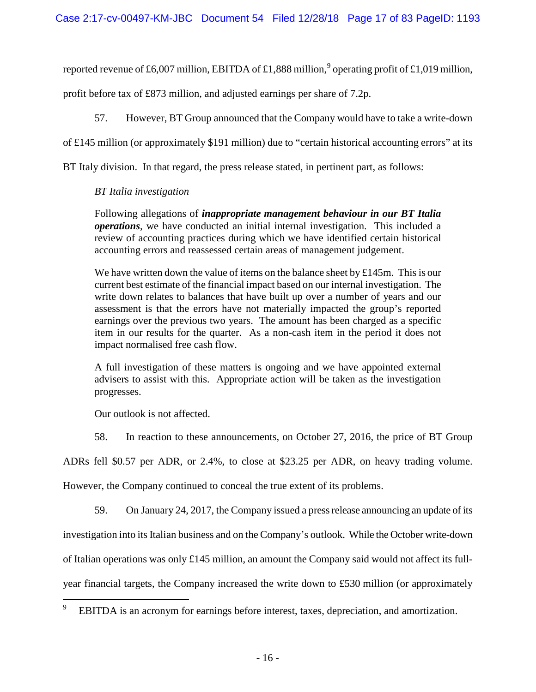reported revenue of £6,007 million, EBITDA of £1,888 million,<sup>[9](#page-16-0)</sup> operating profit of £1,019 million,

profit before tax of £873 million, and adjusted earnings per share of 7.2p.

57. However, BT Group announced that the Company would have to take a write-down

of £145 million (or approximately \$191 million) due to "certain historical accounting errors" at its

BT Italy division. In that regard, the press release stated, in pertinent part, as follows:

# *BT Italia investigation*

Following allegations of *inappropriate management behaviour in our BT Italia operations*, we have conducted an initial internal investigation. This included a review of accounting practices during which we have identified certain historical accounting errors and reassessed certain areas of management judgement.

We have written down the value of items on the balance sheet by £145m. This is our current best estimate of the financial impact based on our internal investigation. The write down relates to balances that have built up over a number of years and our assessment is that the errors have not materially impacted the group's reported earnings over the previous two years. The amount has been charged as a specific item in our results for the quarter. As a non-cash item in the period it does not impact normalised free cash flow.

A full investigation of these matters is ongoing and we have appointed external advisers to assist with this. Appropriate action will be taken as the investigation progresses.

Our outlook is not affected.

58. In reaction to these announcements, on October 27, 2016, the price of BT Group

ADRs fell \$0.57 per ADR, or 2.4%, to close at \$23.25 per ADR, on heavy trading volume.

However, the Company continued to conceal the true extent of its problems.

59. On January 24, 2017, the Company issued a press release announcing an update of its

investigation into its Italian business and on the Company's outlook. While the October write-down

of Italian operations was only £145 million, an amount the Company said would not affect its full-

year financial targets, the Company increased the write down to £530 million (or approximately

<span id="page-16-0"></span>EBITDA is an acronym for earnings before interest, taxes, depreciation, and amortization.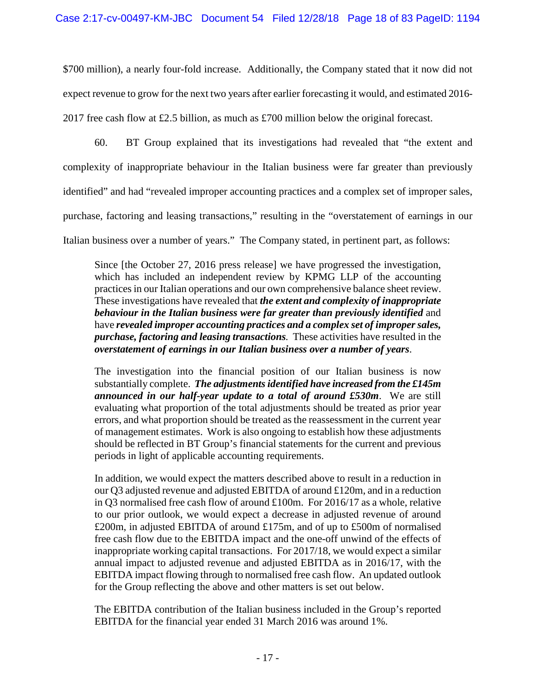\$700 million), a nearly four-fold increase. Additionally, the Company stated that it now did not expect revenue to grow for the next two years after earlier forecasting it would, and estimated 2016- 2017 free cash flow at £2.5 billion, as much as £700 million below the original forecast.

60. BT Group explained that its investigations had revealed that "the extent and

complexity of inappropriate behaviour in the Italian business were far greater than previously

identified" and had "revealed improper accounting practices and a complex set of improper sales,

purchase, factoring and leasing transactions," resulting in the "overstatement of earnings in our

Italian business over a number of years." The Company stated, in pertinent part, as follows:

Since [the October 27, 2016 press release] we have progressed the investigation, which has included an independent review by KPMG LLP of the accounting practices in our Italian operations and our own comprehensive balance sheet review. These investigations have revealed that *the extent and complexity of inappropriate behaviour in the Italian business were far greater than previously identified* and have *revealed improper accounting practices and a complex set of improper sales, purchase, factoring and leasing transactions.* These activities have resulted in the *overstatement of earnings in our Italian business over a number of years*.

The investigation into the financial position of our Italian business is now substantially complete. *The adjustments identified have increased from the £145m announced in our half-year update to a total of around £530m*. We are still evaluating what proportion of the total adjustments should be treated as prior year errors, and what proportion should be treated as the reassessment in the current year of management estimates. Work is also ongoing to establish how these adjustments should be reflected in BT Group's financial statements for the current and previous periods in light of applicable accounting requirements.

In addition, we would expect the matters described above to result in a reduction in our Q3 adjusted revenue and adjusted EBITDA of around £120m, and in a reduction in Q3 normalised free cash flow of around £100m. For 2016/17 as a whole, relative to our prior outlook, we would expect a decrease in adjusted revenue of around £200m, in adjusted EBITDA of around £175m, and of up to £500m of normalised free cash flow due to the EBITDA impact and the one-off unwind of the effects of inappropriate working capital transactions. For 2017/18, we would expect a similar annual impact to adjusted revenue and adjusted EBITDA as in 2016/17, with the EBITDA impact flowing through to normalised free cash flow. An updated outlook for the Group reflecting the above and other matters is set out below.

The EBITDA contribution of the Italian business included in the Group's reported EBITDA for the financial year ended 31 March 2016 was around 1%.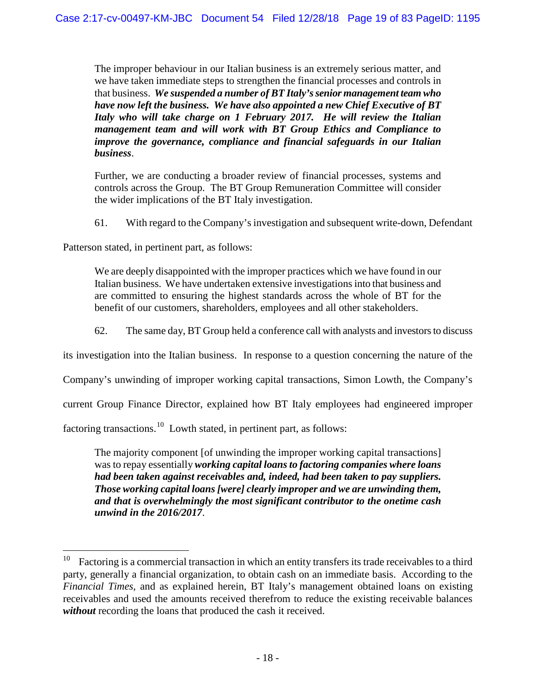The improper behaviour in our Italian business is an extremely serious matter, and we have taken immediate steps to strengthen the financial processes and controls in that business. *We suspended a number of BT Italy's senior management team who have now left the business. We have also appointed a new Chief Executive of BT Italy who will take charge on 1 February 2017. He will review the Italian management team and will work with BT Group Ethics and Compliance to improve the governance, compliance and financial safeguards in our Italian business*.

Further, we are conducting a broader review of financial processes, systems and controls across the Group. The BT Group Remuneration Committee will consider the wider implications of the BT Italy investigation.

61. With regard to the Company's investigation and subsequent write-down, Defendant

Patterson stated, in pertinent part, as follows:

We are deeply disappointed with the improper practices which we have found in our Italian business. We have undertaken extensive investigations into that business and are committed to ensuring the highest standards across the whole of BT for the benefit of our customers, shareholders, employees and all other stakeholders.

62. The same day, BT Group held a conference call with analysts and investors to discuss

its investigation into the Italian business. In response to a question concerning the nature of the

Company's unwinding of improper working capital transactions, Simon Lowth, the Company's

current Group Finance Director, explained how BT Italy employees had engineered improper

factoring transactions.<sup>[10](#page-18-0)</sup> Lowth stated, in pertinent part, as follows:

The majority component [of unwinding the improper working capital transactions] was to repay essentially *working capital loans to factoring companies where loans had been taken against receivables and, indeed, had been taken to pay suppliers. Those working capital loans [were] clearly improper and we are unwinding them, and that is overwhelmingly the most significant contributor to the onetime cash unwind in the 2016/2017*.

<span id="page-18-0"></span> $10$  Factoring is a commercial transaction in which an entity transfers its trade receivables to a third party, generally a financial organization, to obtain cash on an immediate basis. According to the *Financial Times,* and as explained herein, BT Italy's management obtained loans on existing receivables and used the amounts received therefrom to reduce the existing receivable balances *without* recording the loans that produced the cash it received.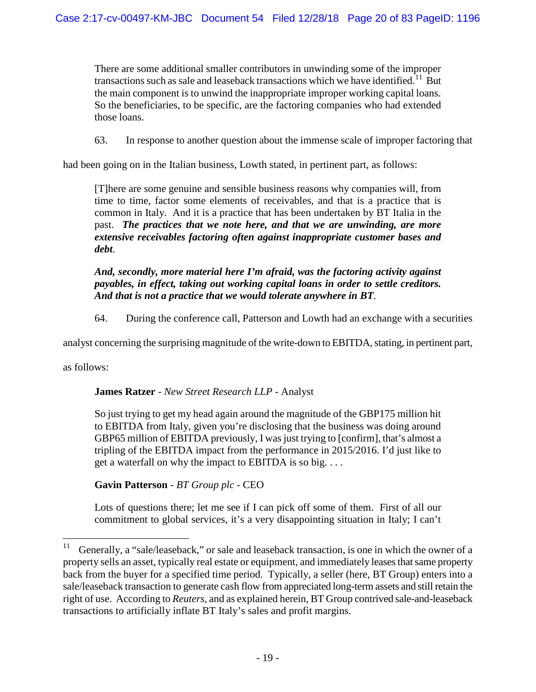There are some additional smaller contributors in unwinding some of the improper transactions such as sale and leaseback transactions which we have identified.<sup>11</sup> But the main component is to unwind the inappropriate improper working capital loans. So the beneficiaries, to be specific, are the factoring companies who had extended those loans.

63. In response to another question about the immense scale of improper factoring that

had been going on in the Italian business, Lowth stated, in pertinent part, as follows:

[T]here are some genuine and sensible business reasons why companies will, from time to time, factor some elements of receivables, and that is a practice that is common in Italy. And it is a practice that has been undertaken by BT Italia in the past. *The practices that we note here, and that we are unwinding, are more extensive receivables factoring often against inappropriate customer bases and debt*.

*And, secondly, more material here I'm afraid, was the factoring activity against payables, in effect, taking out working capital loans in order to settle creditors. And that is not a practice that we would tolerate anywhere in BT*.

64. During the conference call, Patterson and Lowth had an exchange with a securities

analyst concerning the surprising magnitude of the write-down to EBITDA, stating, in pertinent part,

as follows:

**James Ratzer** - *New Street Research LLP* - Analyst

So just trying to get my head again around the magnitude of the GBP175 million hit to EBITDA from Italy, given you're disclosing that the business was doing around GBP65 million of EBITDA previously, I was just trying to [confirm], that's almost a tripling of the EBITDA impact from the performance in 2015/2016. I'd just like to get a waterfall on why the impact to EBITDA is so big. . . .

**Gavin Patterson** - *BT Group plc* - CEO

Lots of questions there; let me see if I can pick off some of them. First of all our commitment to global services, it's a very disappointing situation in Italy; I can't

<span id="page-19-0"></span>Generally, a "sale/leaseback," or sale and leaseback transaction, is one in which the owner of a property sells an asset, typically real estate or equipment, and immediately leases that same property back from the buyer for a specified time period. Typically, a seller (here, BT Group) enters into a sale/leaseback transaction to generate cash flow from appreciated long-term assets and still retain the right of use. According to *Reuters*, and as explained herein, BT Group contrived sale-and-leaseback transactions to artificially inflate BT Italy's sales and profit margins.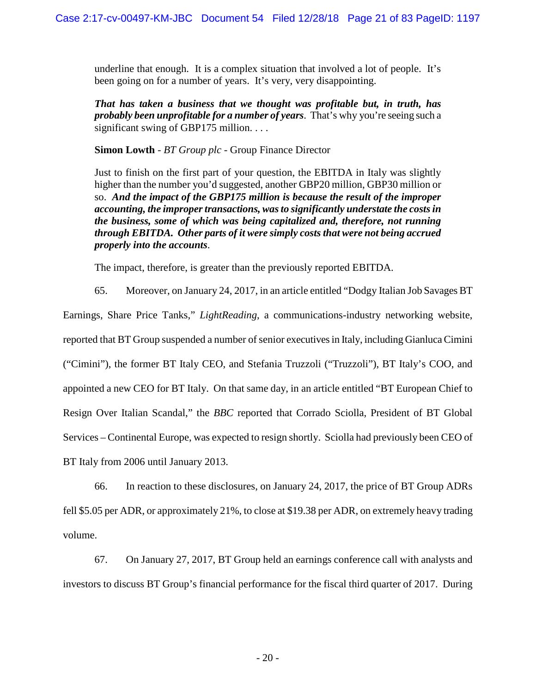underline that enough. It is a complex situation that involved a lot of people. It's been going on for a number of years. It's very, very disappointing.

*That has taken a business that we thought was profitable but, in truth, has probably been unprofitable for a number of years*. That's why you're seeing such a significant swing of GBP175 million. . . .

**Simon Lowth** - *BT Group plc* - Group Finance Director

Just to finish on the first part of your question, the EBITDA in Italy was slightly higher than the number you'd suggested, another GBP20 million, GBP30 million or so. *And the impact of the GBP175 million is because the result of the improper accounting, the improper transactions, was to significantly understate the costs in the business, some of which was being capitalized and, therefore, not running through EBITDA. Other parts of it were simply costs that were not being accrued properly into the accounts*.

The impact, therefore, is greater than the previously reported EBITDA.

65. Moreover, on January 24, 2017, in an article entitled "Dodgy Italian Job Savages BT Earnings, Share Price Tanks," *LightReading*, a communications-industry networking website, reported that BT Group suspended a number of senior executives in Italy, including Gianluca Cimini ("Cimini"), the former BT Italy CEO, and Stefania Truzzoli ("Truzzoli"), BT Italy's COO, and appointed a new CEO for BT Italy. On that same day, in an article entitled "BT European Chief to Resign Over Italian Scandal," the *BBC* reported that Corrado Sciolla, President of BT Global Services – Continental Europe, was expected to resign shortly. Sciolla had previously been CEO of BT Italy from 2006 until January 2013.

66. In reaction to these disclosures, on January 24, 2017, the price of BT Group ADRs fell \$5.05 per ADR, or approximately 21%, to close at \$19.38 per ADR, on extremely heavy trading volume.

67. On January 27, 2017, BT Group held an earnings conference call with analysts and investors to discuss BT Group's financial performance for the fiscal third quarter of 2017. During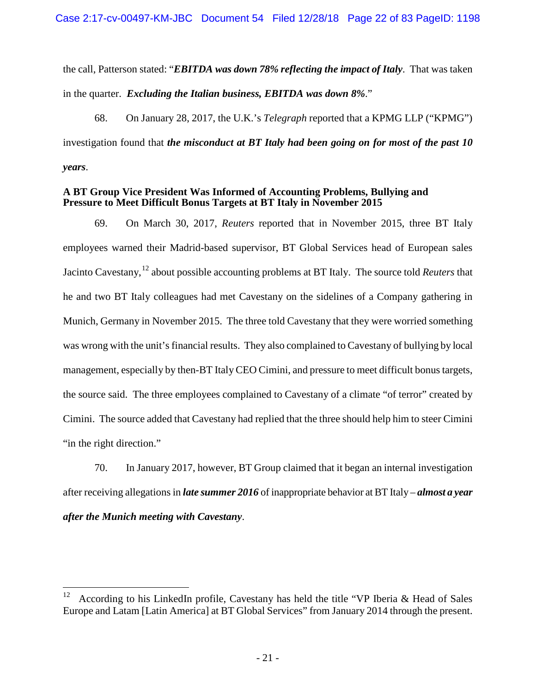the call, Patterson stated: "*EBITDA was down 78% reflecting the impact of Italy*. That was taken in the quarter. *Excluding the Italian business, EBITDA was down 8%*."

68. On January 28, 2017, the U.K.'s *Telegraph* reported that a KPMG LLP ("KPMG") investigation found that *the misconduct at BT Italy had been going on for most of the past 10 years*.

### **A BT Group Vice President Was Informed of Accounting Problems, Bullying and Pressure to Meet Difficult Bonus Targets at BT Italy in November 2015**

69. On March 30, 2017, *Reuters* reported that in November 2015, three BT Italy employees warned their Madrid-based supervisor, BT Global Services head of European sales Jacinto Cavestany,[12](#page-21-0) about possible accounting problems at BT Italy. The source told *Reuters* that he and two BT Italy colleagues had met Cavestany on the sidelines of a Company gathering in Munich, Germany in November 2015. The three told Cavestany that they were worried something was wrong with the unit's financial results. They also complained to Cavestany of bullying by local management, especially by then-BT Italy CEO Cimini, and pressure to meet difficult bonus targets, the source said. The three employees complained to Cavestany of a climate "of terror" created by Cimini. The source added that Cavestany had replied that the three should help him to steer Cimini "in the right direction."

70. In January 2017, however, BT Group claimed that it began an internal investigation after receiving allegations in *late summer 2016* of inappropriate behavior at BT Italy – *almost a year after the Munich meeting with Cavestany*.

<span id="page-21-0"></span><sup>&</sup>lt;sup>12</sup> According to his LinkedIn profile, Cavestany has held the title "VP Iberia & Head of Sales" Europe and Latam [Latin America] at BT Global Services" from January 2014 through the present.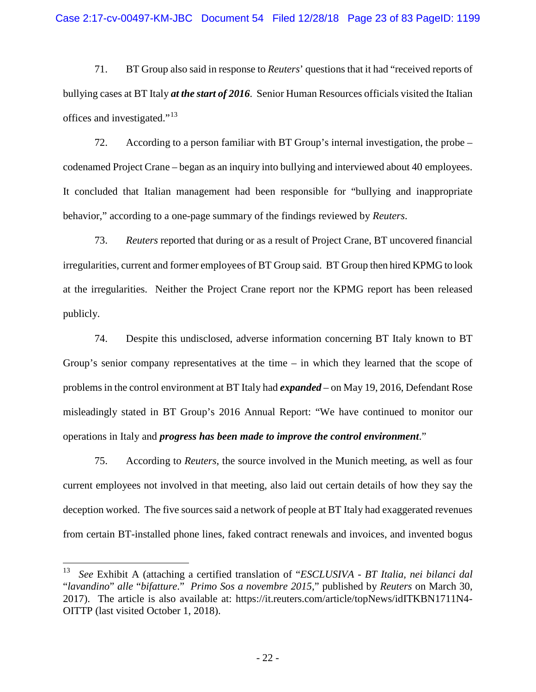71. BT Group also said in response to *Reuters*' questions that it had "received reports of bullying cases at BT Italy *at the start of 2016*. Senior Human Resources officials visited the Italian offices and investigated."[13](#page-22-0)

72. According to a person familiar with BT Group's internal investigation, the probe – codenamed Project Crane – began as an inquiry into bullying and interviewed about 40 employees. It concluded that Italian management had been responsible for "bullying and inappropriate behavior," according to a one-page summary of the findings reviewed by *Reuters*.

73. *Reuters* reported that during or as a result of Project Crane, BT uncovered financial irregularities, current and former employees of BT Group said. BT Group then hired KPMG to look at the irregularities. Neither the Project Crane report nor the KPMG report has been released publicly.

74. Despite this undisclosed, adverse information concerning BT Italy known to BT Group's senior company representatives at the time – in which they learned that the scope of problems in the control environment at BT Italy had *expanded* – on May 19, 2016, Defendant Rose misleadingly stated in BT Group's 2016 Annual Report: "We have continued to monitor our operations in Italy and *progress has been made to improve the control environment*."

75. According to *Reuters*, the source involved in the Munich meeting, as well as four current employees not involved in that meeting, also laid out certain details of how they say the deception worked. The five sources said a network of people at BT Italy had exaggerated revenues from certain BT-installed phone lines, faked contract renewals and invoices, and invented bogus

<span id="page-22-0"></span> <sup>13</sup> *See* Exhibit A (attaching a certified translation of "*ESCLUSIVA - BT Italia, nei bilanci dal*  "*lavandino*" *alle* "*bifatture*." *Primo Sos a novembre 2015*," published by *Reuters* on March 30, 2017). The article is also available at: https://it.reuters.com/article/topNews/idITKBN1711N4- OITTP (last visited October 1, 2018).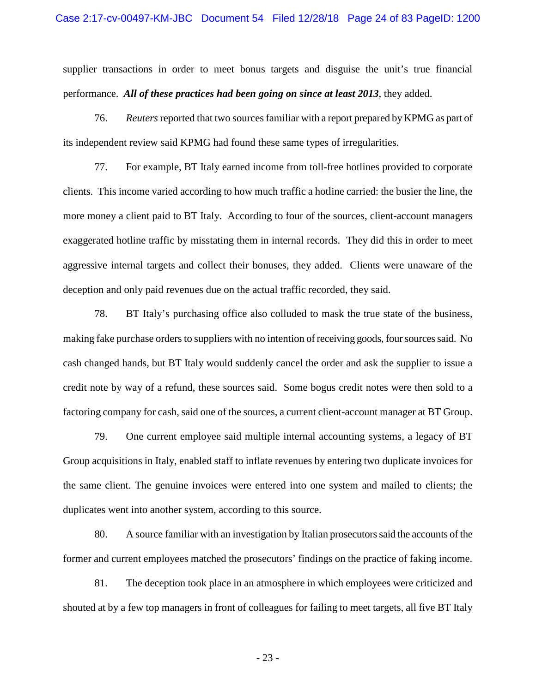#### Case 2:17-cv-00497-KM-JBC Document 54 Filed 12/28/18 Page 24 of 83 PageID: 1200

supplier transactions in order to meet bonus targets and disguise the unit's true financial performance. *All of these practices had been going on since at least 2013*, they added.

76. *Reuters* reported that two sources familiar with a report prepared by KPMG as part of its independent review said KPMG had found these same types of irregularities.

77. For example, BT Italy earned income from toll-free hotlines provided to corporate clients. This income varied according to how much traffic a hotline carried: the busier the line, the more money a client paid to BT Italy. According to four of the sources, client-account managers exaggerated hotline traffic by misstating them in internal records. They did this in order to meet aggressive internal targets and collect their bonuses, they added. Clients were unaware of the deception and only paid revenues due on the actual traffic recorded, they said.

78. BT Italy's purchasing office also colluded to mask the true state of the business, making fake purchase orders to suppliers with no intention of receiving goods, four sources said. No cash changed hands, but BT Italy would suddenly cancel the order and ask the supplier to issue a credit note by way of a refund, these sources said. Some bogus credit notes were then sold to a factoring company for cash, said one of the sources, a current client-account manager at BT Group.

79. One current employee said multiple internal accounting systems, a legacy of BT Group acquisitions in Italy, enabled staff to inflate revenues by entering two duplicate invoices for the same client. The genuine invoices were entered into one system and mailed to clients; the duplicates went into another system, according to this source.

80. A source familiar with an investigation by Italian prosecutors said the accounts of the former and current employees matched the prosecutors' findings on the practice of faking income.

81. The deception took place in an atmosphere in which employees were criticized and shouted at by a few top managers in front of colleagues for failing to meet targets, all five BT Italy

- 23 -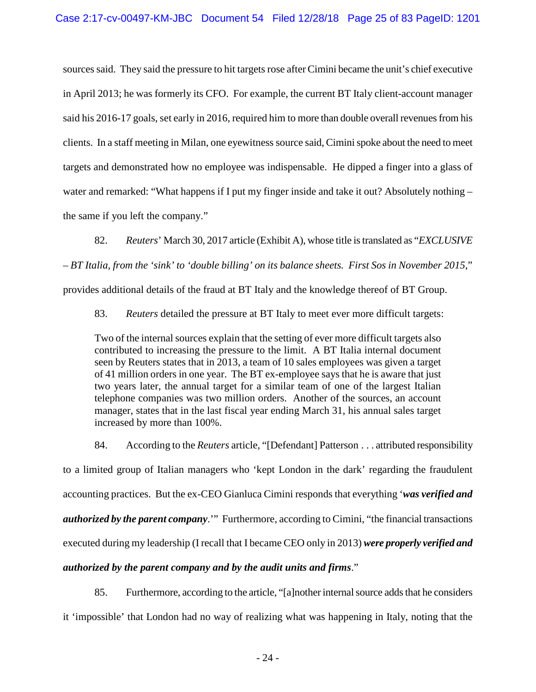sources said. They said the pressure to hit targets rose after Cimini became the unit's chief executive in April 2013; he was formerly its CFO. For example, the current BT Italy client-account manager said his 2016-17 goals, set early in 2016, required him to more than double overall revenues from his clients. In a staff meeting in Milan, one eyewitness source said, Cimini spoke about the need to meet targets and demonstrated how no employee was indispensable. He dipped a finger into a glass of water and remarked: "What happens if I put my finger inside and take it out? Absolutely nothing – the same if you left the company."

82. *Reuters*' March 30, 2017 article (Exhibit A), whose title is translated as "*EXCLUSIVE* 

*– BT Italia, from the 'sink' to 'double billing' on its balance sheets. First Sos in November 2015*,"

provides additional details of the fraud at BT Italy and the knowledge thereof of BT Group.

83. *Reuters* detailed the pressure at BT Italy to meet ever more difficult targets:

Two of the internal sources explain that the setting of ever more difficult targets also contributed to increasing the pressure to the limit. A BT Italia internal document seen by Reuters states that in 2013, a team of 10 sales employees was given a target of 41 million orders in one year. The BT ex-employee says that he is aware that just two years later, the annual target for a similar team of one of the largest Italian telephone companies was two million orders. Another of the sources, an account manager, states that in the last fiscal year ending March 31, his annual sales target increased by more than 100%.

84. According to the *Reuters* article, "[Defendant] Patterson . . . attributed responsibility to a limited group of Italian managers who 'kept London in the dark' regarding the fraudulent accounting practices. But the ex-CEO Gianluca Cimini responds that everything '*was verified and authorized by the parent company*.'" Furthermore, according to Cimini, "the financial transactions executed during my leadership (I recall that I became CEO only in 2013) *were properly verified and authorized by the parent company and by the audit units and firms*."

85. Furthermore, according to the article, "[a]nother internal source adds that he considers it 'impossible' that London had no way of realizing what was happening in Italy, noting that the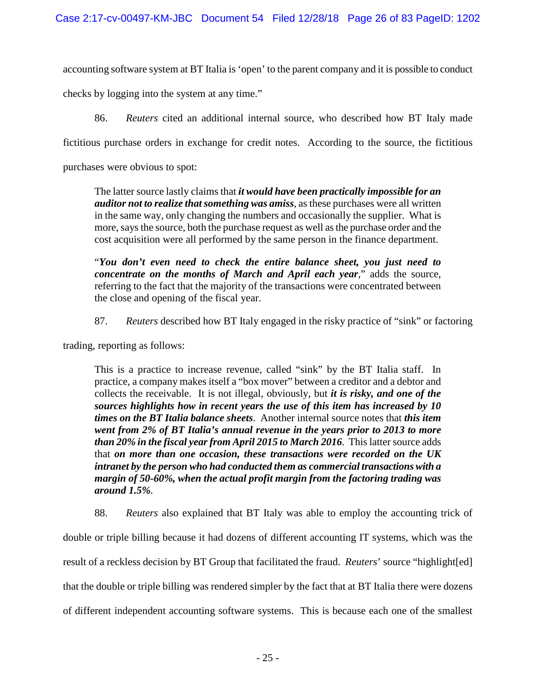accounting software system at BT Italia is 'open' to the parent company and it is possible to conduct

checks by logging into the system at any time."

86. *Reuters* cited an additional internal source, who described how BT Italy made fictitious purchase orders in exchange for credit notes. According to the source, the fictitious

purchases were obvious to spot:

The latter source lastly claims that *it would have been practically impossible for an auditor not to realize that something was amiss*, as these purchases were all written in the same way, only changing the numbers and occasionally the supplier. What is more, says the source, both the purchase request as well as the purchase order and the cost acquisition were all performed by the same person in the finance department.

"*You don't even need to check the entire balance sheet, you just need to concentrate on the months of March and April each year*," adds the source, referring to the fact that the majority of the transactions were concentrated between the close and opening of the fiscal year.

87. *Reuters* described how BT Italy engaged in the risky practice of "sink" or factoring

trading, reporting as follows:

This is a practice to increase revenue, called "sink" by the BT Italia staff. In practice, a company makes itself a "box mover" between a creditor and a debtor and collects the receivable. It is not illegal, obviously, but *it is risky, and one of the sources highlights how in recent years the use of this item has increased by 10 times on the BT Italia balance sheets*. Another internal source notes that *this item went from 2% of BT Italia's annual revenue in the years prior to 2013 to more than 20% in the fiscal year from April 2015 to March 2016*. This latter source adds that *on more than one occasion, these transactions were recorded on the UK intranet by the person who had conducted them as commercial transactions with a margin of 50-60%, when the actual profit margin from the factoring trading was around 1.5%*.

88. *Reuters* also explained that BT Italy was able to employ the accounting trick of double or triple billing because it had dozens of different accounting IT systems, which was the result of a reckless decision by BT Group that facilitated the fraud. *Reuters*' source "highlight[ed] that the double or triple billing was rendered simpler by the fact that at BT Italia there were dozens of different independent accounting software systems. This is because each one of the smallest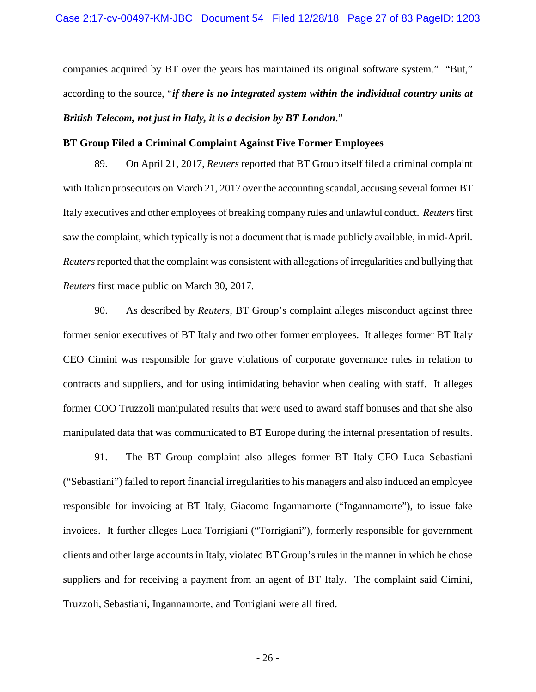companies acquired by BT over the years has maintained its original software system." "But," according to the source, "*if there is no integrated system within the individual country units at British Telecom, not just in Italy, it is a decision by BT London*."

#### **BT Group Filed a Criminal Complaint Against Five Former Employees**

89. On April 21, 2017, *Reuters* reported that BT Group itself filed a criminal complaint with Italian prosecutors on March 21, 2017 over the accounting scandal, accusing several former BT Italy executives and other employees of breaking company rules and unlawful conduct. *Reuters*first saw the complaint, which typically is not a document that is made publicly available, in mid-April. *Reuters*reported that the complaint was consistent with allegations of irregularities and bullying that *Reuters* first made public on March 30, 2017.

90. As described by *Reuters*, BT Group's complaint alleges misconduct against three former senior executives of BT Italy and two other former employees. It alleges former BT Italy CEO Cimini was responsible for grave violations of corporate governance rules in relation to contracts and suppliers, and for using intimidating behavior when dealing with staff. It alleges former COO Truzzoli manipulated results that were used to award staff bonuses and that she also manipulated data that was communicated to BT Europe during the internal presentation of results.

91. The BT Group complaint also alleges former BT Italy CFO Luca Sebastiani ("Sebastiani") failed to report financial irregularities to his managers and also induced an employee responsible for invoicing at BT Italy, Giacomo Ingannamorte ("Ingannamorte"), to issue fake invoices. It further alleges Luca Torrigiani ("Torrigiani"), formerly responsible for government clients and other large accounts in Italy, violated BT Group's rules in the manner in which he chose suppliers and for receiving a payment from an agent of BT Italy. The complaint said Cimini, Truzzoli, Sebastiani, Ingannamorte, and Torrigiani were all fired.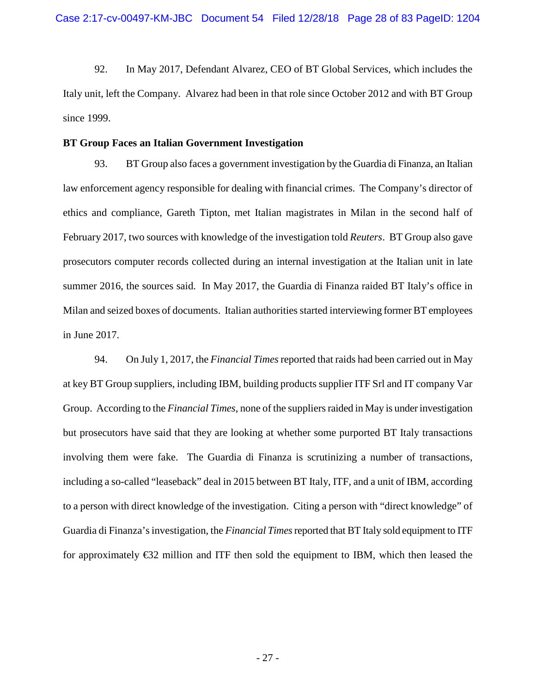92. In May 2017, Defendant Alvarez, CEO of BT Global Services, which includes the Italy unit, left the Company. Alvarez had been in that role since October 2012 and with BT Group since 1999.

#### **BT Group Faces an Italian Government Investigation**

93. BT Group also faces a government investigation by the Guardia di Finanza, an Italian law enforcement agency responsible for dealing with financial crimes. The Company's director of ethics and compliance, Gareth Tipton, met Italian magistrates in Milan in the second half of February 2017, two sources with knowledge of the investigation told *Reuters*. BT Group also gave prosecutors computer records collected during an internal investigation at the Italian unit in late summer 2016, the sources said. In May 2017, the Guardia di Finanza raided BT Italy's office in Milan and seized boxes of documents. Italian authorities started interviewing former BT employees in June 2017.

94. On July 1, 2017, the *Financial Times*reported that raids had been carried out in May at key BT Group suppliers, including IBM, building products supplier ITF Srl and IT company Var Group. According to the *Financial Times*, none of the suppliers raided in May is under investigation but prosecutors have said that they are looking at whether some purported BT Italy transactions involving them were fake. The Guardia di Finanza is scrutinizing a number of transactions, including a so-called "leaseback" deal in 2015 between BT Italy, ITF, and a unit of IBM, according to a person with direct knowledge of the investigation. Citing a person with "direct knowledge" of Guardia di Finanza's investigation, the *Financial Times*reported that BT Italy sold equipment to ITF for approximately  $\epsilon$ 32 million and ITF then sold the equipment to IBM, which then leased the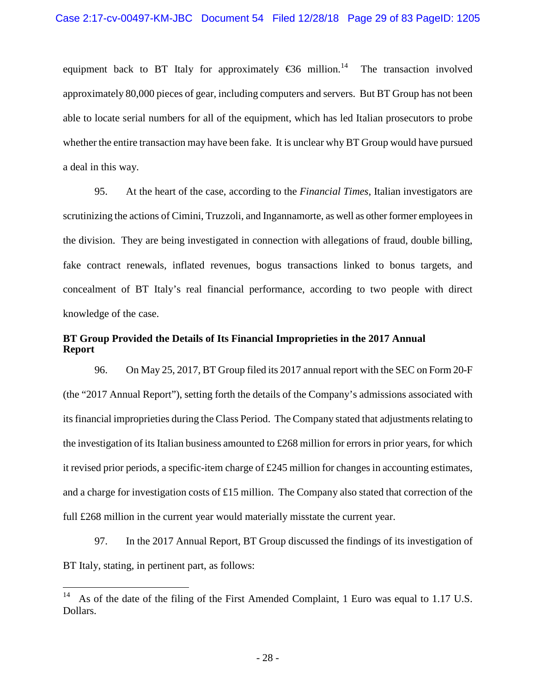equipment back to BT Italy for approximately  $\epsilon$ 36 million.<sup>14</sup> The transaction involved approximately 80,000 pieces of gear, including computers and servers. But BT Group has not been able to locate serial numbers for all of the equipment, which has led Italian prosecutors to probe whether the entire transaction may have been fake. It is unclear why BT Group would have pursued a deal in this way.

95. At the heart of the case, according to the *Financial Times*, Italian investigators are scrutinizing the actions of Cimini, Truzzoli, and Ingannamorte, as well as other former employees in the division. They are being investigated in connection with allegations of fraud, double billing, fake contract renewals, inflated revenues, bogus transactions linked to bonus targets, and concealment of BT Italy's real financial performance, according to two people with direct knowledge of the case.

# **BT Group Provided the Details of Its Financial Improprieties in the 2017 Annual Report**

96. On May 25, 2017, BT Group filed its 2017 annual report with the SEC on Form 20-F (the "2017 Annual Report"), setting forth the details of the Company's admissions associated with its financial improprieties during the Class Period. The Company stated that adjustments relating to the investigation of its Italian business amounted to  $\text{\pounds}268$  million for errors in prior years, for which it revised prior periods, a specific-item charge of  $\text{\pounds}245$  million for changes in accounting estimates, and a charge for investigation costs of £15 million. The Company also stated that correction of the full £268 million in the current year would materially misstate the current year.

97. In the 2017 Annual Report, BT Group discussed the findings of its investigation of BT Italy, stating, in pertinent part, as follows:

<span id="page-28-0"></span>As of the date of the filing of the First Amended Complaint, 1 Euro was equal to 1.17 U.S. Dollars.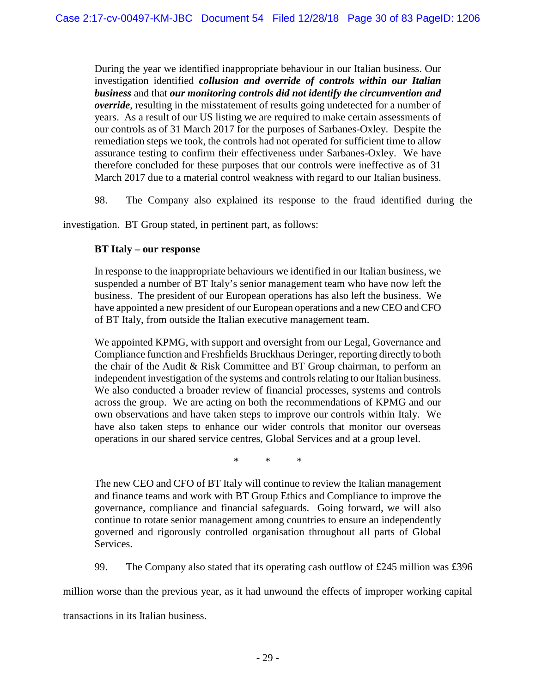During the year we identified inappropriate behaviour in our Italian business. Our investigation identified *collusion and override of controls within our Italian business* and that *our monitoring controls did not identify the circumvention and override*, resulting in the misstatement of results going undetected for a number of years. As a result of our US listing we are required to make certain assessments of our controls as of 31 March 2017 for the purposes of Sarbanes-Oxley. Despite the remediation steps we took, the controls had not operated for sufficient time to allow assurance testing to confirm their effectiveness under Sarbanes-Oxley. We have therefore concluded for these purposes that our controls were ineffective as of 31 March 2017 due to a material control weakness with regard to our Italian business.

98. The Company also explained its response to the fraud identified during the

investigation. BT Group stated, in pertinent part, as follows:

# **BT Italy – our response**

In response to the inappropriate behaviours we identified in our Italian business, we suspended a number of BT Italy's senior management team who have now left the business. The president of our European operations has also left the business. We have appointed a new president of our European operations and a new CEO and CFO of BT Italy, from outside the Italian executive management team.

We appointed KPMG, with support and oversight from our Legal, Governance and Compliance function and Freshfields Bruckhaus Deringer, reporting directly to both the chair of the Audit & Risk Committee and BT Group chairman, to perform an independent investigation of the systems and controls relating to our Italian business. We also conducted a broader review of financial processes, systems and controls across the group. We are acting on both the recommendations of KPMG and our own observations and have taken steps to improve our controls within Italy. We have also taken steps to enhance our wider controls that monitor our overseas operations in our shared service centres, Global Services and at a group level.

\* \* \*

The new CEO and CFO of BT Italy will continue to review the Italian management and finance teams and work with BT Group Ethics and Compliance to improve the governance, compliance and financial safeguards. Going forward, we will also continue to rotate senior management among countries to ensure an independently governed and rigorously controlled organisation throughout all parts of Global Services.

99. The Company also stated that its operating cash outflow of £245 million was £396

million worse than the previous year, as it had unwound the effects of improper working capital

transactions in its Italian business.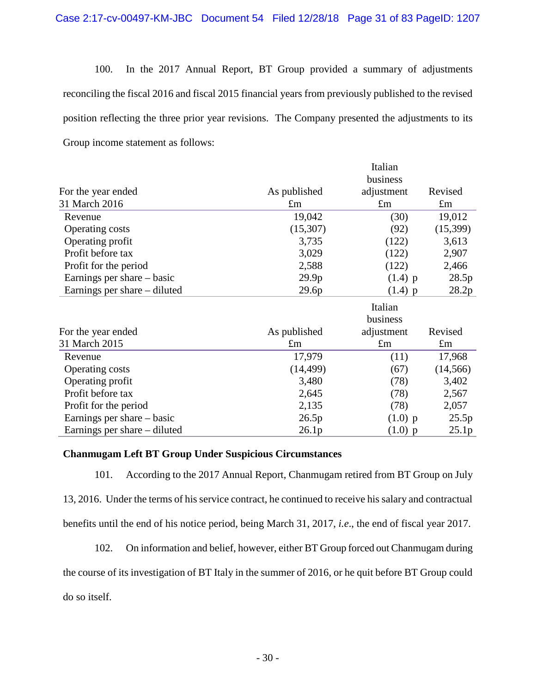100. In the 2017 Annual Report, BT Group provided a summary of adjustments reconciling the fiscal 2016 and fiscal 2015 financial years from previously published to the revised position reflecting the three prior year revisions. The Company presented the adjustments to its Group income statement as follows:

|                              |                   | Italian                |             |  |
|------------------------------|-------------------|------------------------|-------------|--|
| For the year ended           | As published      | business<br>adjustment | Revised     |  |
| 31 March 2016                | $\pounds$ m       | $\pounds$ m            | $\pounds$ m |  |
| Revenue                      | 19,042            | (30)                   | 19,012      |  |
| <b>Operating costs</b>       | (15,307)          | (92)                   | (15,399)    |  |
| Operating profit             | 3,735             | (122)                  | 3,613       |  |
| Profit before tax            | 3,029             | (122)                  | 2,907       |  |
| Profit for the period        | 2,588             | (122)                  | 2,466       |  |
| Earnings per share – basic   | 29.9 <sub>p</sub> | $(1.4)$ p              | 28.5p       |  |
| Earnings per share – diluted | 29.6p             | $(1.4)$ p              | 28.2p       |  |
|                              |                   | Italian                |             |  |
|                              |                   | business               |             |  |
| For the year ended           | As published      | adjustment             | Revised     |  |
| 31 March 2015                | $\pounds$ m       | $\pounds$ m            | $\pounds$ m |  |
| Revenue                      | 17,979            | (11)                   | 17,968      |  |
| <b>Operating costs</b>       | (14, 499)         | (67)                   | (14, 566)   |  |
| Operating profit             | 3,480             | (78)                   | 3,402       |  |
| Profit before tax            | 2,645             | (78)                   | 2,567       |  |
| Profit for the period        | 2,135             | (78)                   | 2,057       |  |
| Earnings per share – basic   | 26.5p             | $(1.0)$ p              | 25.5p       |  |
| Earnings per share – diluted | 26.1p             | $(1.0)$ p              | 25.1p       |  |

### **Chanmugam Left BT Group Under Suspicious Circumstances**

101. According to the 2017 Annual Report, Chanmugam retired from BT Group on July 13, 2016. Under the terms of his service contract, he continued to receive his salary and contractual benefits until the end of his notice period, being March 31, 2017, *i.e*., the end of fiscal year 2017.

102. On information and belief, however, either BT Group forced out Chanmugam during the course of its investigation of BT Italy in the summer of 2016, or he quit before BT Group could do so itself.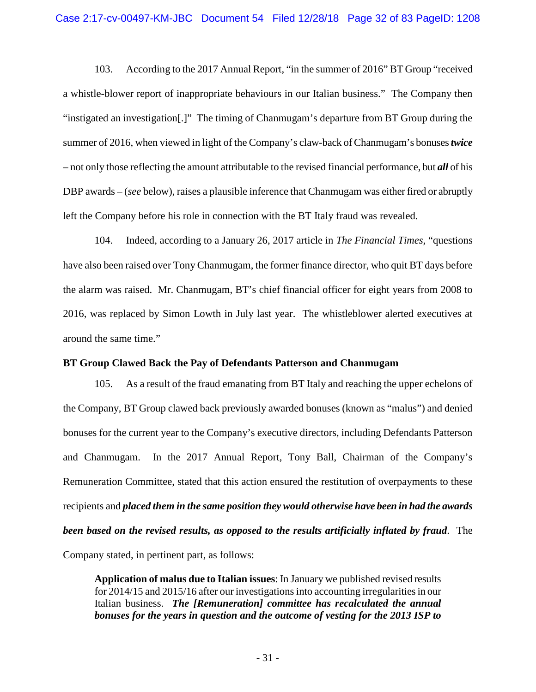103. According to the 2017 Annual Report, "in the summer of 2016" BT Group "received a whistle-blower report of inappropriate behaviours in our Italian business." The Company then "instigated an investigation[.]" The timing of Chanmugam's departure from BT Group during the summer of 2016, when viewed in light of the Company's claw-back of Chanmugam's bonuses *twice*  – not only those reflecting the amount attributable to the revised financial performance, but *all* of his DBP awards – (*see* below), raises a plausible inference that Chanmugam was either fired or abruptly left the Company before his role in connection with the BT Italy fraud was revealed.

104. Indeed, according to a January 26, 2017 article in *The Financial Times*, "questions have also been raised over Tony Chanmugam, the former finance director, who quit BT days before the alarm was raised. Mr. Chanmugam, BT's chief financial officer for eight years from 2008 to 2016, was replaced by Simon Lowth in July last year. The whistleblower alerted executives at around the same time."

## **BT Group Clawed Back the Pay of Defendants Patterson and Chanmugam**

105. As a result of the fraud emanating from BT Italy and reaching the upper echelons of the Company, BT Group clawed back previously awarded bonuses (known as "malus") and denied bonuses for the current year to the Company's executive directors, including Defendants Patterson and Chanmugam. In the 2017 Annual Report, Tony Ball, Chairman of the Company's Remuneration Committee, stated that this action ensured the restitution of overpayments to these recipients and *placed them in the same position they would otherwise have been in had the awards been based on the revised results, as opposed to the results artificially inflated by fraud*. The Company stated, in pertinent part, as follows:

**Application of malus due to Italian issues**: In January we published revised results for 2014/15 and 2015/16 after our investigations into accounting irregularities in our Italian business. *The [Remuneration] committee has recalculated the annual bonuses for the years in question and the outcome of vesting for the 2013 ISP to*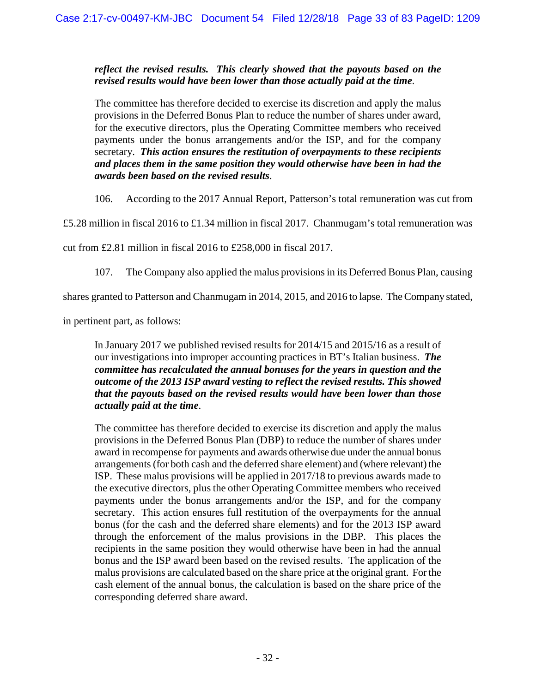# *reflect the revised results. This clearly showed that the payouts based on the revised results would have been lower than those actually paid at the time*.

The committee has therefore decided to exercise its discretion and apply the malus provisions in the Deferred Bonus Plan to reduce the number of shares under award, for the executive directors, plus the Operating Committee members who received payments under the bonus arrangements and/or the ISP, and for the company secretary. *This action ensures the restitution of overpayments to these recipients and places them in the same position they would otherwise have been in had the awards been based on the revised results*.

106. According to the 2017 Annual Report, Patterson's total remuneration was cut from

£5.28 million in fiscal 2016 to £1.34 million in fiscal 2017. Chanmugam's total remuneration was

cut from £2.81 million in fiscal 2016 to £258,000 in fiscal 2017.

107. The Company also applied the malus provisions in its Deferred Bonus Plan, causing

shares granted to Patterson and Chanmugam in 2014, 2015, and 2016 to lapse. The Company stated,

in pertinent part, as follows:

In January 2017 we published revised results for 2014/15 and 2015/16 as a result of our investigations into improper accounting practices in BT's Italian business. *The committee has recalculated the annual bonuses for the years in question and the outcome of the 2013 ISP award vesting to reflect the revised results. This showed that the payouts based on the revised results would have been lower than those actually paid at the time*.

The committee has therefore decided to exercise its discretion and apply the malus provisions in the Deferred Bonus Plan (DBP) to reduce the number of shares under award in recompense for payments and awards otherwise due under the annual bonus arrangements (for both cash and the deferred share element) and (where relevant) the ISP. These malus provisions will be applied in 2017/18 to previous awards made to the executive directors, plus the other Operating Committee members who received payments under the bonus arrangements and/or the ISP, and for the company secretary. This action ensures full restitution of the overpayments for the annual bonus (for the cash and the deferred share elements) and for the 2013 ISP award through the enforcement of the malus provisions in the DBP. This places the recipients in the same position they would otherwise have been in had the annual bonus and the ISP award been based on the revised results. The application of the malus provisions are calculated based on the share price at the original grant. For the cash element of the annual bonus, the calculation is based on the share price of the corresponding deferred share award.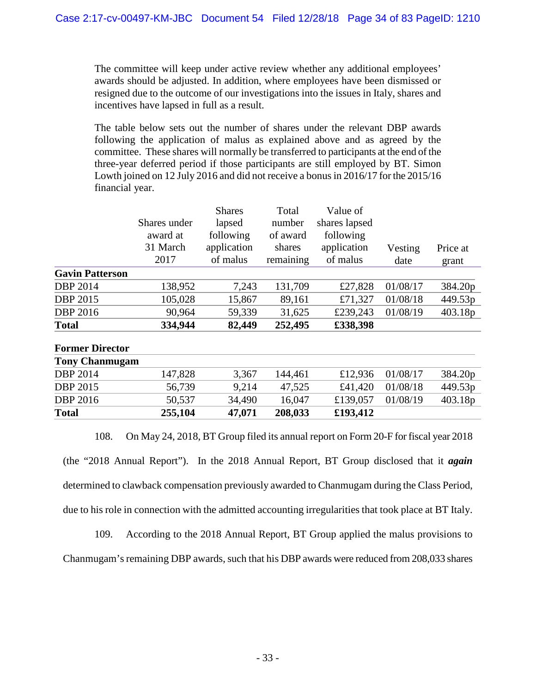The committee will keep under active review whether any additional employees' awards should be adjusted. In addition, where employees have been dismissed or resigned due to the outcome of our investigations into the issues in Italy, shares and incentives have lapsed in full as a result.

The table below sets out the number of shares under the relevant DBP awards following the application of malus as explained above and as agreed by the committee. These shares will normally be transferred to participants at the end of the three-year deferred period if those participants are still employed by BT. Simon Lowth joined on 12 July 2016 and did not receive a bonus in 2016/17 for the 2015/16 financial year.

|                        |              | <b>Shares</b> | Total     | Value of      |          |          |
|------------------------|--------------|---------------|-----------|---------------|----------|----------|
|                        | Shares under | lapsed        | number    | shares lapsed |          |          |
|                        | award at     | following     | of award  | following     |          |          |
|                        | 31 March     | application   | shares    | application   | Vesting  | Price at |
|                        | 2017         | of malus      | remaining | of malus      | date     | grant    |
| <b>Gavin Patterson</b> |              |               |           |               |          |          |
| <b>DBP 2014</b>        | 138,952      | 7,243         | 131,709   | £27,828       | 01/08/17 | 384.20p  |
| <b>DBP 2015</b>        | 105,028      | 15,867        | 89,161    | £71,327       | 01/08/18 | 449.53p  |
| <b>DBP 2016</b>        | 90,964       | 59,339        | 31,625    | £239,243      | 01/08/19 | 403.18p  |
| <b>Total</b>           | 334,944      | 82,449        | 252,495   | £338,398      |          |          |
| <b>Former Director</b> |              |               |           |               |          |          |
| <b>Tony Chanmugam</b>  |              |               |           |               |          |          |
| <b>DBP 2014</b>        | 147,828      | 3,367         | 144,461   | £12,936       | 01/08/17 | 384.20p  |
| <b>DBP 2015</b>        | 56,739       | 9,214         | 47,525    | £41,420       | 01/08/18 | 449.53p  |
| <b>DBP 2016</b>        | 50,537       | 34,490        | 16,047    | £139,057      | 01/08/19 | 403.18p  |
| <b>Total</b>           | 255,104      | 47,071        | 208,033   | £193,412      |          |          |

108. On May 24, 2018, BT Group filed its annual report on Form 20-F for fiscal year 2018 (the "2018 Annual Report"). In the 2018 Annual Report, BT Group disclosed that it *again* determined to clawback compensation previously awarded to Chanmugam during the Class Period, due to his role in connection with the admitted accounting irregularities that took place at BT Italy.

109. According to the 2018 Annual Report, BT Group applied the malus provisions to Chanmugam's remaining DBP awards, such that his DBP awards were reduced from 208,033 shares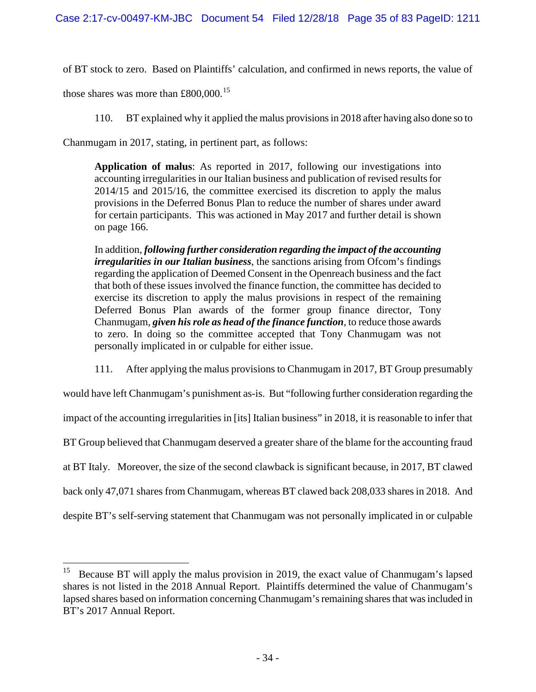of BT stock to zero. Based on Plaintiffs' calculation, and confirmed in news reports, the value of

those shares was more than £800,000.<sup>[15](#page-34-0)</sup>

110. BT explained why it applied the malus provisions in 2018 after having also done so to

Chanmugam in 2017, stating, in pertinent part, as follows:

**Application of malus**: As reported in 2017, following our investigations into accounting irregularities in our Italian business and publication of revised results for 2014/15 and 2015/16, the committee exercised its discretion to apply the malus provisions in the Deferred Bonus Plan to reduce the number of shares under award for certain participants. This was actioned in May 2017 and further detail is shown on page 166.

In addition, *following further consideration regarding the impact of the accounting irregularities in our Italian business*, the sanctions arising from Ofcom's findings regarding the application of Deemed Consent in the Openreach business and the fact that both of these issues involved the finance function, the committee has decided to exercise its discretion to apply the malus provisions in respect of the remaining Deferred Bonus Plan awards of the former group finance director, Tony Chanmugam, *given his role as head of the finance function*, to reduce those awards to zero. In doing so the committee accepted that Tony Chanmugam was not personally implicated in or culpable for either issue.

111. After applying the malus provisions to Chanmugam in 2017, BT Group presumably

would have left Chanmugam's punishment as-is. But "following further consideration regarding the impact of the accounting irregularities in [its] Italian business" in 2018, it is reasonable to infer that BT Group believed that Chanmugam deserved a greater share of the blame for the accounting fraud at BT Italy. Moreover, the size of the second clawback is significant because, in 2017, BT clawed back only 47,071 shares from Chanmugam, whereas BT clawed back 208,033 shares in 2018. And despite BT's self-serving statement that Chanmugam was not personally implicated in or culpable

<span id="page-34-0"></span><sup>&</sup>lt;sup>15</sup> Because BT will apply the malus provision in 2019, the exact value of Chanmugam's lapsed shares is not listed in the 2018 Annual Report. Plaintiffs determined the value of Chanmugam's lapsed shares based on information concerning Chanmugam's remaining shares that was included in BT's 2017 Annual Report.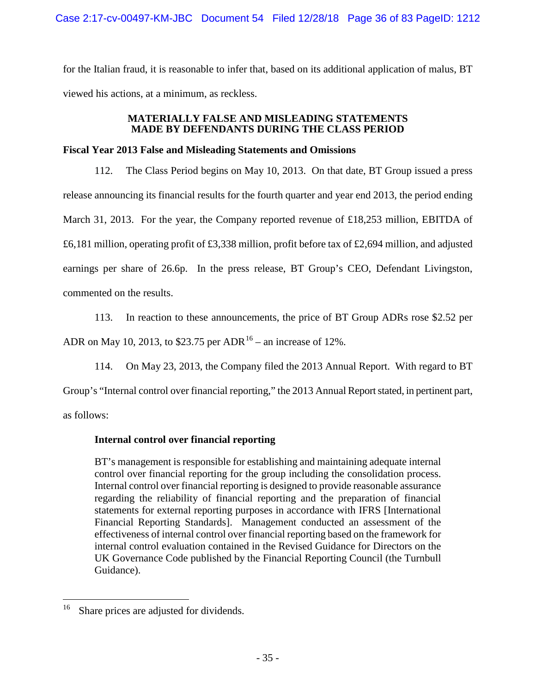for the Italian fraud, it is reasonable to infer that, based on its additional application of malus, BT viewed his actions, at a minimum, as reckless.

### **MATERIALLY FALSE AND MISLEADING STATEMENTS MADE BY DEFENDANTS DURING THE CLASS PERIOD**

# **Fiscal Year 2013 False and Misleading Statements and Omissions**

112. The Class Period begins on May 10, 2013. On that date, BT Group issued a press release announcing its financial results for the fourth quarter and year end 2013, the period ending March 31, 2013. For the year, the Company reported revenue of £18,253 million, EBITDA of £6,181 million, operating profit of £3,338 million, profit before tax of £2,694 million, and adjusted earnings per share of 26.6p. In the press release, BT Group's CEO, Defendant Livingston, commented on the results.

113. In reaction to these announcements, the price of BT Group ADRs rose \$2.52 per

ADR on May 10, 2013, to \$23.75 per ADR<sup>[16](#page-35-0)</sup> – an increase of 12%.

114. On May 23, 2013, the Company filed the 2013 Annual Report. With regard to BT

Group's "Internal control over financial reporting," the 2013 Annual Report stated, in pertinent part,

as follows:

# **Internal control over financial reporting**

BT's management is responsible for establishing and maintaining adequate internal control over financial reporting for the group including the consolidation process. Internal control over financial reporting is designed to provide reasonable assurance regarding the reliability of financial reporting and the preparation of financial statements for external reporting purposes in accordance with IFRS [International Financial Reporting Standards]. Management conducted an assessment of the effectiveness of internal control over financial reporting based on the framework for internal control evaluation contained in the Revised Guidance for Directors on the UK Governance Code published by the Financial Reporting Council (the Turnbull Guidance).

<span id="page-35-0"></span><sup>&</sup>lt;sup>16</sup> Share prices are adjusted for dividends.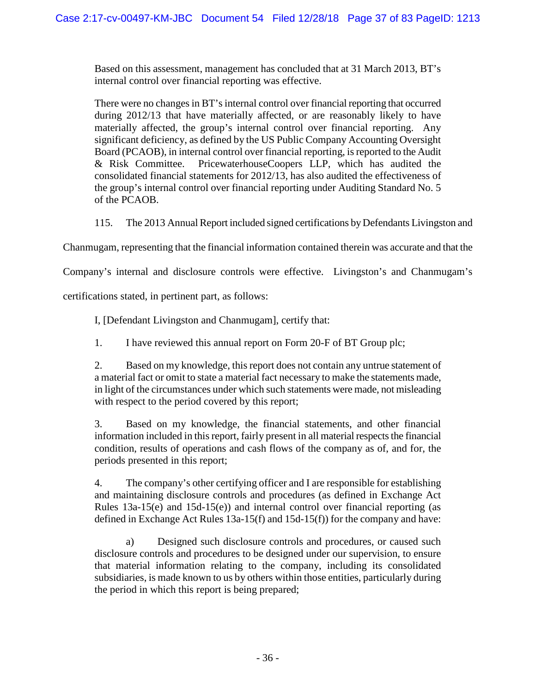Based on this assessment, management has concluded that at 31 March 2013, BT's internal control over financial reporting was effective.

There were no changes in BT's internal control over financial reporting that occurred during 2012/13 that have materially affected, or are reasonably likely to have materially affected, the group's internal control over financial reporting. Any significant deficiency, as defined by the US Public Company Accounting Oversight Board (PCAOB), in internal control over financial reporting, is reported to the Audit & Risk Committee. PricewaterhouseCoopers LLP, which has audited the consolidated financial statements for 2012/13, has also audited the effectiveness of the group's internal control over financial reporting under Auditing Standard No. 5 of the PCAOB.

115. The 2013 Annual Report included signed certifications by Defendants Livingston and

Chanmugam, representing that the financial information contained therein was accurate and that the

Company's internal and disclosure controls were effective. Livingston's and Chanmugam's

certifications stated, in pertinent part, as follows:

I, [Defendant Livingston and Chanmugam], certify that:

1. I have reviewed this annual report on Form 20-F of BT Group plc;

2. Based on my knowledge, this report does not contain any untrue statement of a material fact or omit to state a material fact necessary to make the statements made, in light of the circumstances under which such statements were made, not misleading with respect to the period covered by this report;

3. Based on my knowledge, the financial statements, and other financial information included in this report, fairly present in all material respects the financial condition, results of operations and cash flows of the company as of, and for, the periods presented in this report;

4. The company's other certifying officer and I are responsible for establishing and maintaining disclosure controls and procedures (as defined in Exchange Act Rules 13a-15(e) and 15d-15(e)) and internal control over financial reporting (as defined in Exchange Act Rules 13a-15(f) and 15d-15(f)) for the company and have:

a) Designed such disclosure controls and procedures, or caused such disclosure controls and procedures to be designed under our supervision, to ensure that material information relating to the company, including its consolidated subsidiaries, is made known to us by others within those entities, particularly during the period in which this report is being prepared;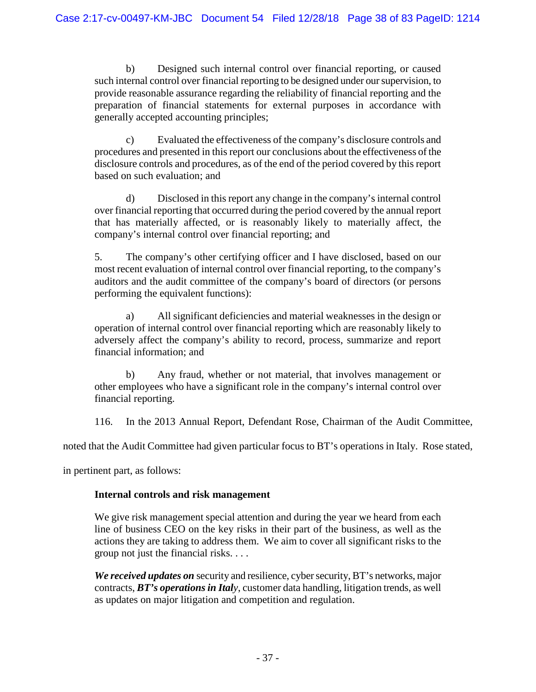b) Designed such internal control over financial reporting, or caused such internal control over financial reporting to be designed under our supervision, to provide reasonable assurance regarding the reliability of financial reporting and the preparation of financial statements for external purposes in accordance with generally accepted accounting principles;

c) Evaluated the effectiveness of the company's disclosure controls and procedures and presented in this report our conclusions about the effectiveness of the disclosure controls and procedures, as of the end of the period covered by this report based on such evaluation; and

d) Disclosed in this report any change in the company's internal control over financial reporting that occurred during the period covered by the annual report that has materially affected, or is reasonably likely to materially affect, the company's internal control over financial reporting; and

5. The company's other certifying officer and I have disclosed, based on our most recent evaluation of internal control over financial reporting, to the company's auditors and the audit committee of the company's board of directors (or persons performing the equivalent functions):

a) All significant deficiencies and material weaknesses in the design or operation of internal control over financial reporting which are reasonably likely to adversely affect the company's ability to record, process, summarize and report financial information; and

b) Any fraud, whether or not material, that involves management or other employees who have a significant role in the company's internal control over financial reporting.

116. In the 2013 Annual Report, Defendant Rose, Chairman of the Audit Committee,

noted that the Audit Committee had given particular focus to BT's operations in Italy. Rose stated,

in pertinent part, as follows:

# **Internal controls and risk management**

We give risk management special attention and during the year we heard from each line of business CEO on the key risks in their part of the business, as well as the actions they are taking to address them. We aim to cover all significant risks to the group not just the financial risks. . . .

*We received updates on* security and resilience, cyber security, BT's networks, major contracts, *BT's operations in Italy*, customer data handling, litigation trends, as well as updates on major litigation and competition and regulation.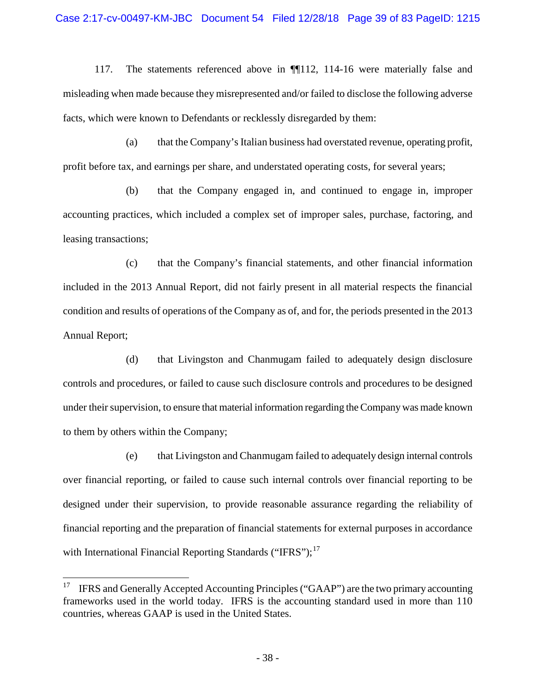### Case 2:17-cv-00497-KM-JBC Document 54 Filed 12/28/18 Page 39 of 83 PageID: 1215

117. The statements referenced above in ¶¶112, 114-16 were materially false and misleading when made because they misrepresented and/or failed to disclose the following adverse facts, which were known to Defendants or recklessly disregarded by them:

(a) that the Company's Italian business had overstated revenue, operating profit, profit before tax, and earnings per share, and understated operating costs, for several years;

(b) that the Company engaged in, and continued to engage in, improper accounting practices, which included a complex set of improper sales, purchase, factoring, and leasing transactions;

(c) that the Company's financial statements, and other financial information included in the 2013 Annual Report, did not fairly present in all material respects the financial condition and results of operations of the Company as of, and for, the periods presented in the 2013 Annual Report;

(d) that Livingston and Chanmugam failed to adequately design disclosure controls and procedures, or failed to cause such disclosure controls and procedures to be designed under their supervision, to ensure that material information regarding the Company was made known to them by others within the Company;

(e) that Livingston and Chanmugam failed to adequately design internal controls over financial reporting, or failed to cause such internal controls over financial reporting to be designed under their supervision, to provide reasonable assurance regarding the reliability of financial reporting and the preparation of financial statements for external purposes in accordance with International Financial Reporting Standards ("IFRS"); $^{17}$  $^{17}$  $^{17}$ 

<span id="page-38-0"></span><sup>&</sup>lt;sup>17</sup> IFRS and Generally Accepted Accounting Principles ("GAAP") are the two primary accounting frameworks used in the world today. IFRS is the accounting standard used in more than 110 countries, whereas GAAP is used in the United States.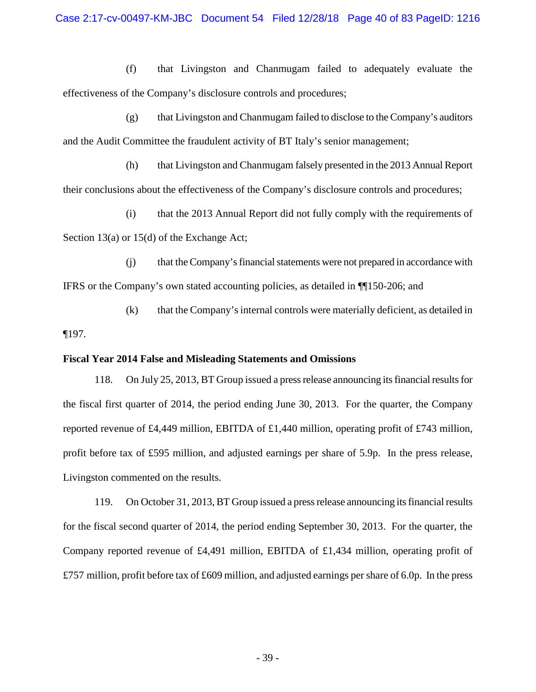(f) that Livingston and Chanmugam failed to adequately evaluate the effectiveness of the Company's disclosure controls and procedures;

(g) that Livingston and Chanmugam failed to disclose to the Company's auditors and the Audit Committee the fraudulent activity of BT Italy's senior management;

(h) that Livingston and Chanmugam falsely presented in the 2013 Annual Report their conclusions about the effectiveness of the Company's disclosure controls and procedures;

(i) that the 2013 Annual Report did not fully comply with the requirements of Section 13(a) or 15(d) of the Exchange Act;

(j) that theCompany's financial statements were not prepared in accordance with IFRS or the Company's own stated accounting policies, as detailed in ¶¶150-206; and

(k) that the Company's internal controls were materially deficient, as detailed in ¶197.

# **Fiscal Year 2014 False and Misleading Statements and Omissions**

118. On July 25, 2013, BT Group issued a press release announcing its financial results for the fiscal first quarter of 2014, the period ending June 30, 2013. For the quarter, the Company reported revenue of £4,449 million, EBITDA of £1,440 million, operating profit of £743 million, profit before tax of £595 million, and adjusted earnings per share of 5.9p. In the press release, Livingston commented on the results.

119. On October 31, 2013, BT Group issued a press release announcing its financial results for the fiscal second quarter of 2014, the period ending September 30, 2013. For the quarter, the Company reported revenue of £4,491 million, EBITDA of £1,434 million, operating profit of £757 million, profit before tax of £609 million, and adjusted earnings per share of 6.0p. In the press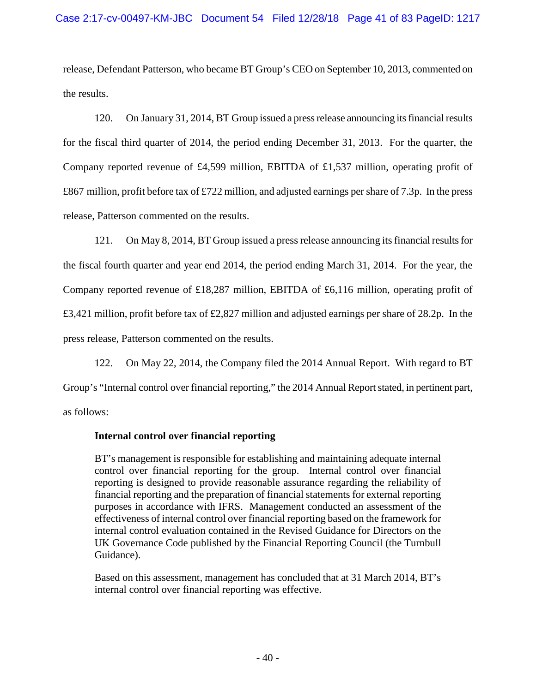# Case 2:17-cv-00497-KM-JBC Document 54 Filed 12/28/18 Page 41 of 83 PageID: 1217

release, Defendant Patterson, who became BT Group's CEO on September 10, 2013, commented on the results.

120. On January 31, 2014, BT Group issued a press release announcing its financial results for the fiscal third quarter of 2014, the period ending December 31, 2013. For the quarter, the Company reported revenue of £4,599 million, EBITDA of £1,537 million, operating profit of £867 million, profit before tax of £722 million, and adjusted earnings per share of 7.3p. In the press release, Patterson commented on the results.

121. On May 8, 2014, BT Group issued a press release announcing its financial results for the fiscal fourth quarter and year end 2014, the period ending March 31, 2014. For the year, the Company reported revenue of £18,287 million, EBITDA of £6,116 million, operating profit of £3,421 million, profit before tax of £2,827 million and adjusted earnings per share of 28.2p. In the press release, Patterson commented on the results.

122. On May 22, 2014, the Company filed the 2014 Annual Report. With regard to BT Group's "Internal control over financial reporting," the 2014 Annual Report stated, in pertinent part, as follows:

# **Internal control over financial reporting**

BT's management is responsible for establishing and maintaining adequate internal control over financial reporting for the group. Internal control over financial reporting is designed to provide reasonable assurance regarding the reliability of financial reporting and the preparation of financial statements for external reporting purposes in accordance with IFRS. Management conducted an assessment of the effectiveness of internal control over financial reporting based on the framework for internal control evaluation contained in the Revised Guidance for Directors on the UK Governance Code published by the Financial Reporting Council (the Turnbull Guidance).

Based on this assessment, management has concluded that at 31 March 2014, BT's internal control over financial reporting was effective.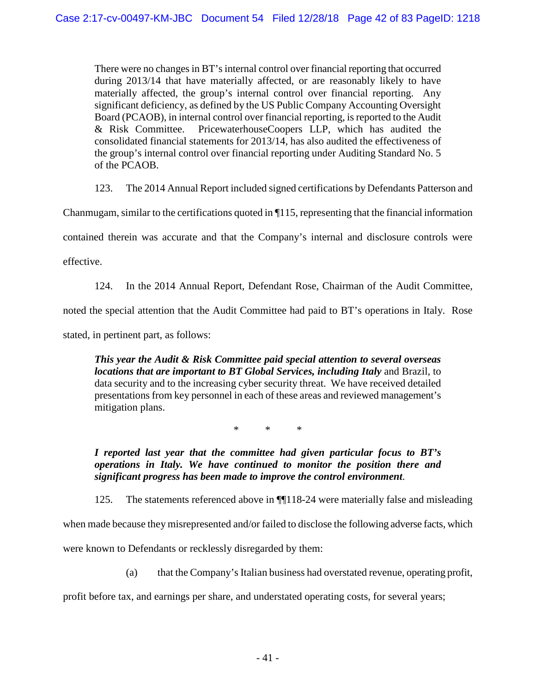There were no changes in BT's internal control over financial reporting that occurred during 2013/14 that have materially affected, or are reasonably likely to have materially affected, the group's internal control over financial reporting. Any significant deficiency, as defined by the US Public Company Accounting Oversight Board (PCAOB), in internal control over financial reporting, is reported to the Audit & Risk Committee. PricewaterhouseCoopers LLP, which has audited the consolidated financial statements for 2013/14, has also audited the effectiveness of the group's internal control over financial reporting under Auditing Standard No. 5 of the PCAOB.

123. The 2014 Annual Report included signed certifications by Defendants Patterson and

Chanmugam, similar to the certifications quoted in ¶115, representing that the financial information

contained therein was accurate and that the Company's internal and disclosure controls were

effective.

124. In the 2014 Annual Report, Defendant Rose, Chairman of the Audit Committee,

noted the special attention that the Audit Committee had paid to BT's operations in Italy. Rose

stated, in pertinent part, as follows:

*This year the Audit & Risk Committee paid special attention to several overseas locations that are important to BT Global Services, including Italy* and Brazil, to data security and to the increasing cyber security threat. We have received detailed presentations from key personnel in each of these areas and reviewed management's mitigation plans.

\* \* \*

*I reported last year that the committee had given particular focus to BT's operations in Italy. We have continued to monitor the position there and significant progress has been made to improve the control environment*.

125. The statements referenced above in ¶¶118-24 were materially false and misleading

when made because they misrepresented and/or failed to disclose the following adverse facts, which

were known to Defendants or recklessly disregarded by them:

(a) that the Company's Italian business had overstated revenue, operating profit,

profit before tax, and earnings per share, and understated operating costs, for several years;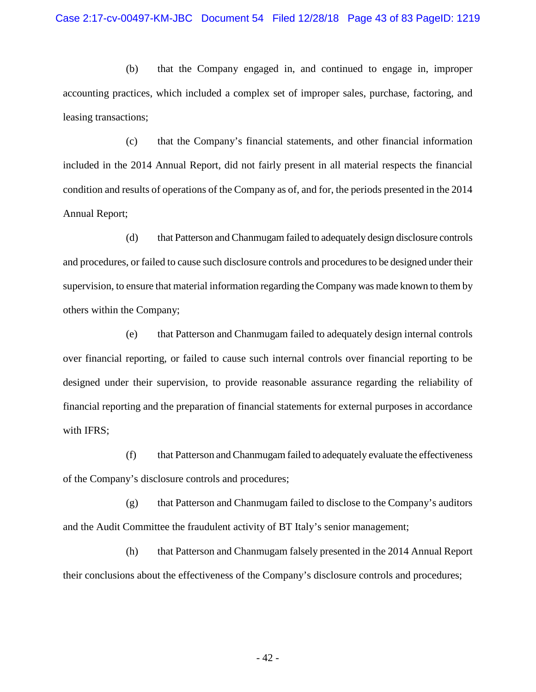(b) that the Company engaged in, and continued to engage in, improper accounting practices, which included a complex set of improper sales, purchase, factoring, and leasing transactions;

(c) that the Company's financial statements, and other financial information included in the 2014 Annual Report, did not fairly present in all material respects the financial condition and results of operations of the Company as of, and for, the periods presented in the 2014 Annual Report;

(d) that Patterson and Chanmugam failed to adequately design disclosure controls and procedures, or failed to cause such disclosure controls and procedures to be designed under their supervision, to ensure that material information regarding the Company was made known to them by others within the Company;

(e) that Patterson and Chanmugam failed to adequately design internal controls over financial reporting, or failed to cause such internal controls over financial reporting to be designed under their supervision, to provide reasonable assurance regarding the reliability of financial reporting and the preparation of financial statements for external purposes in accordance with IFRS;

(f) that Patterson and Chanmugam failed to adequately evaluate the effectiveness of the Company's disclosure controls and procedures;

(g) that Patterson and Chanmugam failed to disclose to the Company's auditors and the Audit Committee the fraudulent activity of BT Italy's senior management;

(h) that Patterson and Chanmugam falsely presented in the 2014 Annual Report their conclusions about the effectiveness of the Company's disclosure controls and procedures;

- 42 -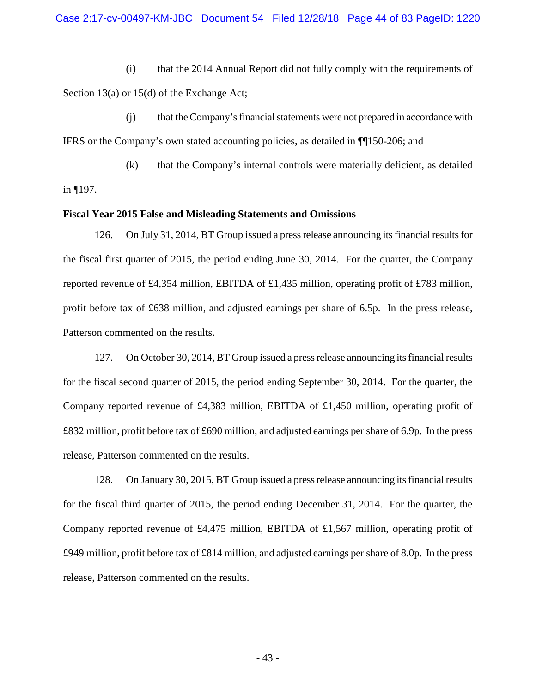(i) that the 2014 Annual Report did not fully comply with the requirements of Section 13(a) or 15(d) of the Exchange Act;

(j) that the Company's financial statements were not prepared in accordance with IFRS or the Company's own stated accounting policies, as detailed in ¶¶150-206; and

(k) that the Company's internal controls were materially deficient, as detailed in ¶197.

#### **Fiscal Year 2015 False and Misleading Statements and Omissions**

126. On July 31, 2014, BT Group issued a press release announcing its financial results for the fiscal first quarter of 2015, the period ending June 30, 2014. For the quarter, the Company reported revenue of £4,354 million, EBITDA of £1,435 million, operating profit of £783 million, profit before tax of £638 million, and adjusted earnings per share of 6.5p. In the press release, Patterson commented on the results.

127. On October 30, 2014, BT Group issued a press release announcing its financial results for the fiscal second quarter of 2015, the period ending September 30, 2014. For the quarter, the Company reported revenue of £4,383 million, EBITDA of £1,450 million, operating profit of £832 million, profit before tax of £690 million, and adjusted earnings per share of 6.9p. In the press release, Patterson commented on the results.

128. On January 30, 2015, BT Group issued a press release announcing its financial results for the fiscal third quarter of 2015, the period ending December 31, 2014. For the quarter, the Company reported revenue of £4,475 million, EBITDA of £1,567 million, operating profit of £949 million, profit before tax of £814 million, and adjusted earnings per share of 8.0p. In the press release, Patterson commented on the results.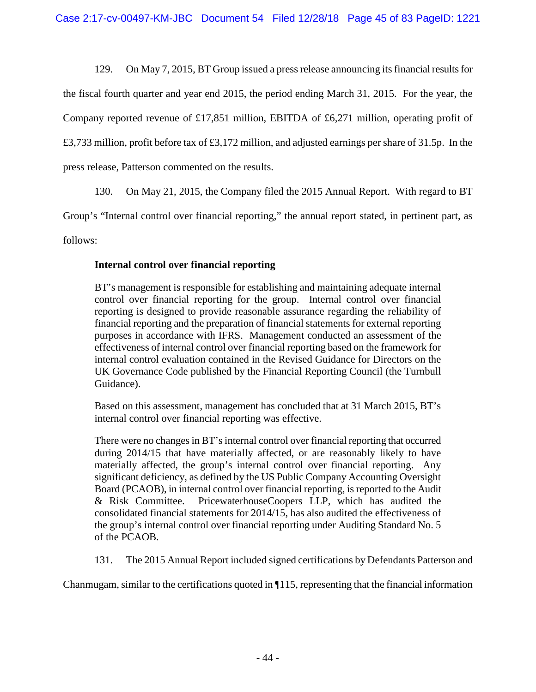129. On May 7, 2015, BT Group issued a press release announcing its financial results for

the fiscal fourth quarter and year end 2015, the period ending March 31, 2015. For the year, the

Company reported revenue of £17,851 million, EBITDA of £6,271 million, operating profit of

£3,733 million, profit before tax of £3,172 million, and adjusted earnings per share of 31.5p. In the

press release, Patterson commented on the results.

130. On May 21, 2015, the Company filed the 2015 Annual Report. With regard to BT

Group's "Internal control over financial reporting," the annual report stated, in pertinent part, as

follows:

# **Internal control over financial reporting**

BT's management is responsible for establishing and maintaining adequate internal control over financial reporting for the group. Internal control over financial reporting is designed to provide reasonable assurance regarding the reliability of financial reporting and the preparation of financial statements for external reporting purposes in accordance with IFRS. Management conducted an assessment of the effectiveness of internal control over financial reporting based on the framework for internal control evaluation contained in the Revised Guidance for Directors on the UK Governance Code published by the Financial Reporting Council (the Turnbull Guidance).

Based on this assessment, management has concluded that at 31 March 2015, BT's internal control over financial reporting was effective.

There were no changes in BT's internal control over financial reporting that occurred during 2014/15 that have materially affected, or are reasonably likely to have materially affected, the group's internal control over financial reporting. Any significant deficiency, as defined by the US Public Company Accounting Oversight Board (PCAOB), in internal control over financial reporting, is reported to the Audit & Risk Committee. PricewaterhouseCoopers LLP, which has audited the consolidated financial statements for 2014/15, has also audited the effectiveness of the group's internal control over financial reporting under Auditing Standard No. 5 of the PCAOB.

131. The 2015 Annual Report included signed certifications by Defendants Patterson and

Chanmugam, similar to the certifications quoted in ¶115, representing that the financial information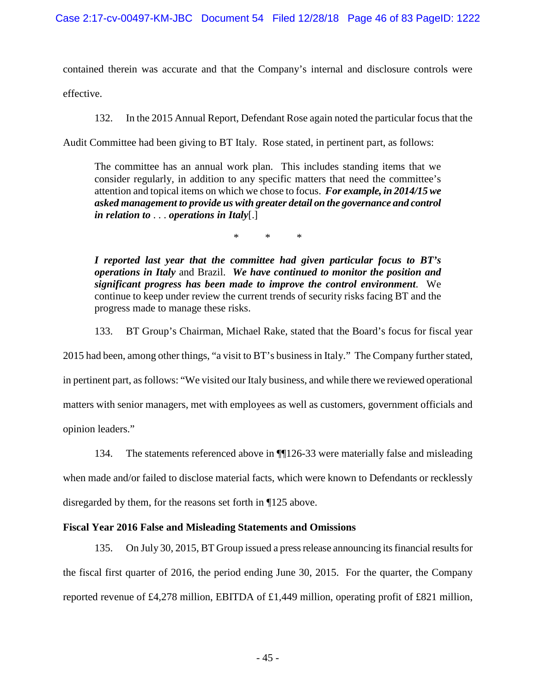contained therein was accurate and that the Company's internal and disclosure controls were effective.

132. In the 2015 Annual Report, Defendant Rose again noted the particular focus that the

Audit Committee had been giving to BT Italy. Rose stated, in pertinent part, as follows:

The committee has an annual work plan. This includes standing items that we consider regularly, in addition to any specific matters that need the committee's attention and topical items on which we chose to focus. *For example, in 2014/15 we asked management to provide us with greater detail on the governance and control in relation to* . . . *operations in Italy*[.]

\* \* \*

*I reported last year that the committee had given particular focus to BT's operations in Italy* and Brazil. *We have continued to monitor the position and significant progress has been made to improve the control environment*. We continue to keep under review the current trends of security risks facing BT and the progress made to manage these risks.

133. BT Group's Chairman, Michael Rake, stated that the Board's focus for fiscal year

2015 had been, among other things, "a visit to BT's business in Italy." The Company further stated,

in pertinent part, as follows: "We visited our Italy business, and while there we reviewed operational

matters with senior managers, met with employees as well as customers, government officials and

opinion leaders."

134. The statements referenced above in ¶¶126-33 were materially false and misleading

when made and/or failed to disclose material facts, which were known to Defendants or recklessly

disregarded by them, for the reasons set forth in ¶125 above.

# **Fiscal Year 2016 False and Misleading Statements and Omissions**

135. On July 30, 2015, BT Group issued a press release announcing its financial results for the fiscal first quarter of 2016, the period ending June 30, 2015. For the quarter, the Company reported revenue of £4,278 million, EBITDA of £1,449 million, operating profit of £821 million,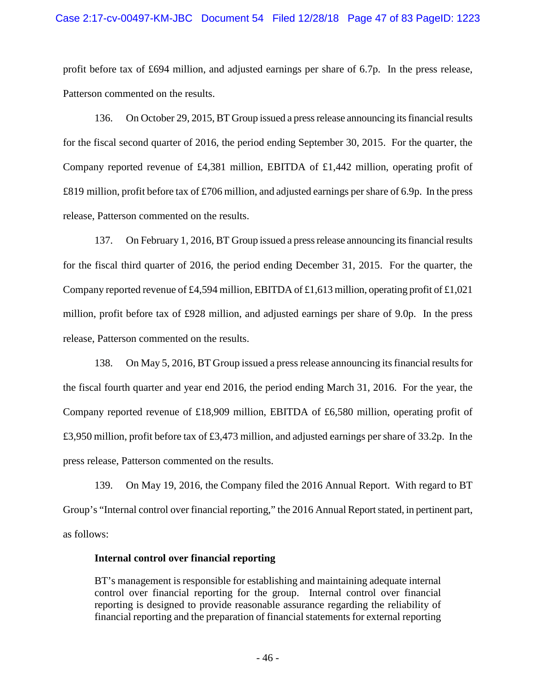## Case 2:17-cv-00497-KM-JBC Document 54 Filed 12/28/18 Page 47 of 83 PageID: 1223

profit before tax of £694 million, and adjusted earnings per share of 6.7p. In the press release, Patterson commented on the results.

136. On October 29, 2015, BT Group issued a press release announcing its financial results for the fiscal second quarter of 2016, the period ending September 30, 2015. For the quarter, the Company reported revenue of £4,381 million, EBITDA of £1,442 million, operating profit of £819 million, profit before tax of £706 million, and adjusted earnings per share of 6.9p. In the press release, Patterson commented on the results.

137. On February 1, 2016, BT Group issued a press release announcing its financial results for the fiscal third quarter of 2016, the period ending December 31, 2015. For the quarter, the Company reported revenue of £4,594 million, EBITDA of £1,613 million, operating profit of £1,021 million, profit before tax of £928 million, and adjusted earnings per share of 9.0p. In the press release, Patterson commented on the results.

138. On May 5, 2016, BT Group issued a press release announcing its financial results for the fiscal fourth quarter and year end 2016, the period ending March 31, 2016. For the year, the Company reported revenue of £18,909 million, EBITDA of £6,580 million, operating profit of £3,950 million, profit before tax of £3,473 million, and adjusted earnings per share of 33.2p. In the press release, Patterson commented on the results.

139. On May 19, 2016, the Company filed the 2016 Annual Report. With regard to BT Group's "Internal control over financial reporting," the 2016 Annual Report stated, in pertinent part, as follows:

#### **Internal control over financial reporting**

BT's management is responsible for establishing and maintaining adequate internal control over financial reporting for the group. Internal control over financial reporting is designed to provide reasonable assurance regarding the reliability of financial reporting and the preparation of financial statements for external reporting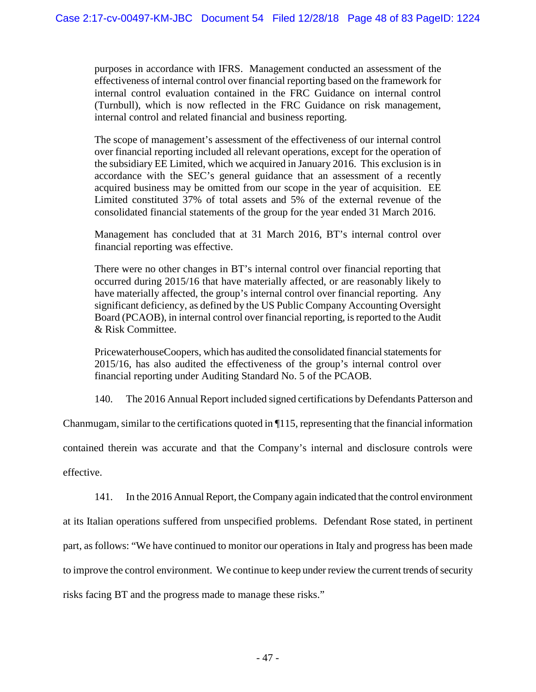purposes in accordance with IFRS. Management conducted an assessment of the effectiveness of internal control over financial reporting based on the framework for internal control evaluation contained in the FRC Guidance on internal control (Turnbull), which is now reflected in the FRC Guidance on risk management, internal control and related financial and business reporting.

The scope of management's assessment of the effectiveness of our internal control over financial reporting included all relevant operations, except for the operation of the subsidiary EE Limited, which we acquired in January 2016. This exclusion is in accordance with the SEC's general guidance that an assessment of a recently acquired business may be omitted from our scope in the year of acquisition. EE Limited constituted 37% of total assets and 5% of the external revenue of the consolidated financial statements of the group for the year ended 31 March 2016.

Management has concluded that at 31 March 2016, BT's internal control over financial reporting was effective.

There were no other changes in BT's internal control over financial reporting that occurred during 2015/16 that have materially affected, or are reasonably likely to have materially affected, the group's internal control over financial reporting. Any significant deficiency, as defined by the US Public Company Accounting Oversight Board (PCAOB), in internal control over financial reporting, is reported to the Audit & Risk Committee.

PricewaterhouseCoopers, which has audited the consolidated financial statements for 2015/16, has also audited the effectiveness of the group's internal control over financial reporting under Auditing Standard No. 5 of the PCAOB.

140. The 2016 Annual Report included signed certifications by Defendants Patterson and

Chanmugam, similar to the certifications quoted in ¶115, representing that the financial information

contained therein was accurate and that the Company's internal and disclosure controls were

effective.

141. In the 2016 Annual Report, the Company again indicated that the control environment

at its Italian operations suffered from unspecified problems. Defendant Rose stated, in pertinent part, as follows: "We have continued to monitor our operations in Italy and progress has been made to improve the control environment. We continue to keep under review the current trends of security risks facing BT and the progress made to manage these risks."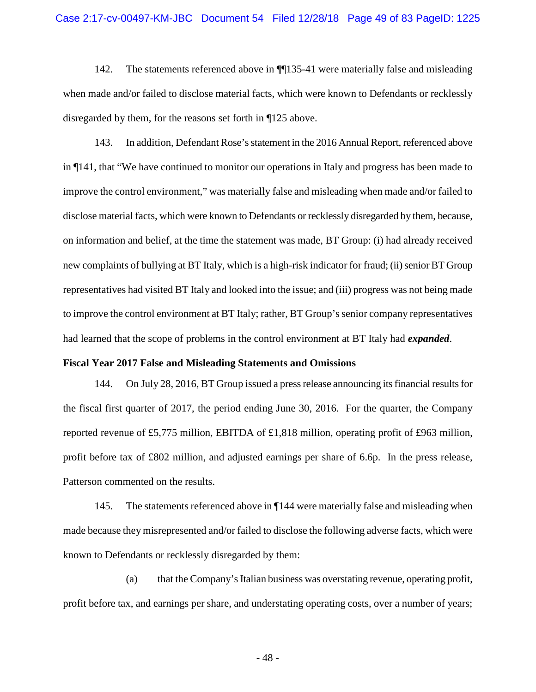142. The statements referenced above in ¶¶135-41 were materially false and misleading when made and/or failed to disclose material facts, which were known to Defendants or recklessly disregarded by them, for the reasons set forth in ¶125 above.

143. In addition, Defendant Rose's statement in the 2016 Annual Report, referenced above in ¶141, that "We have continued to monitor our operations in Italy and progress has been made to improve the control environment," was materially false and misleading when made and/or failed to disclose material facts, which were known to Defendants or recklessly disregarded by them, because, on information and belief, at the time the statement was made, BT Group: (i) had already received new complaints of bullying at BT Italy, which is a high-risk indicator for fraud; (ii) senior BT Group representatives had visited BT Italy and looked into the issue; and (iii) progress was not being made to improve the control environment at BT Italy; rather, BT Group's senior company representatives had learned that the scope of problems in the control environment at BT Italy had *expanded*.

#### **Fiscal Year 2017 False and Misleading Statements and Omissions**

144. On July 28, 2016, BT Group issued a press release announcing its financial results for the fiscal first quarter of 2017, the period ending June 30, 2016. For the quarter, the Company reported revenue of £5,775 million, EBITDA of £1,818 million, operating profit of £963 million, profit before tax of £802 million, and adjusted earnings per share of 6.6p. In the press release, Patterson commented on the results.

145. The statements referenced above in ¶144 were materially false and misleading when made because they misrepresented and/or failed to disclose the following adverse facts, which were known to Defendants or recklessly disregarded by them:

(a) that the Company's Italian business was overstating revenue, operating profit, profit before tax, and earnings per share, and understating operating costs, over a number of years;

- 48 -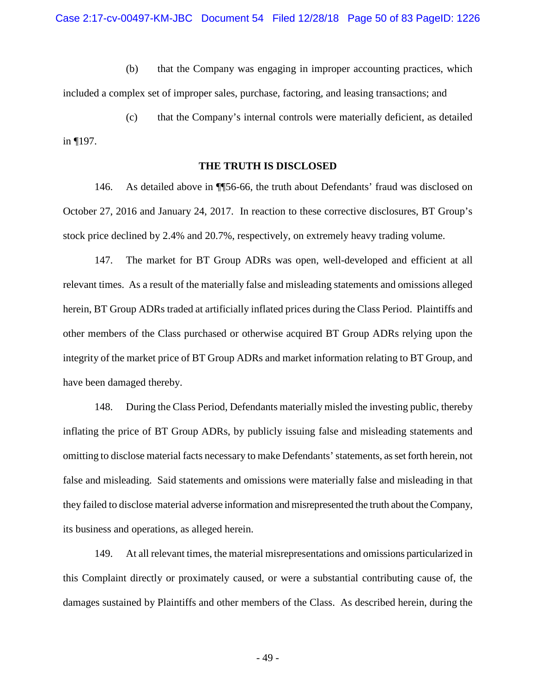(b) that the Company was engaging in improper accounting practices, which included a complex set of improper sales, purchase, factoring, and leasing transactions; and

(c) that the Company's internal controls were materially deficient, as detailed in ¶197.

#### **THE TRUTH IS DISCLOSED**

146. As detailed above in ¶¶56-66, the truth about Defendants' fraud was disclosed on October 27, 2016 and January 24, 2017. In reaction to these corrective disclosures, BT Group's stock price declined by 2.4% and 20.7%, respectively, on extremely heavy trading volume.

147. The market for BT Group ADRs was open, well-developed and efficient at all relevant times. As a result of the materially false and misleading statements and omissions alleged herein, BT Group ADRs traded at artificially inflated prices during the Class Period. Plaintiffs and other members of the Class purchased or otherwise acquired BT Group ADRs relying upon the integrity of the market price of BT Group ADRs and market information relating to BT Group, and have been damaged thereby.

148. During the Class Period, Defendants materially misled the investing public, thereby inflating the price of BT Group ADRs, by publicly issuing false and misleading statements and omitting to disclose material facts necessary to make Defendants' statements, as set forth herein, not false and misleading. Said statements and omissions were materially false and misleading in that they failed to disclose material adverse information and misrepresented the truth about the Company, its business and operations, as alleged herein.

149. At all relevant times, the material misrepresentations and omissions particularized in this Complaint directly or proximately caused, or were a substantial contributing cause of, the damages sustained by Plaintiffs and other members of the Class. As described herein, during the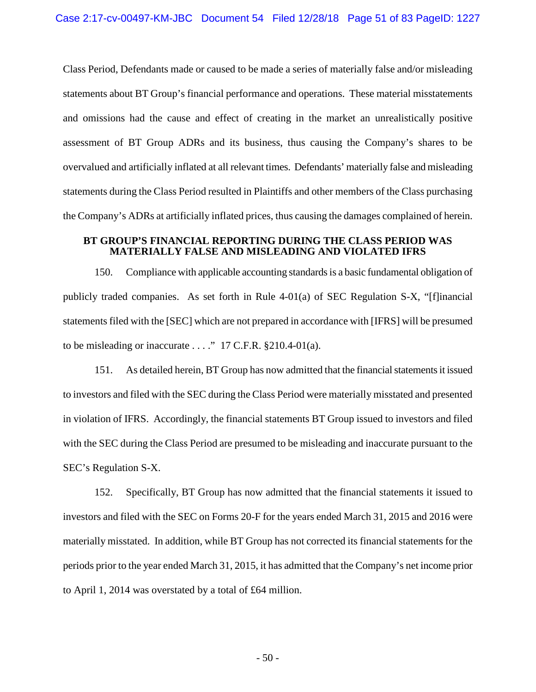Class Period, Defendants made or caused to be made a series of materially false and/or misleading statements about BT Group's financial performance and operations. These material misstatements and omissions had the cause and effect of creating in the market an unrealistically positive assessment of BT Group ADRs and its business, thus causing the Company's shares to be overvalued and artificially inflated at all relevant times. Defendants' materially false and misleading statements during the Class Period resulted in Plaintiffs and other members of the Class purchasing the Company's ADRs at artificially inflated prices, thus causing the damages complained of herein.

### **BT GROUP'S FINANCIAL REPORTING DURING THE CLASS PERIOD WAS MATERIALLY FALSE AND MISLEADING AND VIOLATED IFRS**

150. Compliance with applicable accounting standards is a basic fundamental obligation of publicly traded companies. As set forth in Rule 4-01(a) of SEC Regulation S-X, "[f]inancial statements filed with the [SEC] which are not prepared in accordance with [IFRS] will be presumed to be misleading or inaccurate  $\dots$ ." 17 C.F.R. §210.4-01(a).

151. As detailed herein, BT Group has now admitted that the financial statements it issued to investors and filed with the SEC during the Class Period were materially misstated and presented in violation of IFRS. Accordingly, the financial statements BT Group issued to investors and filed with the SEC during the Class Period are presumed to be misleading and inaccurate pursuant to the SEC's Regulation S-X.

152. Specifically, BT Group has now admitted that the financial statements it issued to investors and filed with the SEC on Forms 20-F for the years ended March 31, 2015 and 2016 were materially misstated. In addition, while BT Group has not corrected its financial statements for the periods prior to the year ended March 31, 2015, it has admitted that the Company's net income prior to April 1, 2014 was overstated by a total of £64 million.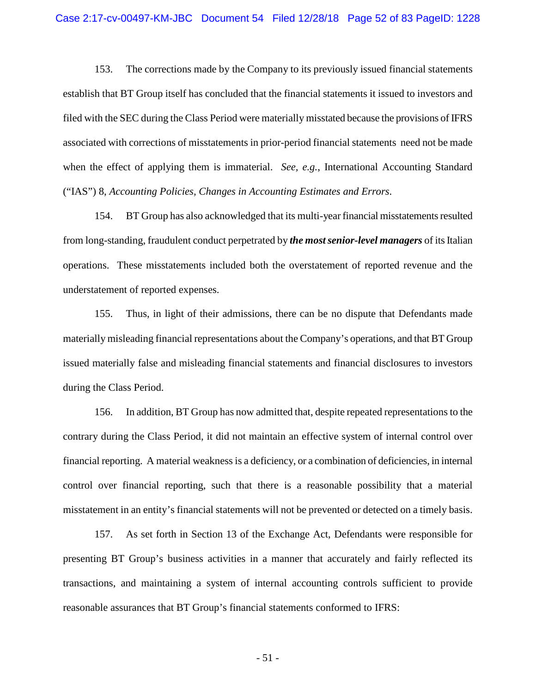153. The corrections made by the Company to its previously issued financial statements establish that BT Group itself has concluded that the financial statements it issued to investors and filed with the SEC during the Class Period were materially misstated because the provisions of IFRS associated with corrections of misstatements in prior-period financial statements need not be made when the effect of applying them is immaterial. *See, e.g.*, International Accounting Standard ("IAS") 8, *Accounting Policies, Changes in Accounting Estimates and Errors*.

154. BT Group has also acknowledged that its multi-year financial misstatements resulted from long-standing, fraudulent conduct perpetrated by *the most senior-level managers* of its Italian operations. These misstatements included both the overstatement of reported revenue and the understatement of reported expenses.

155. Thus, in light of their admissions, there can be no dispute that Defendants made materially misleading financial representations about the Company's operations, and that BT Group issued materially false and misleading financial statements and financial disclosures to investors during the Class Period.

156. In addition, BT Group has now admitted that, despite repeated representations to the contrary during the Class Period, it did not maintain an effective system of internal control over financial reporting. A material weakness is a deficiency, or a combination of deficiencies, in internal control over financial reporting, such that there is a reasonable possibility that a material misstatement in an entity's financial statements will not be prevented or detected on a timely basis.

157. As set forth in Section 13 of the Exchange Act, Defendants were responsible for presenting BT Group's business activities in a manner that accurately and fairly reflected its transactions, and maintaining a system of internal accounting controls sufficient to provide reasonable assurances that BT Group's financial statements conformed to IFRS:

- 51 -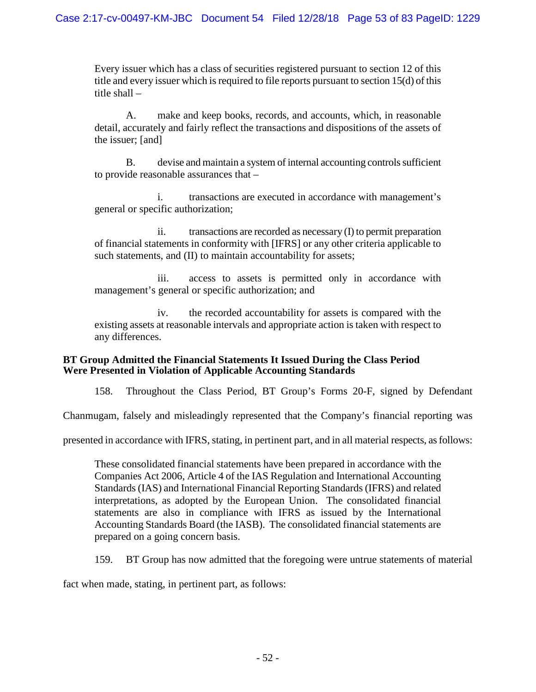Every issuer which has a class of securities registered pursuant to section 12 of this title and every issuer which is required to file reports pursuant to section 15(d) of this title shall –

A. make and keep books, records, and accounts, which, in reasonable detail, accurately and fairly reflect the transactions and dispositions of the assets of the issuer; [and]

B. devise and maintain a system of internal accounting controls sufficient to provide reasonable assurances that –

i. transactions are executed in accordance with management's general or specific authorization;

ii. transactions are recorded as necessary (I) to permit preparation of financial statements in conformity with [IFRS] or any other criteria applicable to such statements, and (II) to maintain accountability for assets;

iii. access to assets is permitted only in accordance with management's general or specific authorization; and

iv. the recorded accountability for assets is compared with the existing assets at reasonable intervals and appropriate action is taken with respect to any differences.

### **BT Group Admitted the Financial Statements It Issued During the Class Period Were Presented in Violation of Applicable Accounting Standards**

158. Throughout the Class Period, BT Group's Forms 20-F, signed by Defendant

Chanmugam, falsely and misleadingly represented that the Company's financial reporting was

presented in accordance with IFRS, stating, in pertinent part, and in all material respects, as follows:

These consolidated financial statements have been prepared in accordance with the Companies Act 2006, Article 4 of the IAS Regulation and International Accounting Standards (IAS) and International Financial Reporting Standards (IFRS) and related interpretations, as adopted by the European Union. The consolidated financial statements are also in compliance with IFRS as issued by the International Accounting Standards Board (the IASB). The consolidated financial statements are prepared on a going concern basis.

159. BT Group has now admitted that the foregoing were untrue statements of material

fact when made, stating, in pertinent part, as follows: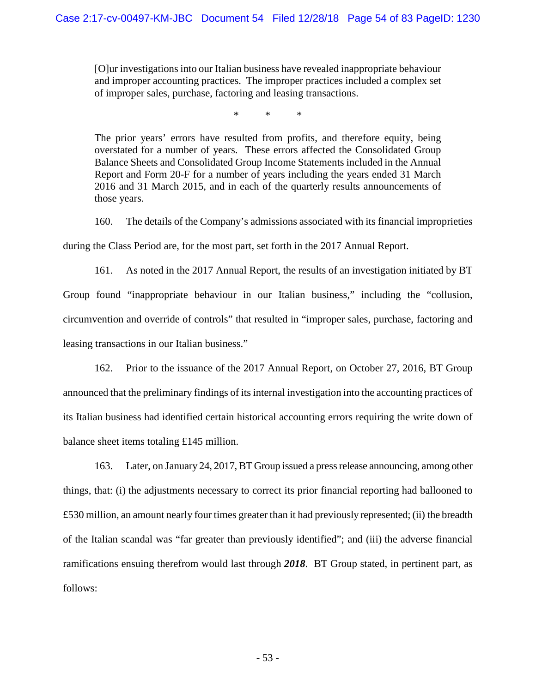[O]ur investigations into our Italian business have revealed inappropriate behaviour and improper accounting practices. The improper practices included a complex set of improper sales, purchase, factoring and leasing transactions.

\* \* \*

The prior years' errors have resulted from profits, and therefore equity, being overstated for a number of years. These errors affected the Consolidated Group Balance Sheets and Consolidated Group Income Statements included in the Annual Report and Form 20-F for a number of years including the years ended 31 March 2016 and 31 March 2015, and in each of the quarterly results announcements of those years.

160. The details of the Company's admissions associated with its financial improprieties

during the Class Period are, for the most part, set forth in the 2017 Annual Report.

161. As noted in the 2017 Annual Report, the results of an investigation initiated by BT Group found "inappropriate behaviour in our Italian business," including the "collusion, circumvention and override of controls" that resulted in "improper sales, purchase, factoring and leasing transactions in our Italian business."

162. Prior to the issuance of the 2017 Annual Report, on October 27, 2016, BT Group announced that the preliminary findings of its internal investigation into the accounting practices of its Italian business had identified certain historical accounting errors requiring the write down of balance sheet items totaling £145 million.

163. Later, on January 24, 2017, BT Group issued a press release announcing, among other things, that: (i) the adjustments necessary to correct its prior financial reporting had ballooned to £530 million, an amount nearly four times greater than it had previously represented; (ii) the breadth of the Italian scandal was "far greater than previously identified"; and (iii) the adverse financial ramifications ensuing therefrom would last through *2018*. BT Group stated, in pertinent part, as follows: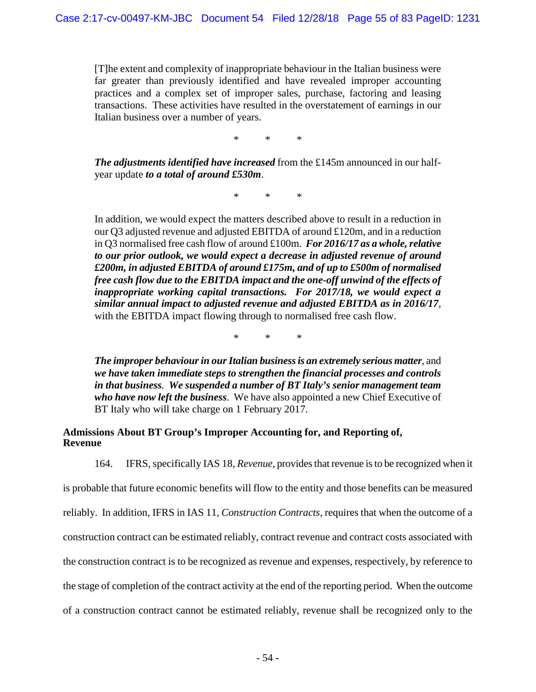[T]he extent and complexity of inappropriate behaviour in the Italian business were far greater than previously identified and have revealed improper accounting practices and a complex set of improper sales, purchase, factoring and leasing transactions. These activities have resulted in the overstatement of earnings in our Italian business over a number of years.

\* \* \*

*The adjustments identified have increased* from the £145m announced in our halfyear update *to a total of around £530m*.

\* \* \*

In addition, we would expect the matters described above to result in a reduction in our Q3 adjusted revenue and adjusted EBITDA of around £120m, and in a reduction in Q3 normalised free cash flow of around £100m. *For 2016/17 as a whole, relative to our prior outlook, we would expect a decrease in adjusted revenue of around £200m, in adjusted EBITDA of around £175m, and of up to £500m of normalised free cash flow due to the EBITDA impact and the one-off unwind of the effects of inappropriate working capital transactions. For 2017/18, we would expect a similar annual impact to adjusted revenue and adjusted EBITDA as in 2016/17,* with the EBITDA impact flowing through to normalised free cash flow.

\* \* \*

*The improper behaviour in our Italian business is an extremely serious matter,* and *we have taken immediate steps to strengthen the financial processes and controls in that business. We suspended a number of BT Italy's senior management team who have now left the business*. We have also appointed a new Chief Executive of BT Italy who will take charge on 1 February 2017.

### **Admissions About BT Group's Improper Accounting for, and Reporting of, Revenue**

164. IFRS, specifically IAS 18, *Revenue*, provides that revenue is to be recognized when it

is probable that future economic benefits will flow to the entity and those benefits can be measured

reliably. In addition, IFRS in IAS 11, *Construction Contracts*, requires that when the outcome of a

construction contract can be estimated reliably, contract revenue and contract costs associated with

the construction contract is to be recognized as revenue and expenses, respectively, by reference to

the stage of completion of the contract activity at the end of the reporting period. When the outcome

of a construction contract cannot be estimated reliably, revenue shall be recognized only to the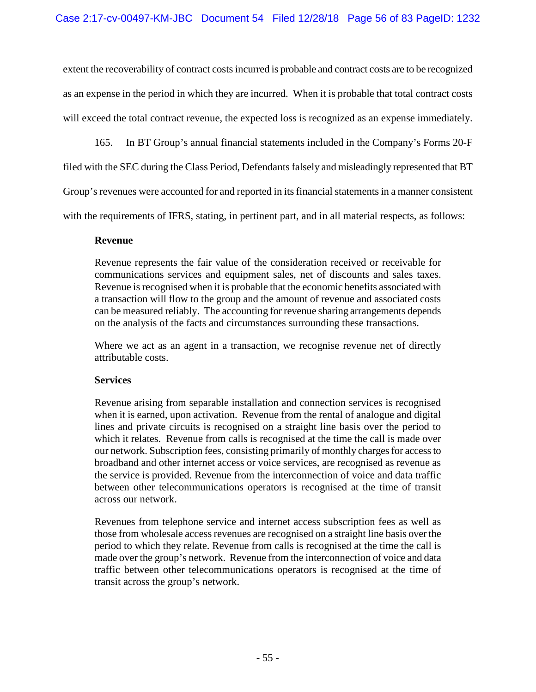extent the recoverability of contract costs incurred is probable and contract costs are to be recognized as an expense in the period in which they are incurred. When it is probable that total contract costs will exceed the total contract revenue, the expected loss is recognized as an expense immediately.

165. In BT Group's annual financial statements included in the Company's Forms 20-F

filed with the SEC during the Class Period, Defendants falsely and misleadingly represented that BT

Group's revenues were accounted for and reported in its financial statements in a manner consistent

with the requirements of IFRS, stating, in pertinent part, and in all material respects, as follows:

# **Revenue**

Revenue represents the fair value of the consideration received or receivable for communications services and equipment sales, net of discounts and sales taxes. Revenue is recognised when it is probable that the economic benefits associated with a transaction will flow to the group and the amount of revenue and associated costs can be measured reliably. The accounting for revenue sharing arrangements depends on the analysis of the facts and circumstances surrounding these transactions.

Where we act as an agent in a transaction, we recognise revenue net of directly attributable costs.

# **Services**

Revenue arising from separable installation and connection services is recognised when it is earned, upon activation. Revenue from the rental of analogue and digital lines and private circuits is recognised on a straight line basis over the period to which it relates. Revenue from calls is recognised at the time the call is made over our network. Subscription fees, consisting primarily of monthly charges for access to broadband and other internet access or voice services, are recognised as revenue as the service is provided. Revenue from the interconnection of voice and data traffic between other telecommunications operators is recognised at the time of transit across our network.

Revenues from telephone service and internet access subscription fees as well as those from wholesale access revenues are recognised on a straight line basis over the period to which they relate. Revenue from calls is recognised at the time the call is made over the group's network. Revenue from the interconnection of voice and data traffic between other telecommunications operators is recognised at the time of transit across the group's network.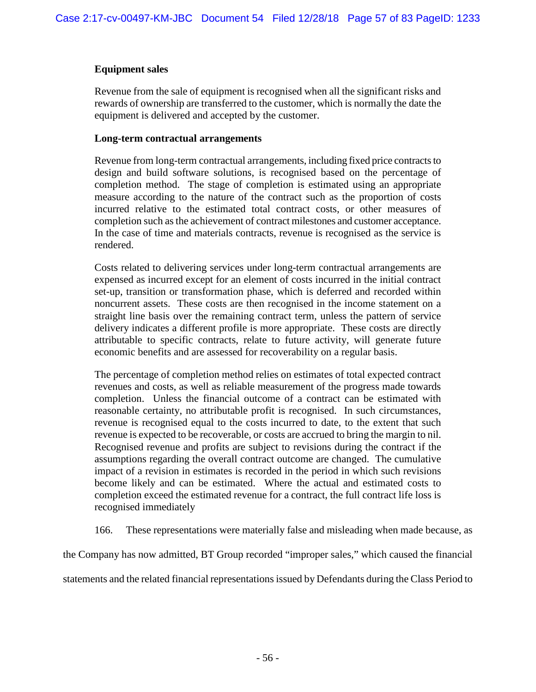# **Equipment sales**

Revenue from the sale of equipment is recognised when all the significant risks and rewards of ownership are transferred to the customer, which is normally the date the equipment is delivered and accepted by the customer.

# **Long-term contractual arrangements**

Revenue from long-term contractual arrangements, including fixed price contracts to design and build software solutions, is recognised based on the percentage of completion method. The stage of completion is estimated using an appropriate measure according to the nature of the contract such as the proportion of costs incurred relative to the estimated total contract costs, or other measures of completion such as the achievement of contract milestones and customer acceptance. In the case of time and materials contracts, revenue is recognised as the service is rendered.

Costs related to delivering services under long-term contractual arrangements are expensed as incurred except for an element of costs incurred in the initial contract set-up, transition or transformation phase, which is deferred and recorded within noncurrent assets. These costs are then recognised in the income statement on a straight line basis over the remaining contract term, unless the pattern of service delivery indicates a different profile is more appropriate. These costs are directly attributable to specific contracts, relate to future activity, will generate future economic benefits and are assessed for recoverability on a regular basis.

The percentage of completion method relies on estimates of total expected contract revenues and costs, as well as reliable measurement of the progress made towards completion. Unless the financial outcome of a contract can be estimated with reasonable certainty, no attributable profit is recognised. In such circumstances, revenue is recognised equal to the costs incurred to date, to the extent that such revenue is expected to be recoverable, or costs are accrued to bring the margin to nil. Recognised revenue and profits are subject to revisions during the contract if the assumptions regarding the overall contract outcome are changed. The cumulative impact of a revision in estimates is recorded in the period in which such revisions become likely and can be estimated. Where the actual and estimated costs to completion exceed the estimated revenue for a contract, the full contract life loss is recognised immediately

166. These representations were materially false and misleading when made because, as

the Company has now admitted, BT Group recorded "improper sales," which caused the financial

statements and the related financial representations issued by Defendants during the Class Period to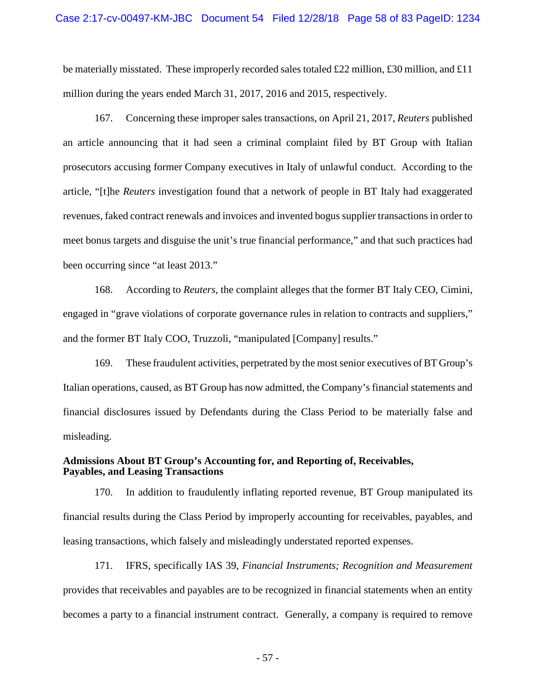#### Case 2:17-cv-00497-KM-JBC Document 54 Filed 12/28/18 Page 58 of 83 PageID: 1234

be materially misstated. These improperly recorded sales totaled £22 million, £30 million, and £11 million during the years ended March 31, 2017, 2016 and 2015, respectively.

167. Concerning these improper sales transactions, on April 21, 2017, *Reuters* published an article announcing that it had seen a criminal complaint filed by BT Group with Italian prosecutors accusing former Company executives in Italy of unlawful conduct. According to the article, "[t]he *Reuters* investigation found that a network of people in BT Italy had exaggerated revenues, faked contract renewals and invoices and invented bogus supplier transactions in order to meet bonus targets and disguise the unit's true financial performance," and that such practices had been occurring since "at least 2013."

168. According to *Reuters*, the complaint alleges that the former BT Italy CEO, Cimini, engaged in "grave violations of corporate governance rules in relation to contracts and suppliers," and the former BT Italy COO, Truzzoli, "manipulated [Company] results."

169. These fraudulent activities, perpetrated by the most senior executives of BT Group's Italian operations, caused, as BT Group has now admitted, the Company's financial statements and financial disclosures issued by Defendants during the Class Period to be materially false and misleading.

### **Admissions About BT Group's Accounting for, and Reporting of, Receivables, Payables, and Leasing Transactions**

170. In addition to fraudulently inflating reported revenue, BT Group manipulated its financial results during the Class Period by improperly accounting for receivables, payables, and leasing transactions, which falsely and misleadingly understated reported expenses.

171. IFRS, specifically IAS 39, *Financial Instruments; Recognition and Measurement*  provides that receivables and payables are to be recognized in financial statements when an entity becomes a party to a financial instrument contract. Generally, a company is required to remove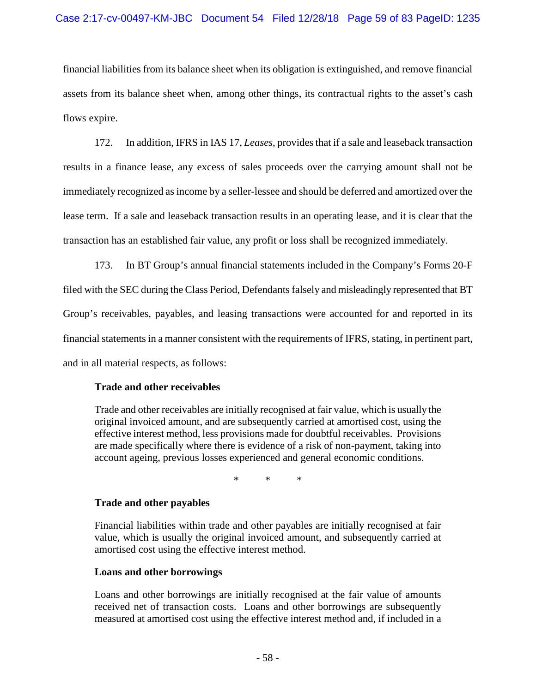financial liabilities from its balance sheet when its obligation is extinguished, and remove financial assets from its balance sheet when, among other things, its contractual rights to the asset's cash flows expire.

172. In addition, IFRS in IAS 17, *Leases*, provides that if a sale and leaseback transaction results in a finance lease, any excess of sales proceeds over the carrying amount shall not be immediately recognized as income by a seller-lessee and should be deferred and amortized over the lease term. If a sale and leaseback transaction results in an operating lease, and it is clear that the transaction has an established fair value, any profit or loss shall be recognized immediately.

173. In BT Group's annual financial statements included in the Company's Forms 20-F filed with the SEC during the Class Period, Defendants falsely and misleadingly represented that BT Group's receivables, payables, and leasing transactions were accounted for and reported in its financial statements in a manner consistent with the requirements of IFRS, stating, in pertinent part, and in all material respects, as follows:

# **Trade and other receivables**

Trade and other receivables are initially recognised at fair value, which is usually the original invoiced amount, and are subsequently carried at amortised cost, using the effective interest method, less provisions made for doubtful receivables. Provisions are made specifically where there is evidence of a risk of non-payment, taking into account ageing, previous losses experienced and general economic conditions.

\* \* \*

# **Trade and other payables**

Financial liabilities within trade and other payables are initially recognised at fair value, which is usually the original invoiced amount, and subsequently carried at amortised cost using the effective interest method.

# **Loans and other borrowings**

Loans and other borrowings are initially recognised at the fair value of amounts received net of transaction costs. Loans and other borrowings are subsequently measured at amortised cost using the effective interest method and, if included in a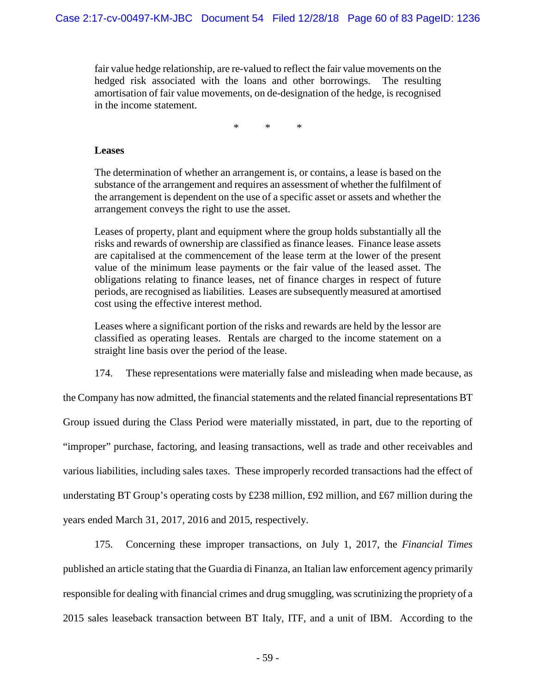fair value hedge relationship, are re-valued to reflect the fair value movements on the hedged risk associated with the loans and other borrowings. The resulting amortisation of fair value movements, on de-designation of the hedge, is recognised in the income statement.

\* \* \*

### **Leases**

The determination of whether an arrangement is, or contains, a lease is based on the substance of the arrangement and requires an assessment of whether the fulfilment of the arrangement is dependent on the use of a specific asset or assets and whether the arrangement conveys the right to use the asset.

Leases of property, plant and equipment where the group holds substantially all the risks and rewards of ownership are classified as finance leases. Finance lease assets are capitalised at the commencement of the lease term at the lower of the present value of the minimum lease payments or the fair value of the leased asset. The obligations relating to finance leases, net of finance charges in respect of future periods, are recognised as liabilities. Leases are subsequently measured at amortised cost using the effective interest method.

Leases where a significant portion of the risks and rewards are held by the lessor are classified as operating leases. Rentals are charged to the income statement on a straight line basis over the period of the lease.

174. These representations were materially false and misleading when made because, as

the Company has now admitted, the financial statements and the related financial representations BT Group issued during the Class Period were materially misstated, in part, due to the reporting of "improper" purchase, factoring, and leasing transactions, well as trade and other receivables and various liabilities, including sales taxes. These improperly recorded transactions had the effect of understating BT Group's operating costs by £238 million, £92 million, and £67 million during the years ended March 31, 2017, 2016 and 2015, respectively.

175. Concerning these improper transactions, on July 1, 2017, the *Financial Times*  published an article stating that the Guardia di Finanza, an Italian law enforcement agency primarily responsible for dealing with financial crimes and drug smuggling, was scrutinizing the propriety of a 2015 sales leaseback transaction between BT Italy, ITF, and a unit of IBM. According to the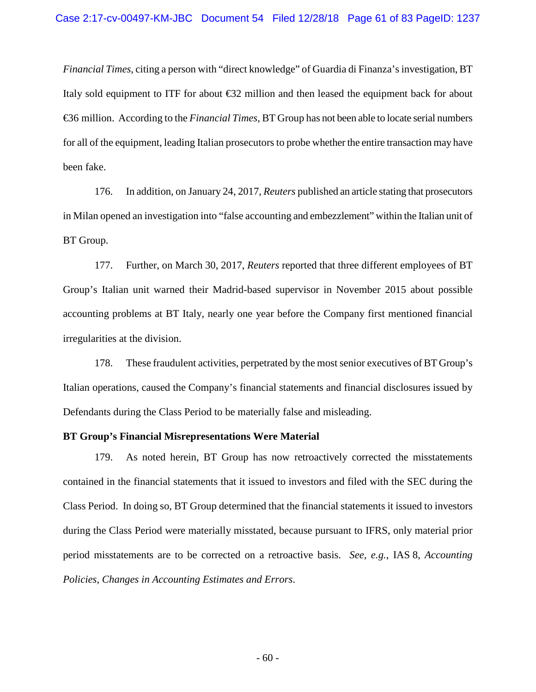*Financial Times*, citing a person with "direct knowledge" of Guardia di Finanza's investigation, BT Italy sold equipment to ITF for about €32 million and then leased the equipment back for about €36 million. According to the *Financial Times*, BT Group has not been able to locate serial numbers for all of the equipment, leading Italian prosecutors to probe whether the entire transaction may have been fake.

176. In addition, on January 24, 2017, *Reuters* published an article stating that prosecutors in Milan opened an investigation into "false accounting and embezzlement" within the Italian unit of BT Group.

177. Further, on March 30, 2017, *Reuters* reported that three different employees of BT Group's Italian unit warned their Madrid-based supervisor in November 2015 about possible accounting problems at BT Italy, nearly one year before the Company first mentioned financial irregularities at the division.

178. These fraudulent activities, perpetrated by the most senior executives of BT Group's Italian operations, caused the Company's financial statements and financial disclosures issued by Defendants during the Class Period to be materially false and misleading.

#### **BT Group's Financial Misrepresentations Were Material**

179. As noted herein, BT Group has now retroactively corrected the misstatements contained in the financial statements that it issued to investors and filed with the SEC during the Class Period. In doing so, BT Group determined that the financial statements it issued to investors during the Class Period were materially misstated, because pursuant to IFRS, only material prior period misstatements are to be corrected on a retroactive basis. *See, e.g.*, IAS 8, *Accounting Policies, Changes in Accounting Estimates and Errors*.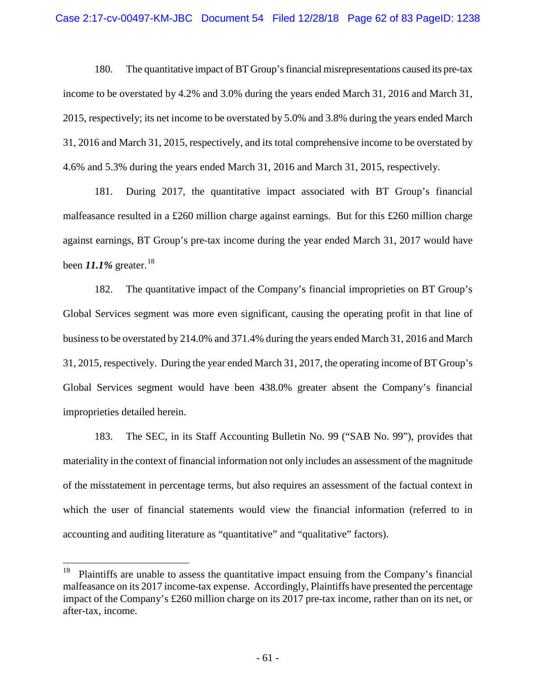180. The quantitative impact of BT Group's financial misrepresentations caused its pre-tax income to be overstated by 4.2% and 3.0% during the years ended March 31, 2016 and March 31, 2015, respectively; its net income to be overstated by 5.0% and 3.8% during the years ended March 31, 2016 and March 31, 2015, respectively, and its total comprehensive income to be overstated by 4.6% and 5.3% during the years ended March 31, 2016 and March 31, 2015, respectively.

181. During 2017, the quantitative impact associated with BT Group's financial malfeasance resulted in a £260 million charge against earnings. But for this £260 million charge against earnings, BT Group's pre-tax income during the year ended March 31, 2017 would have been  $11.1\%$  greater.<sup>[18](#page-61-0)</sup>

182. The quantitative impact of the Company's financial improprieties on BT Group's Global Services segment was more even significant, causing the operating profit in that line of business to be overstated by 214.0% and 371.4% during the years ended March 31, 2016 and March 31, 2015, respectively. During the year ended March 31, 2017, the operating income of BT Group's Global Services segment would have been 438.0% greater absent the Company's financial improprieties detailed herein.

183. The SEC, in its Staff Accounting Bulletin No. 99 ("SAB No. 99"), provides that materiality in the context of financial information not only includes an assessment of the magnitude of the misstatement in percentage terms, but also requires an assessment of the factual context in which the user of financial statements would view the financial information (referred to in accounting and auditing literature as "quantitative" and "qualitative" factors).

<span id="page-61-0"></span> $18$  Plaintiffs are unable to assess the quantitative impact ensuing from the Company's financial malfeasance on its 2017 income-tax expense. Accordingly, Plaintiffs have presented the percentage impact of the Company's £260 million charge on its 2017 pre-tax income, rather than on its net, or after-tax, income.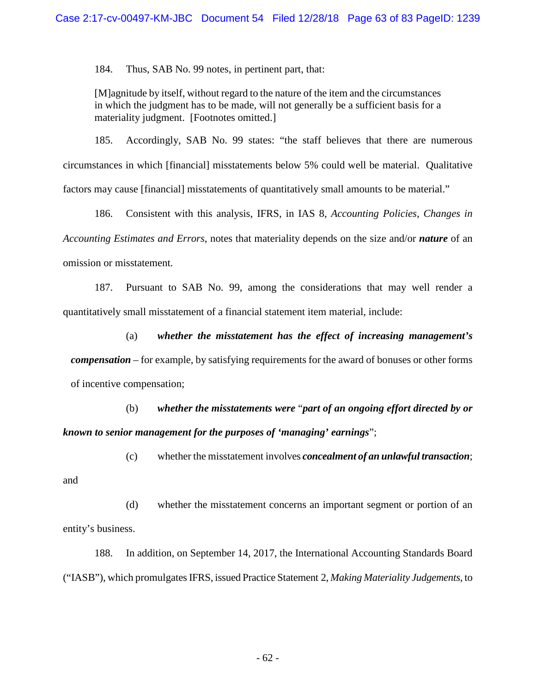184. Thus, SAB No. 99 notes, in pertinent part, that:

[M]agnitude by itself, without regard to the nature of the item and the circumstances in which the judgment has to be made, will not generally be a sufficient basis for a materiality judgment. [Footnotes omitted.]

185. Accordingly, SAB No. 99 states: "the staff believes that there are numerous circumstances in which [financial] misstatements below 5% could well be material. Qualitative factors may cause [financial] misstatements of quantitatively small amounts to be material."

186. Consistent with this analysis, IFRS, in IAS 8, *Accounting Policies, Changes in Accounting Estimates and Errors*, notes that materiality depends on the size and/or *nature* of an omission or misstatement.

187. Pursuant to SAB No. 99, among the considerations that may well render a quantitatively small misstatement of a financial statement item material, include:

(a) *whether the misstatement has the effect of increasing management's compensation* – for example, by satisfying requirements for the award of bonuses or other forms

of incentive compensation;

(b) *whether the misstatements were* "*part of an ongoing effort directed by or known to senior management for the purposes of 'managing' earnings*";

(c) whether the misstatement involves *concealment of an unlawful transaction*;

and

(d) whether the misstatement concerns an important segment or portion of an entity's business.

188. In addition, on September 14, 2017, the International Accounting Standards Board ("IASB"), which promulgates IFRS, issued Practice Statement 2, *Making Materiality Judgements*, to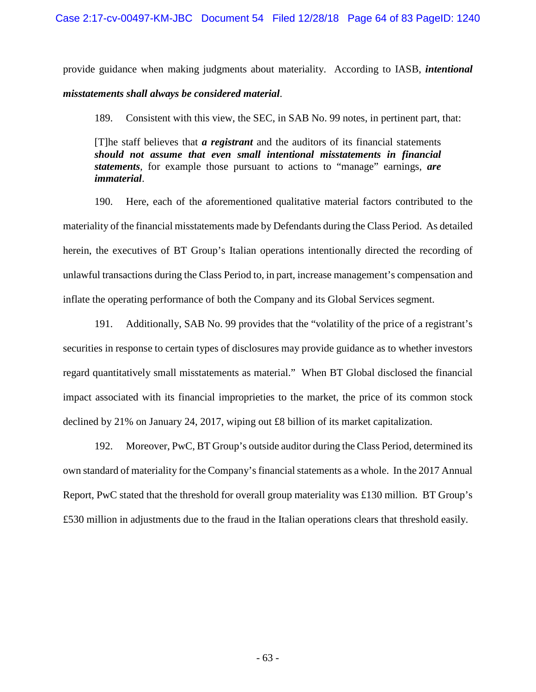provide guidance when making judgments about materiality. According to IASB, *intentional misstatements shall always be considered material*.

189. Consistent with this view, the SEC, in SAB No. 99 notes, in pertinent part, that:

[T]he staff believes that *a registrant* and the auditors of its financial statements *should not assume that even small intentional misstatements in financial statements*, for example those pursuant to actions to "manage" earnings, *are immaterial*.

190. Here, each of the aforementioned qualitative material factors contributed to the materiality of the financial misstatements made by Defendants during the Class Period. As detailed herein, the executives of BT Group's Italian operations intentionally directed the recording of unlawful transactions during the Class Period to, in part, increase management's compensation and inflate the operating performance of both the Company and its Global Services segment.

191. Additionally, SAB No. 99 provides that the "volatility of the price of a registrant's securities in response to certain types of disclosures may provide guidance as to whether investors regard quantitatively small misstatements as material." When BT Global disclosed the financial impact associated with its financial improprieties to the market, the price of its common stock declined by 21% on January 24, 2017, wiping out £8 billion of its market capitalization.

192. Moreover, PwC, BT Group's outside auditor during the Class Period, determined its own standard of materiality for the Company's financial statements as a whole. In the 2017 Annual Report, PwC stated that the threshold for overall group materiality was £130 million. BT Group's £530 million in adjustments due to the fraud in the Italian operations clears that threshold easily.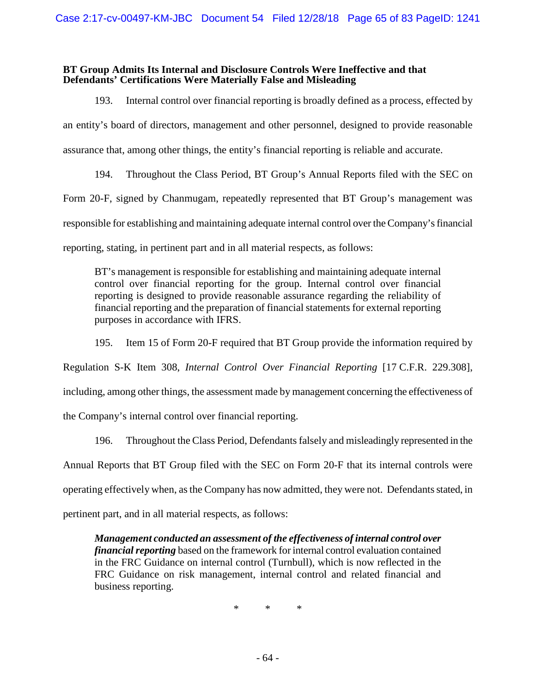## **BT Group Admits Its Internal and Disclosure Controls Were Ineffective and that Defendants' Certifications Were Materially False and Misleading**

193. Internal control over financial reporting is broadly defined as a process, effected by an entity's board of directors, management and other personnel, designed to provide reasonable assurance that, among other things, the entity's financial reporting is reliable and accurate.

194. Throughout the Class Period, BT Group's Annual Reports filed with the SEC on Form 20-F, signed by Chanmugam, repeatedly represented that BT Group's management was responsible for establishing and maintaining adequate internal control over the Company's financial reporting, stating, in pertinent part and in all material respects, as follows:

BT's management is responsible for establishing and maintaining adequate internal control over financial reporting for the group. Internal control over financial reporting is designed to provide reasonable assurance regarding the reliability of financial reporting and the preparation of financial statements for external reporting purposes in accordance with IFRS.

195. Item 15 of Form 20-F required that BT Group provide the information required by

Regulation S-K Item 308, *Internal Control Over Financial Reporting* [17 C.F.R. 229.308],

including, among other things, the assessment made by management concerning the effectiveness of

the Company's internal control over financial reporting.

196. Throughout the Class Period, Defendants falsely and misleadingly represented in the

Annual Reports that BT Group filed with the SEC on Form 20-F that its internal controls were

operating effectively when, as the Company has now admitted, they were not. Defendants stated, in

pertinent part, and in all material respects, as follows:

*Management conducted an assessment of the effectiveness of internal control over financial reporting* based on the framework for internal control evaluation contained in the FRC Guidance on internal control (Turnbull), which is now reflected in the FRC Guidance on risk management, internal control and related financial and business reporting.

\* \* \*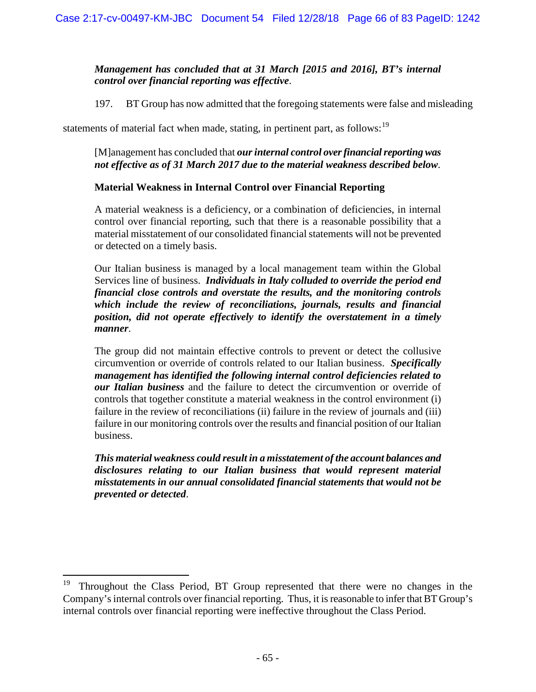# *Management has concluded that at 31 March [2015 and 2016], BT's internal control over financial reporting was effective*.

197. BT Group has now admitted that the foregoing statements were false and misleading

statements of material fact when made, stating, in pertinent part, as follows:<sup>[19](#page-65-0)</sup>

[M]anagement has concluded that *our internal control over financial reporting was not effective as of 31 March 2017 due to the material weakness described below*.

# **Material Weakness in Internal Control over Financial Reporting**

A material weakness is a deficiency, or a combination of deficiencies, in internal control over financial reporting, such that there is a reasonable possibility that a material misstatement of our consolidated financial statements will not be prevented or detected on a timely basis.

Our Italian business is managed by a local management team within the Global Services line of business. *Individuals in Italy colluded to override the period end financial close controls and overstate the results, and the monitoring controls which include the review of reconciliations, journals, results and financial position, did not operate effectively to identify the overstatement in a timely manner*.

The group did not maintain effective controls to prevent or detect the collusive circumvention or override of controls related to our Italian business. *Specifically management has identified the following internal control deficiencies related to our Italian business* and the failure to detect the circumvention or override of controls that together constitute a material weakness in the control environment (i) failure in the review of reconciliations (ii) failure in the review of journals and (iii) failure in our monitoring controls over the results and financial position of our Italian business.

*This material weakness could result in a misstatement of the account balances and disclosures relating to our Italian business that would represent material misstatements in our annual consolidated financial statements that would not be prevented or detected*.

<span id="page-65-0"></span>Throughout the Class Period, BT Group represented that there were no changes in the Company's internal controls over financial reporting. Thus, it is reasonable to infer that BT Group's internal controls over financial reporting were ineffective throughout the Class Period.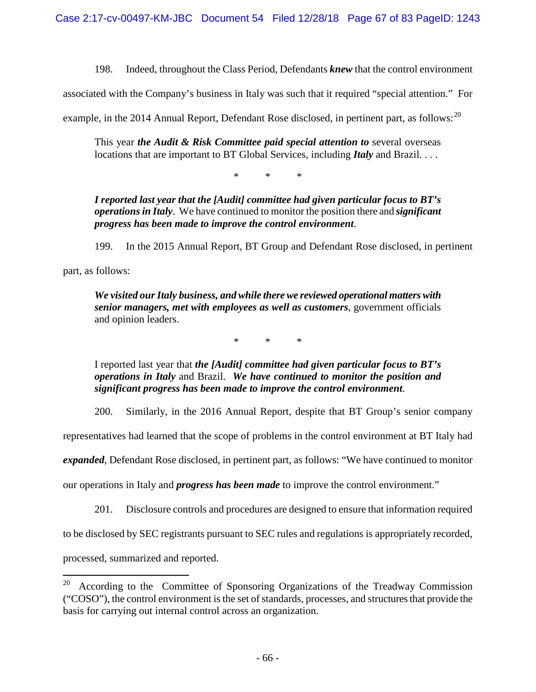198. Indeed, throughout the Class Period, Defendants *knew* that the control environment

associated with the Company's business in Italy was such that it required "special attention." For

example, in the [20](#page-66-0)14 Annual Report, Defendant Rose disclosed, in pertinent part, as follows:  $^{20}$ 

This year *the Audit & Risk Committee paid special attention to* several overseas locations that are important to BT Global Services, including *Italy* and Brazil. . . .

\* \* \*

*I reported last year that the [Audit] committee had given particular focus to BT's operations in Italy*. We have continued to monitor the position there and *significant progress has been made to improve the control environment*.

199. In the 2015 Annual Report, BT Group and Defendant Rose disclosed, in pertinent

part, as follows:

*We visited our Italy business, and while there we reviewed operational matters with senior managers, met with employees as well as customers*, government officials and opinion leaders.

\* \* \*

I reported last year that *the [Audit] committee had given particular focus to BT's operations in Italy* and Brazil. *We have continued to monitor the position and significant progress has been made to improve the control environment*.

200. Similarly, in the 2016 Annual Report, despite that BT Group's senior company

representatives had learned that the scope of problems in the control environment at BT Italy had

*expanded*, Defendant Rose disclosed, in pertinent part, as follows: "We have continued to monitor

our operations in Italy and *progress has been made* to improve the control environment."

201. Disclosure controls and procedures are designed to ensure that information required

to be disclosed by SEC registrants pursuant to SEC rules and regulations is appropriately recorded,

processed, summarized and reported.

<span id="page-66-0"></span> $20$  According to the Committee of Sponsoring Organizations of the Treadway Commission ("COSO"), the control environment is the set of standards, processes, and structures that provide the basis for carrying out internal control across an organization.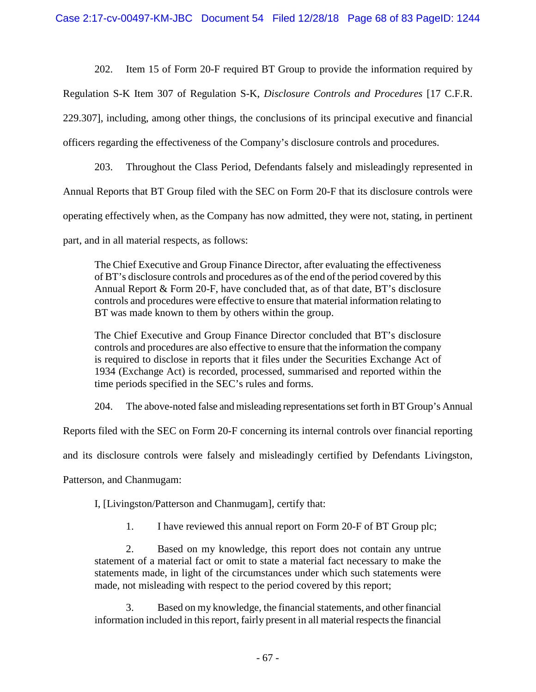202. Item 15 of Form 20-F required BT Group to provide the information required by

Regulation S-K Item 307 of Regulation S-K, *Disclosure Controls and Procedures* [17 C.F.R.

229.307], including, among other things, the conclusions of its principal executive and financial

officers regarding the effectiveness of the Company's disclosure controls and procedures.

203. Throughout the Class Period, Defendants falsely and misleadingly represented in Annual Reports that BT Group filed with the SEC on Form 20-F that its disclosure controls were operating effectively when, as the Company has now admitted, they were not, stating, in pertinent

part, and in all material respects, as follows:

The Chief Executive and Group Finance Director, after evaluating the effectiveness of BT's disclosure controls and procedures as of the end of the period covered by this Annual Report & Form 20-F, have concluded that, as of that date, BT's disclosure controls and procedures were effective to ensure that material information relating to BT was made known to them by others within the group.

The Chief Executive and Group Finance Director concluded that BT's disclosure controls and procedures are also effective to ensure that the information the company is required to disclose in reports that it files under the Securities Exchange Act of 1934 (Exchange Act) is recorded, processed, summarised and reported within the time periods specified in the SEC's rules and forms.

204. The above-noted false and misleading representations set forth in BT Group's Annual

Reports filed with the SEC on Form 20-F concerning its internal controls over financial reporting

and its disclosure controls were falsely and misleadingly certified by Defendants Livingston,

Patterson, and Chanmugam:

I, [Livingston/Patterson and Chanmugam], certify that:

1. I have reviewed this annual report on Form 20-F of BT Group plc;

2. Based on my knowledge, this report does not contain any untrue statement of a material fact or omit to state a material fact necessary to make the statements made, in light of the circumstances under which such statements were made, not misleading with respect to the period covered by this report;

3. Based on my knowledge, the financial statements, and other financial information included in this report, fairly present in all material respects the financial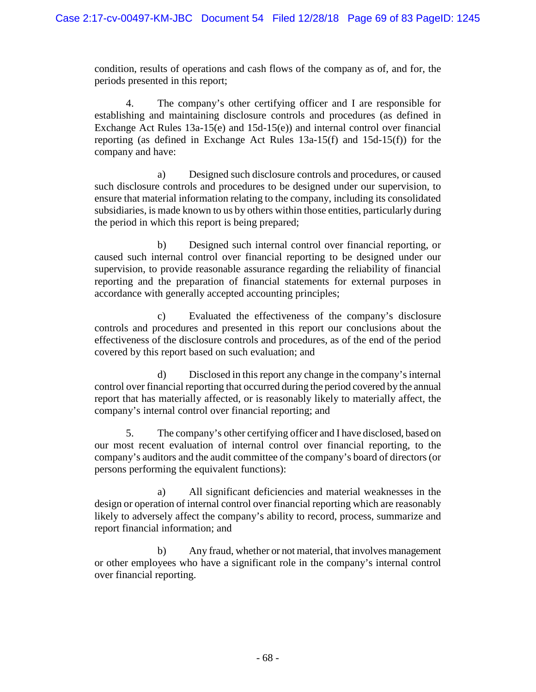condition, results of operations and cash flows of the company as of, and for, the periods presented in this report;

4. The company's other certifying officer and I are responsible for establishing and maintaining disclosure controls and procedures (as defined in Exchange Act Rules 13a-15(e) and 15d-15(e)) and internal control over financial reporting (as defined in Exchange Act Rules 13a-15(f) and 15d-15(f)) for the company and have:

a) Designed such disclosure controls and procedures, or caused such disclosure controls and procedures to be designed under our supervision, to ensure that material information relating to the company, including its consolidated subsidiaries, is made known to us by others within those entities, particularly during the period in which this report is being prepared;

b) Designed such internal control over financial reporting, or caused such internal control over financial reporting to be designed under our supervision, to provide reasonable assurance regarding the reliability of financial reporting and the preparation of financial statements for external purposes in accordance with generally accepted accounting principles;

c) Evaluated the effectiveness of the company's disclosure controls and procedures and presented in this report our conclusions about the effectiveness of the disclosure controls and procedures, as of the end of the period covered by this report based on such evaluation; and

d) Disclosed in this report any change in the company's internal control over financial reporting that occurred during the period covered by the annual report that has materially affected, or is reasonably likely to materially affect, the company's internal control over financial reporting; and

5. The company's other certifying officer and I have disclosed, based on our most recent evaluation of internal control over financial reporting, to the company's auditors and the audit committee of the company's board of directors (or persons performing the equivalent functions):

a) All significant deficiencies and material weaknesses in the design or operation of internal control over financial reporting which are reasonably likely to adversely affect the company's ability to record, process, summarize and report financial information; and

b) Any fraud, whether or not material, that involves management or other employees who have a significant role in the company's internal control over financial reporting.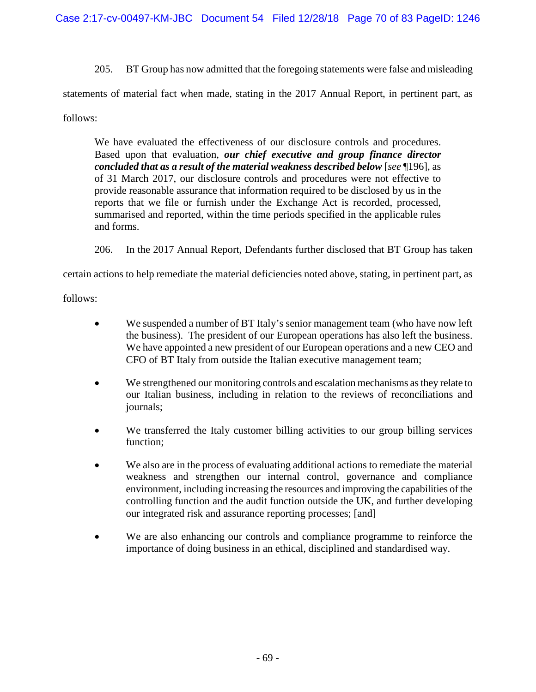205. BT Group has now admitted that the foregoing statements were false and misleading

statements of material fact when made, stating in the 2017 Annual Report, in pertinent part, as

follows:

We have evaluated the effectiveness of our disclosure controls and procedures. Based upon that evaluation, *our chief executive and group finance director concluded that as a result of the material weakness described below* [*see* ¶196], as of 31 March 2017, our disclosure controls and procedures were not effective to provide reasonable assurance that information required to be disclosed by us in the reports that we file or furnish under the Exchange Act is recorded, processed, summarised and reported, within the time periods specified in the applicable rules and forms.

206. In the 2017 Annual Report, Defendants further disclosed that BT Group has taken

certain actions to help remediate the material deficiencies noted above, stating, in pertinent part, as

follows:

- We suspended a number of BT Italy's senior management team (who have now left the business). The president of our European operations has also left the business. We have appointed a new president of our European operations and a new CEO and CFO of BT Italy from outside the Italian executive management team;
- We strengthened our monitoring controls and escalation mechanisms as they relate to our Italian business, including in relation to the reviews of reconciliations and journals;
- We transferred the Italy customer billing activities to our group billing services function;
- We also are in the process of evaluating additional actions to remediate the material weakness and strengthen our internal control, governance and compliance environment, including increasing the resources and improving the capabilities of the controlling function and the audit function outside the UK, and further developing our integrated risk and assurance reporting processes; [and]
- We are also enhancing our controls and compliance programme to reinforce the importance of doing business in an ethical, disciplined and standardised way.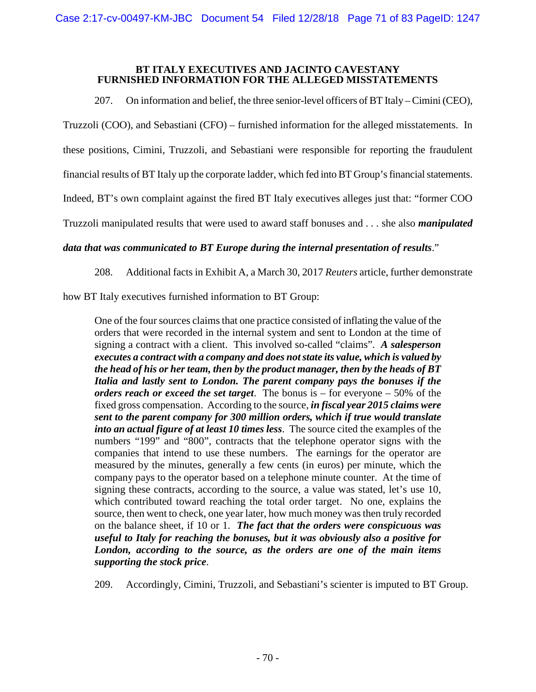### **BT ITALY EXECUTIVES AND JACINTO CAVESTANY FURNISHED INFORMATION FOR THE ALLEGED MISSTATEMENTS**

207. On information and belief, the three senior-level officers of BT Italy – Cimini (CEO),

Truzzoli (COO), and Sebastiani (CFO) – furnished information for the alleged misstatements. In

these positions, Cimini, Truzzoli, and Sebastiani were responsible for reporting the fraudulent

financial results of BT Italy up the corporate ladder, which fed into BT Group's financial statements.

Indeed, BT's own complaint against the fired BT Italy executives alleges just that: "former COO

Truzzoli manipulated results that were used to award staff bonuses and . . . she also *manipulated* 

*data that was communicated to BT Europe during the internal presentation of results*."

208. Additional facts in Exhibit A, a March 30, 2017 *Reuters* article, further demonstrate

how BT Italy executives furnished information to BT Group:

One of the four sources claims that one practice consisted of inflating the value of the orders that were recorded in the internal system and sent to London at the time of signing a contract with a client. This involved so-called "claims". *A salesperson executes a contract with a company and does not state its value, which is valued by the head of his or her team, then by the product manager, then by the heads of BT Italia and lastly sent to London. The parent company pays the bonuses if the orders reach or exceed the set target*. The bonus is – for everyone – 50% of the fixed gross compensation. According to the source, *in fiscal year 2015 claims were sent to the parent company for 300 million orders, which if true would translate into an actual figure of at least 10 times less*. The source cited the examples of the numbers "199" and "800", contracts that the telephone operator signs with the companies that intend to use these numbers. The earnings for the operator are measured by the minutes, generally a few cents (in euros) per minute, which the company pays to the operator based on a telephone minute counter. At the time of signing these contracts, according to the source, a value was stated, let's use 10, which contributed toward reaching the total order target. No one, explains the source, then went to check, one year later, how much money was then truly recorded on the balance sheet, if 10 or 1. *The fact that the orders were conspicuous was useful to Italy for reaching the bonuses, but it was obviously also a positive for London, according to the source, as the orders are one of the main items supporting the stock price*.

209. Accordingly, Cimini, Truzzoli, and Sebastiani's scienter is imputed to BT Group.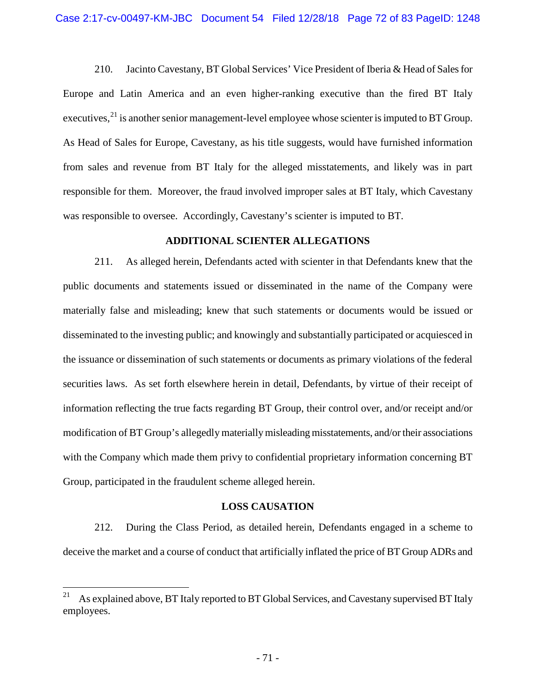210. Jacinto Cavestany, BT Global Services' Vice President of Iberia & Head of Sales for Europe and Latin America and an even higher-ranking executive than the fired BT Italy executives, $^{21}$  $^{21}$  $^{21}$  is another senior management-level employee whose scienter is imputed to BT Group. As Head of Sales for Europe, Cavestany, as his title suggests, would have furnished information from sales and revenue from BT Italy for the alleged misstatements, and likely was in part responsible for them. Moreover, the fraud involved improper sales at BT Italy, which Cavestany was responsible to oversee. Accordingly, Cavestany's scienter is imputed to BT.

### **ADDITIONAL SCIENTER ALLEGATIONS**

211. As alleged herein, Defendants acted with scienter in that Defendants knew that the public documents and statements issued or disseminated in the name of the Company were materially false and misleading; knew that such statements or documents would be issued or disseminated to the investing public; and knowingly and substantially participated or acquiesced in the issuance or dissemination of such statements or documents as primary violations of the federal securities laws. As set forth elsewhere herein in detail, Defendants, by virtue of their receipt of information reflecting the true facts regarding BT Group, their control over, and/or receipt and/or modification of BT Group's allegedly materially misleading misstatements, and/or their associations with the Company which made them privy to confidential proprietary information concerning BT Group, participated in the fraudulent scheme alleged herein.

### **LOSS CAUSATION**

212. During the Class Period, as detailed herein, Defendants engaged in a scheme to deceive the market and a course of conduct that artificially inflated the price of BT Group ADRs and

<span id="page-71-0"></span>As explained above, BT Italy reported to BT Global Services, and Cavestany supervised BT Italy employees.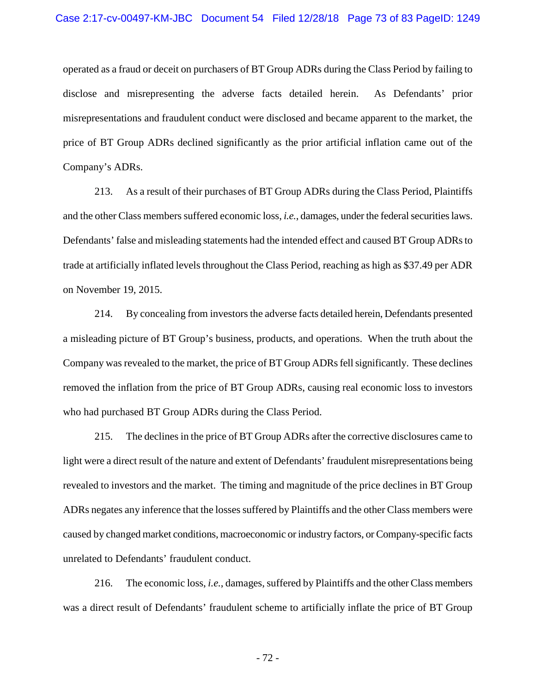# Case 2:17-cv-00497-KM-JBC Document 54 Filed 12/28/18 Page 73 of 83 PageID: 1249

operated as a fraud or deceit on purchasers of BT Group ADRs during the Class Period by failing to disclose and misrepresenting the adverse facts detailed herein. As Defendants' prior misrepresentations and fraudulent conduct were disclosed and became apparent to the market, the price of BT Group ADRs declined significantly as the prior artificial inflation came out of the Company's ADRs.

213. As a result of their purchases of BT Group ADRs during the Class Period, Plaintiffs and the other Class members suffered economic loss, *i.e.*, damages, under the federal securities laws. Defendants' false and misleading statements had the intended effect and caused BT Group ADRs to trade at artificially inflated levels throughout the Class Period, reaching as high as \$37.49 per ADR on November 19, 2015.

214. By concealing from investors the adverse facts detailed herein, Defendants presented a misleading picture of BT Group's business, products, and operations. When the truth about the Company was revealed to the market, the price of BT Group ADRs fell significantly. These declines removed the inflation from the price of BT Group ADRs, causing real economic loss to investors who had purchased BT Group ADRs during the Class Period.

215. The declines in the price of BT Group ADRs after the corrective disclosures came to light were a direct result of the nature and extent of Defendants' fraudulent misrepresentations being revealed to investors and the market. The timing and magnitude of the price declines in BT Group ADRs negates any inference that the losses suffered by Plaintiffs and the other Class members were caused by changed market conditions, macroeconomic or industry factors, or Company-specific facts unrelated to Defendants' fraudulent conduct.

216. The economic loss, *i.e.*, damages, suffered by Plaintiffs and the other Class members was a direct result of Defendants' fraudulent scheme to artificially inflate the price of BT Group

- 72 -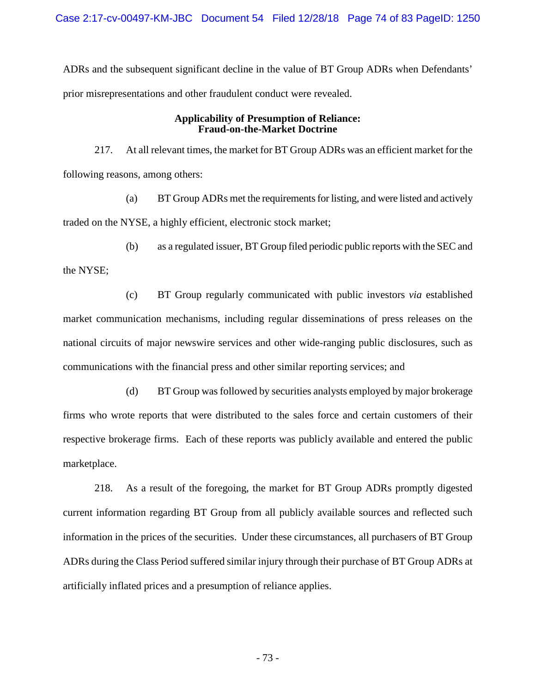ADRs and the subsequent significant decline in the value of BT Group ADRs when Defendants' prior misrepresentations and other fraudulent conduct were revealed.

# **Applicability of Presumption of Reliance: Fraud-on-the-Market Doctrine**

217. At all relevant times, the market for BT Group ADRs was an efficient market for the following reasons, among others:

(a) BT Group ADRs met the requirements for listing, and were listed and actively traded on the NYSE, a highly efficient, electronic stock market;

(b) as a regulated issuer, BT Group filed periodic public reports with the SEC and the NYSE;

(c) BT Group regularly communicated with public investors *via* established market communication mechanisms, including regular disseminations of press releases on the national circuits of major newswire services and other wide-ranging public disclosures, such as communications with the financial press and other similar reporting services; and

(d) BT Group was followed by securities analysts employed by major brokerage firms who wrote reports that were distributed to the sales force and certain customers of their respective brokerage firms. Each of these reports was publicly available and entered the public marketplace.

218. As a result of the foregoing, the market for BT Group ADRs promptly digested current information regarding BT Group from all publicly available sources and reflected such information in the prices of the securities. Under these circumstances, all purchasers of BT Group ADRs during the Class Period suffered similar injury through their purchase of BT Group ADRs at artificially inflated prices and a presumption of reliance applies.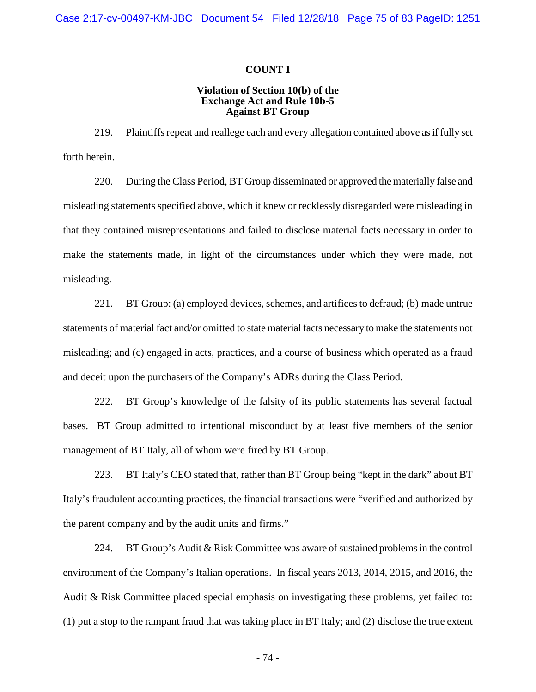# **COUNT I**

# **Violation of Section 10(b) of the Exchange Act and Rule 10b-5 Against BT Group**

219. Plaintiffs repeat and reallege each and every allegation contained above as if fully set forth herein.

220. During the Class Period, BT Group disseminated or approved the materially false and misleading statements specified above, which it knew or recklessly disregarded were misleading in that they contained misrepresentations and failed to disclose material facts necessary in order to make the statements made, in light of the circumstances under which they were made, not misleading.

221. BT Group: (a) employed devices, schemes, and artifices to defraud; (b) made untrue statements of material fact and/or omitted to state material facts necessary to make the statements not misleading; and (c) engaged in acts, practices, and a course of business which operated as a fraud and deceit upon the purchasers of the Company's ADRs during the Class Period.

222. BT Group's knowledge of the falsity of its public statements has several factual bases. BT Group admitted to intentional misconduct by at least five members of the senior management of BT Italy, all of whom were fired by BT Group.

223. BT Italy's CEO stated that, rather than BT Group being "kept in the dark" about BT Italy's fraudulent accounting practices, the financial transactions were "verified and authorized by the parent company and by the audit units and firms."

224. BT Group's Audit & Risk Committee was aware of sustained problems in the control environment of the Company's Italian operations. In fiscal years 2013, 2014, 2015, and 2016, the Audit & Risk Committee placed special emphasis on investigating these problems, yet failed to: (1) put a stop to the rampant fraud that was taking place in BT Italy; and (2) disclose the true extent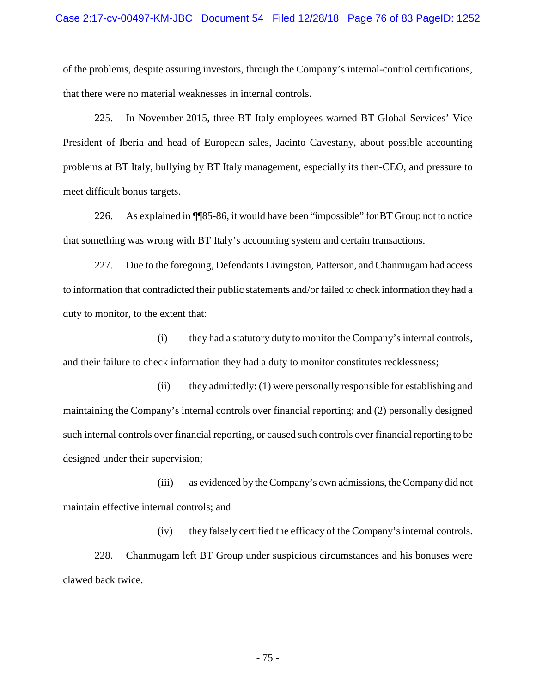of the problems, despite assuring investors, through the Company's internal-control certifications, that there were no material weaknesses in internal controls.

225. In November 2015, three BT Italy employees warned BT Global Services' Vice President of Iberia and head of European sales, Jacinto Cavestany, about possible accounting problems at BT Italy, bullying by BT Italy management, especially its then-CEO, and pressure to meet difficult bonus targets.

226. As explained in ¶¶85-86, it would have been "impossible" for BT Group not to notice that something was wrong with BT Italy's accounting system and certain transactions.

227. Due to the foregoing, Defendants Livingston, Patterson, and Chanmugam had access to information that contradicted their public statements and/or failed to check information they had a duty to monitor, to the extent that:

(i) they had a statutory duty to monitor the Company's internal controls, and their failure to check information they had a duty to monitor constitutes recklessness;

(ii) they admittedly: (1) were personally responsible for establishing and maintaining the Company's internal controls over financial reporting; and (2) personally designed such internal controls over financial reporting, or caused such controls over financial reporting to be designed under their supervision;

(iii) as evidenced by the Company's own admissions, the Company did not maintain effective internal controls; and

(iv) they falsely certified the efficacy of the Company's internal controls. 228. Chanmugam left BT Group under suspicious circumstances and his bonuses were clawed back twice.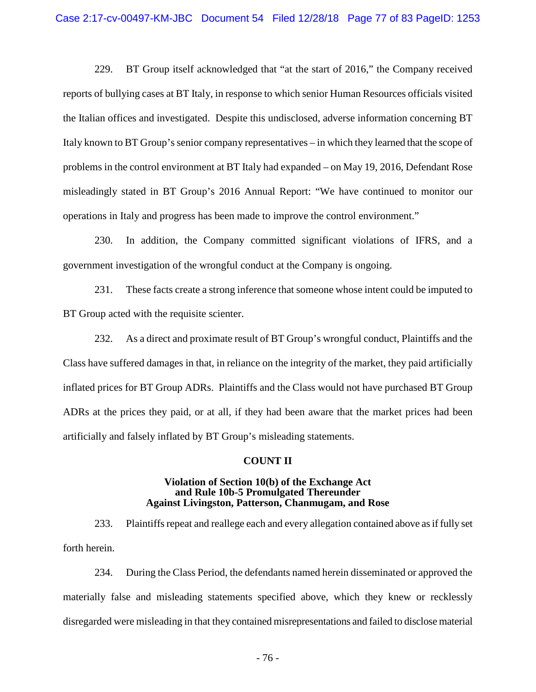229. BT Group itself acknowledged that "at the start of 2016," the Company received reports of bullying cases at BT Italy, in response to which senior Human Resources officials visited the Italian offices and investigated. Despite this undisclosed, adverse information concerning BT Italy known to BT Group's senior company representatives – in which they learned that the scope of problems in the control environment at BT Italy had expanded – on May 19, 2016, Defendant Rose misleadingly stated in BT Group's 2016 Annual Report: "We have continued to monitor our operations in Italy and progress has been made to improve the control environment."

230. In addition, the Company committed significant violations of IFRS, and a government investigation of the wrongful conduct at the Company is ongoing.

231. These facts create a strong inference that someone whose intent could be imputed to BT Group acted with the requisite scienter.

232. As a direct and proximate result of BT Group's wrongful conduct, Plaintiffs and the Class have suffered damages in that, in reliance on the integrity of the market, they paid artificially inflated prices for BT Group ADRs. Plaintiffs and the Class would not have purchased BT Group ADRs at the prices they paid, or at all, if they had been aware that the market prices had been artificially and falsely inflated by BT Group's misleading statements.

# **COUNT II**

# **Violation of Section 10(b) of the Exchange Act and Rule 10b-5 Promulgated Thereunder Against Livingston, Patterson, Chanmugam, and Rose**

233. Plaintiffs repeat and reallege each and every allegation contained above as if fully set forth herein.

234. During the Class Period, the defendants named herein disseminated or approved the materially false and misleading statements specified above, which they knew or recklessly disregarded were misleading in that they contained misrepresentations and failed to disclose material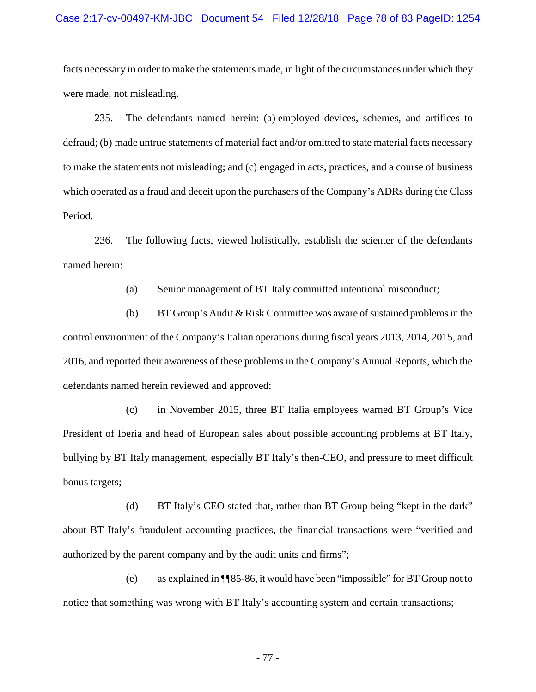# Case 2:17-cv-00497-KM-JBC Document 54 Filed 12/28/18 Page 78 of 83 PageID: 1254

facts necessary in order to make the statements made, in light of the circumstances under which they were made, not misleading.

235. The defendants named herein: (a) employed devices, schemes, and artifices to defraud; (b) made untrue statements of material fact and/or omitted to state material facts necessary to make the statements not misleading; and (c) engaged in acts, practices, and a course of business which operated as a fraud and deceit upon the purchasers of the Company's ADRs during the Class Period.

236. The following facts, viewed holistically, establish the scienter of the defendants named herein:

(a) Senior management of BT Italy committed intentional misconduct;

(b) BT Group's Audit & Risk Committee was aware of sustained problems in the control environment of the Company's Italian operations during fiscal years 2013, 2014, 2015, and 2016, and reported their awareness of these problems in the Company's Annual Reports, which the defendants named herein reviewed and approved;

(c) in November 2015, three BT Italia employees warned BT Group's Vice President of Iberia and head of European sales about possible accounting problems at BT Italy, bullying by BT Italy management, especially BT Italy's then-CEO, and pressure to meet difficult bonus targets;

(d) BT Italy's CEO stated that, rather than BT Group being "kept in the dark" about BT Italy's fraudulent accounting practices, the financial transactions were "verified and authorized by the parent company and by the audit units and firms";

(e) as explained in ¶¶85-86, it would have been "impossible" for BT Group not to notice that something was wrong with BT Italy's accounting system and certain transactions;

- 77 -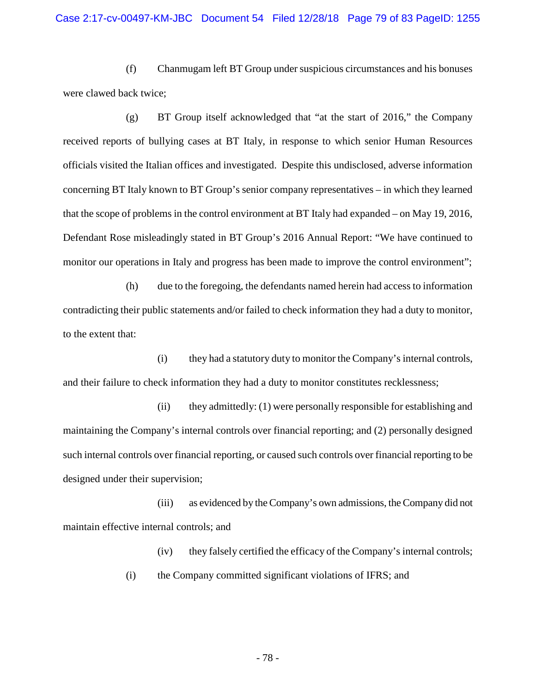(f) Chanmugam left BT Group under suspicious circumstances and his bonuses were clawed back twice;

(g) BT Group itself acknowledged that "at the start of 2016," the Company received reports of bullying cases at BT Italy, in response to which senior Human Resources officials visited the Italian offices and investigated. Despite this undisclosed, adverse information concerning BT Italy known to BT Group's senior company representatives – in which they learned that the scope of problems in the control environment at BT Italy had expanded – on May 19, 2016, Defendant Rose misleadingly stated in BT Group's 2016 Annual Report: "We have continued to monitor our operations in Italy and progress has been made to improve the control environment";

(h) due to the foregoing, the defendants named herein had access to information contradicting their public statements and/or failed to check information they had a duty to monitor, to the extent that:

(i) they had a statutory duty to monitor the Company's internal controls, and their failure to check information they had a duty to monitor constitutes recklessness;

(ii) they admittedly: (1) were personally responsible for establishing and maintaining the Company's internal controls over financial reporting; and (2) personally designed such internal controls over financial reporting, or caused such controls over financial reporting to be designed under their supervision;

(iii) as evidenced by the Company's own admissions, the Company did not maintain effective internal controls; and

(iv) they falsely certified the efficacy of the Company's internal controls;

(i) the Company committed significant violations of IFRS; and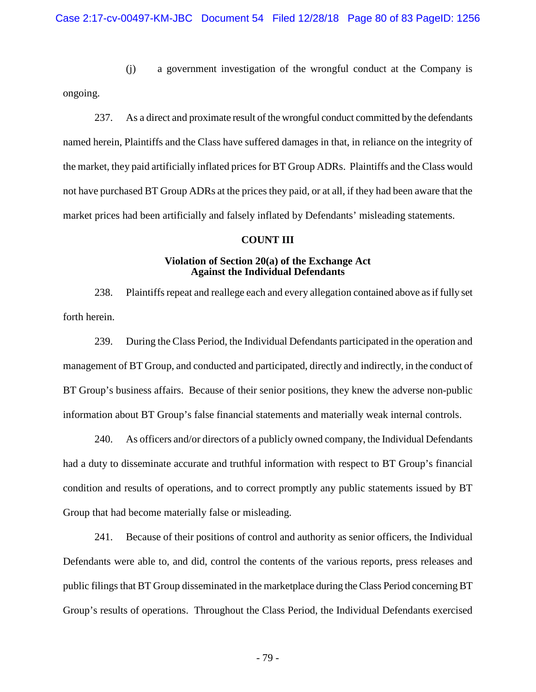(j) a government investigation of the wrongful conduct at the Company is ongoing.

237. As a direct and proximate result of the wrongful conduct committed by the defendants named herein, Plaintiffs and the Class have suffered damages in that, in reliance on the integrity of the market, they paid artificially inflated prices for BT Group ADRs. Plaintiffs and the Class would not have purchased BT Group ADRs at the prices they paid, or at all, if they had been aware that the market prices had been artificially and falsely inflated by Defendants' misleading statements.

# **COUNT III**

# **Violation of Section 20(a) of the Exchange Act Against the Individual Defendants**

238. Plaintiffs repeat and reallege each and every allegation contained above as if fully set forth herein.

239. During the Class Period, the Individual Defendants participated in the operation and management of BT Group, and conducted and participated, directly and indirectly, in the conduct of BT Group's business affairs. Because of their senior positions, they knew the adverse non-public information about BT Group's false financial statements and materially weak internal controls.

240. As officers and/or directors of a publicly owned company, the Individual Defendants had a duty to disseminate accurate and truthful information with respect to BT Group's financial condition and results of operations, and to correct promptly any public statements issued by BT Group that had become materially false or misleading.

241. Because of their positions of control and authority as senior officers, the Individual Defendants were able to, and did, control the contents of the various reports, press releases and public filings that BT Group disseminated in the marketplace during the Class Period concerning BT Group's results of operations. Throughout the Class Period, the Individual Defendants exercised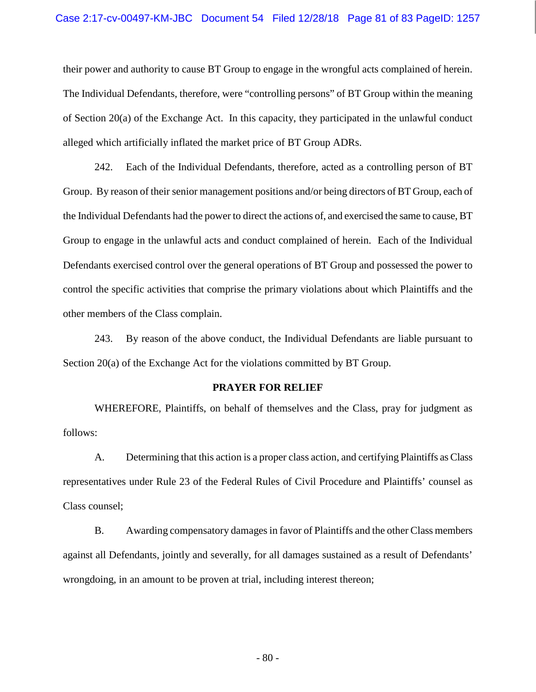# Case 2:17-cv-00497-KM-JBC Document 54 Filed 12/28/18 Page 81 of 83 PageID: 1257

their power and authority to cause BT Group to engage in the wrongful acts complained of herein. The Individual Defendants, therefore, were "controlling persons" of BT Group within the meaning of Section 20(a) of the Exchange Act. In this capacity, they participated in the unlawful conduct alleged which artificially inflated the market price of BT Group ADRs.

242. Each of the Individual Defendants, therefore, acted as a controlling person of BT Group. By reason of their senior management positions and/or being directors of BT Group, each of the Individual Defendants had the power to direct the actions of, and exercised the same to cause, BT Group to engage in the unlawful acts and conduct complained of herein. Each of the Individual Defendants exercised control over the general operations of BT Group and possessed the power to control the specific activities that comprise the primary violations about which Plaintiffs and the other members of the Class complain.

243. By reason of the above conduct, the Individual Defendants are liable pursuant to Section 20(a) of the Exchange Act for the violations committed by BT Group.

# **PRAYER FOR RELIEF**

WHEREFORE, Plaintiffs, on behalf of themselves and the Class, pray for judgment as follows:

A. Determining that this action is a proper class action, and certifying Plaintiffs as Class representatives under Rule 23 of the Federal Rules of Civil Procedure and Plaintiffs' counsel as Class counsel;

B. Awarding compensatory damages in favor of Plaintiffs and the other Class members against all Defendants, jointly and severally, for all damages sustained as a result of Defendants' wrongdoing, in an amount to be proven at trial, including interest thereon;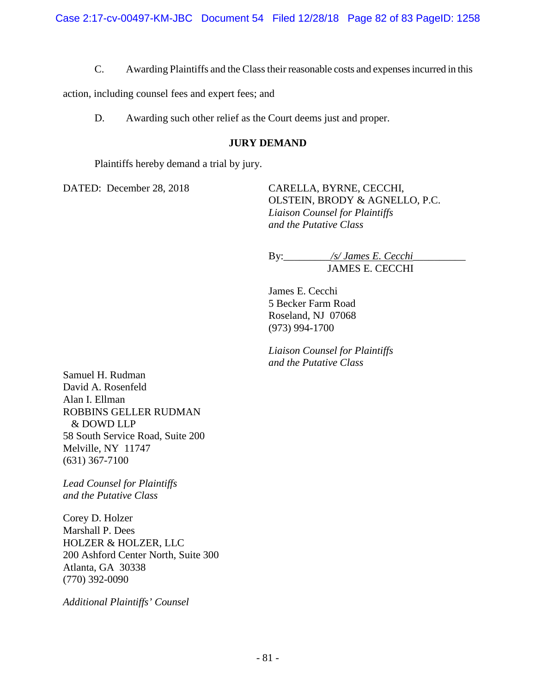C. Awarding Plaintiffs and the Class their reasonable costs and expenses incurred in this

action, including counsel fees and expert fees; and

D. Awarding such other relief as the Court deems just and proper.

# **JURY DEMAND**

Plaintiffs hereby demand a trial by jury.

DATED: December 28, 2018 CARELLA, BYRNE, CECCHI,

OLSTEIN, BRODY & AGNELLO, P.C. *Liaison Counsel for Plaintiffs and the Putative Class*

By:\_\_\_\_\_\_\_\_\_*/s/ James E. Cecchi*\_\_\_\_\_\_\_\_\_\_ JAMES E. CECCHI

James E. Cecchi 5 Becker Farm Road Roseland, NJ 07068 (973) 994-1700

*Liaison Counsel for Plaintiffs and the Putative Class*

Samuel H. Rudman David A. Rosenfeld Alan I. Ellman ROBBINS GELLER RUDMAN & DOWD LLP 58 South Service Road, Suite 200 Melville, NY 11747 (631) 367-7100

*Lead Counsel for Plaintiffs and the Putative Class*

Corey D. Holzer Marshall P. Dees HOLZER & HOLZER, LLC 200 Ashford Center North, Suite 300 Atlanta, GA 30338 (770) 392-0090

*Additional Plaintiffs' Counsel*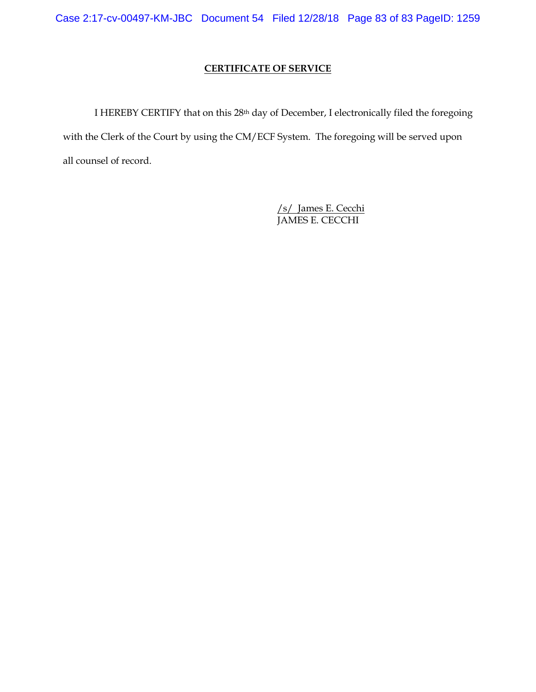# **CERTIFICATE OF SERVICE**

I HEREBY CERTIFY that on this 28th day of December, I electronically filed the foregoing with the Clerk of the Court by using the CM/ECF System. The foregoing will be served upon all counsel of record.

> /s/ James E. Cecchi JAMES E. CECCHI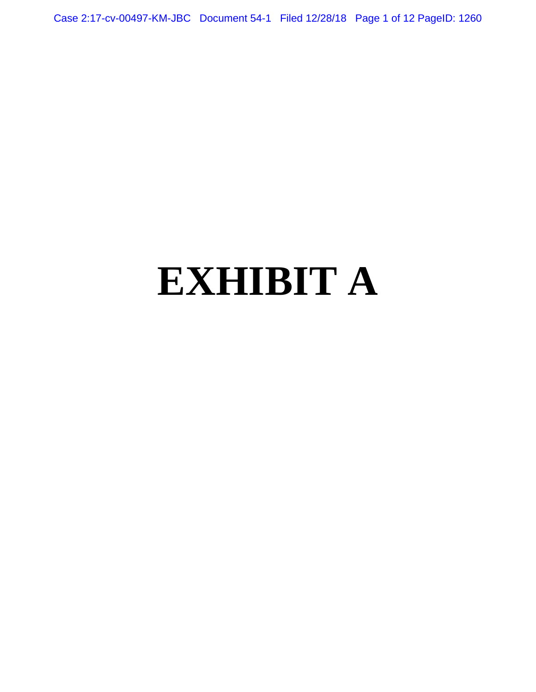Case 2:17-cv-00497-KM-JBC Document 54-1 Filed 12/28/18 Page 1 of 12 PageID: 1260

# **EXHIBIT A**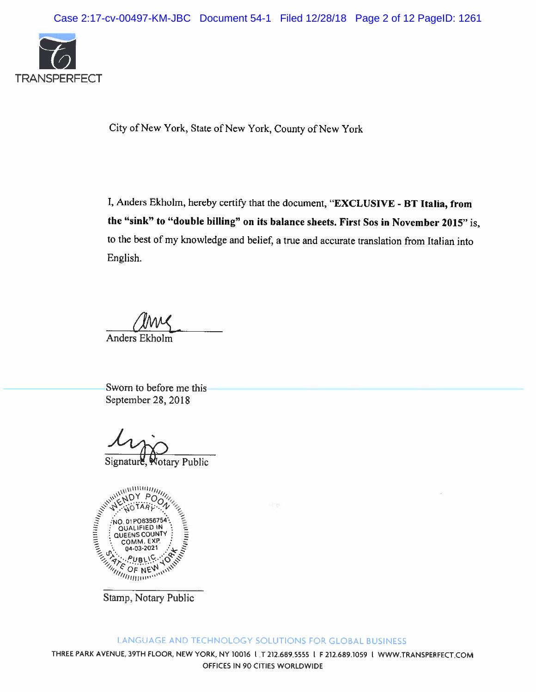

City of New York, State of New York, County of New York

I, Anders Ekholm, hereby certify that the document, **"EXCLUSIVE** - **BT Italia, from the "sink" to "double billing" on its balance sheets. First Sos in November 2015"** is, to the best of my knowledge and belief, a true and accurate translation from Italian into English.

Anders Ekholm ~--

Sworn to before me this September 28, 2018

Jotary Public



Stamp, Notary Public

# LANGUAGE AND TECHNOLOGY SOLUTIONS FOR GLOBAL BUSINESS

THREE PARK AVENUE, 39TH FLOOR, NEW YORK, NY 10016 I T 212.689.5555 I F 212.689.1059 I WWW.TRANSPERFECT.COM OFFICES IN 90 CITIES WORLDWIDE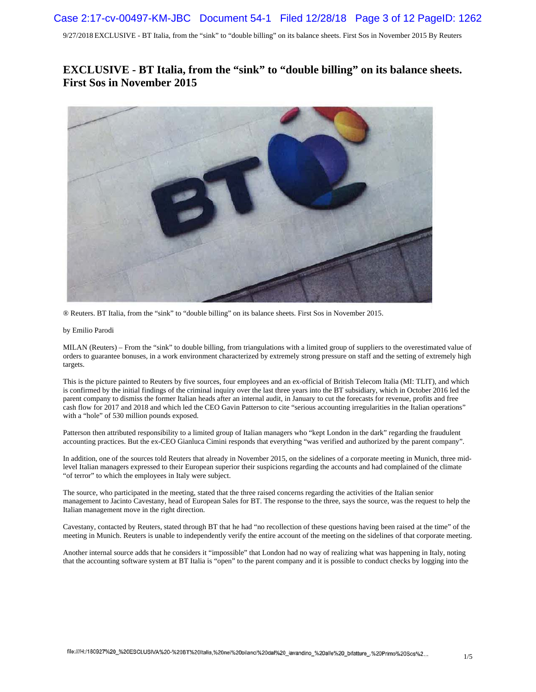# **EXCLUSIVE - BT Italia, from the "sink" to "double billing" on its balance sheets. First Sos in November 2015**



® Reuters. BT Italia, from the "sink" to "double billing" on its balance sheets. First Sos in November 2015.

#### by Emilio Parodi

MILAN (Reuters) – From the "sink" to double billing, from triangulations with a limited group of suppliers to the overestimated value of orders to guarantee bonuses, in a work environment characterized by extremely strong pressure on staff and the setting of extremely high targets.

This is the picture painted to Reuters by five sources, four employees and an ex-official of British Telecom Italia (MI: TLIT), and which is confirmed by the initial findings of the criminal inquiry over the last three years into the BT subsidiary, which in October 2016 led the parent company to dismiss the former Italian heads after an internal audit, in January to cut the forecasts for revenue, profits and free cash flow for 2017 and 2018 and which led the CEO Gavin Patterson to cite "serious accounting irregularities in the Italian operations" with a "hole" of 530 million pounds exposed.

Patterson then attributed responsibility to a limited group of Italian managers who "kept London in the dark" regarding the fraudulent accounting practices. But the ex-CEO Gianluca Cimini responds that everything "was verified and authorized by the parent company".

In addition, one of the sources told Reuters that already in November 2015, on the sidelines of a corporate meeting in Munich, three midlevel Italian managers expressed to their European superior their suspicions regarding the accounts and had complained of the climate "of terror" to which the employees in Italy were subject.

The source, who participated in the meeting, stated that the three raised concerns regarding the activities of the Italian senior management to Jacinto Cavestany, head of European Sales for BT. The response to the three, says the source, was the request to help the Italian management move in the right direction.

Cavestany, contacted by Reuters, stated through BT that he had "no recollection of these questions having been raised at the time" of the meeting in Munich. Reuters is unable to independently verify the entire account of the meeting on the sidelines of that corporate meeting.

Another internal source adds that he considers it "impossible" that London had no way of realizing what was happening in Italy, noting that the accounting software system at BT Italia is "open" to the parent company and it is possible to conduct checks by logging into the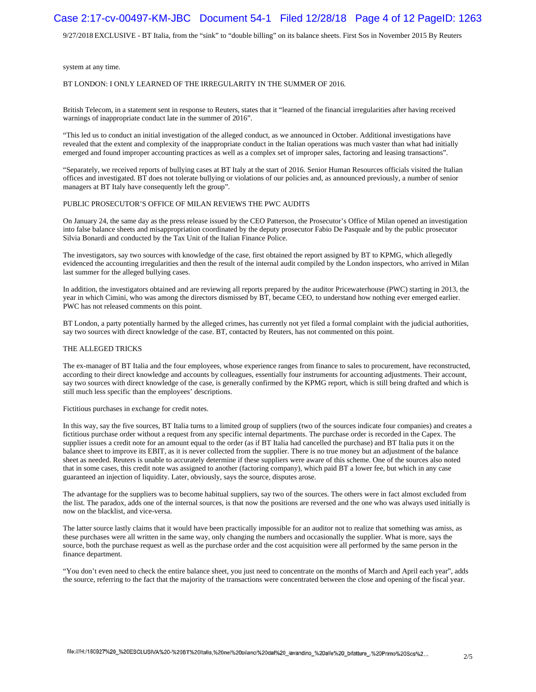# Case 2:17-cv-00497-KM-JBC Document 54-1 Filed 12/28/18 Page 4 of 12 PageID: 1263

9/27/2018 EXCLUSIVE - BT Italia, from the "sink" to "double billing" on its balance sheets. First Sos in November 2015 By Reuters

system at any time.

#### BT LONDON: I ONLY LEARNED OF THE IRREGULARITY IN THE SUMMER OF 2016.

British Telecom, in a statement sent in response to Reuters, states that it "learned of the financial irregularities after having received warnings of inappropriate conduct late in the summer of 2016".

"This led us to conduct an initial investigation of the alleged conduct, as we announced in October. Additional investigations have revealed that the extent and complexity of the inappropriate conduct in the Italian operations was much vaster than what had initially emerged and found improper accounting practices as well as a complex set of improper sales, factoring and leasing transactions".

"Separately, we received reports of bullying cases at BT Italy at the start of 2016. Senior Human Resources officials visited the Italian offices and investigated. BT does not tolerate bullying or violations of our policies and, as announced previously, a number of senior managers at BT Italy have consequently left the group".

#### PUBLIC PROSECUTOR'S OFFICE OF MILAN REVIEWS THE PWC AUDITS

On January 24, the same day as the press release issued by the CEO Patterson, the Prosecutor's Office of Milan opened an investigation into false balance sheets and misappropriation coordinated by the deputy prosecutor Fabio De Pasquale and by the public prosecutor Silvia Bonardi and conducted by the Tax Unit of the Italian Finance Police.

The investigators, say two sources with knowledge of the case, first obtained the report assigned by BT to KPMG, which allegedly evidenced the accounting irregularities and then the result of the internal audit compiled by the London inspectors, who arrived in Milan last summer for the alleged bullying cases.

In addition, the investigators obtained and are reviewing all reports prepared by the auditor Pricewaterhouse (PWC) starting in 2013, the year in which Cimini, who was among the directors dismissed by BT, became CEO, to understand how nothing ever emerged earlier. PWC has not released comments on this point.

BT London, a party potentially harmed by the alleged crimes, has currently not yet filed a formal complaint with the judicial authorities, say two sources with direct knowledge of the case. BT, contacted by Reuters, has not commented on this point.

#### THE ALLEGED TRICKS

The ex-manager of BT Italia and the four employees, whose experience ranges from finance to sales to procurement, have reconstructed, according to their direct knowledge and accounts by colleagues, essentially four instruments for accounting adjustments. Their account, say two sources with direct knowledge of the case, is generally confirmed by the KPMG report, which is still being drafted and which is still much less specific than the employees' descriptions.

Fictitious purchases in exchange for credit notes.

In this way, say the five sources, BT Italia turns to a limited group of suppliers (two of the sources indicate four companies) and creates a fictitious purchase order without a request from any specific internal departments. The purchase order is recorded in the Capex. The supplier issues a credit note for an amount equal to the order (as if BT Italia had cancelled the purchase) and BT Italia puts it on the balance sheet to improve its EBIT, as it is never collected from the supplier. There is no true money but an adjustment of the balance sheet as needed. Reuters is unable to accurately determine if these suppliers were aware of this scheme. One of the sources also noted that in some cases, this credit note was assigned to another (factoring company), which paid BT a lower fee, but which in any case guaranteed an injection of liquidity. Later, obviously, says the source, disputes arose.

The advantage for the suppliers was to become habitual suppliers, say two of the sources. The others were in fact almost excluded from the list. The paradox, adds one of the internal sources, is that now the positions are reversed and the one who was always used initially is now on the blacklist, and vice-versa.

The latter source lastly claims that it would have been practically impossible for an auditor not to realize that something was amiss, as these purchases were all written in the same way, only changing the numbers and occasionally the supplier. What is more, says the source, both the purchase request as well as the purchase order and the cost acquisition were all performed by the same person in the finance department.

"You don't even need to check the entire balance sheet, you just need to concentrate on the months of March and April each year", adds the source, referring to the fact that the majority of the transactions were concentrated between the close and opening of the fiscal year.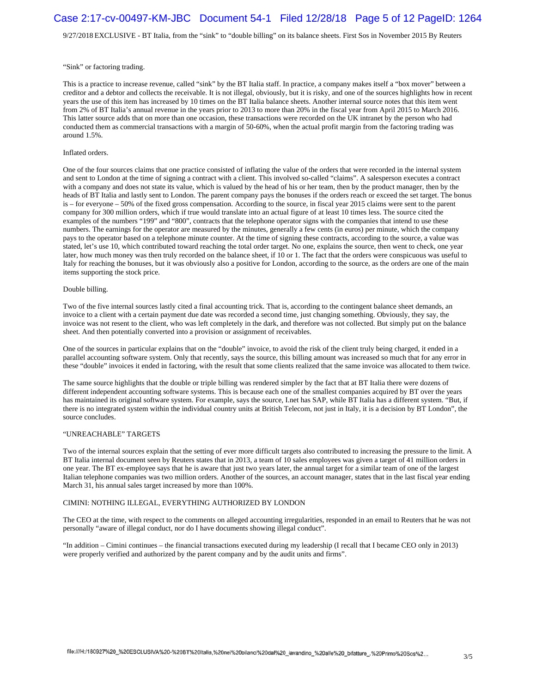# Case 2:17-cv-00497-KM-JBC Document 54-1 Filed 12/28/18 Page 5 of 12 PageID: 1264

9/27/2018 EXCLUSIVE - BT Italia, from the "sink" to "double billing" on its balance sheets. First Sos in November 2015 By Reuters

#### "Sink" or factoring trading.

This is a practice to increase revenue, called "sink" by the BT Italia staff. In practice, a company makes itself a "box mover" between a creditor and a debtor and collects the receivable. It is not illegal, obviously, but it is risky, and one of the sources highlights how in recent years the use of this item has increased by 10 times on the BT Italia balance sheets. Another internal source notes that this item went from 2% of BT Italia's annual revenue in the years prior to 2013 to more than 20% in the fiscal year from April 2015 to March 2016. This latter source adds that on more than one occasion, these transactions were recorded on the UK intranet by the person who had conducted them as commercial transactions with a margin of 50-60%, when the actual profit margin from the factoring trading was around 1.5%.

#### Inflated orders.

One of the four sources claims that one practice consisted of inflating the value of the orders that were recorded in the internal system and sent to London at the time of signing a contract with a client. This involved so-called "claims". A salesperson executes a contract with a company and does not state its value, which is valued by the head of his or her team, then by the product manager, then by the heads of BT Italia and lastly sent to London. The parent company pays the bonuses if the orders reach or exceed the set target. The bonus is – for everyone – 50% of the fixed gross compensation. According to the source, in fiscal year 2015 claims were sent to the parent company for 300 million orders, which if true would translate into an actual figure of at least 10 times less. The source cited the examples of the numbers "199" and "800", contracts that the telephone operator signs with the companies that intend to use these numbers. The earnings for the operator are measured by the minutes, generally a few cents (in euros) per minute, which the company pays to the operator based on a telephone minute counter. At the time of signing these contracts, according to the source, a value was stated, let's use 10, which contributed toward reaching the total order target. No one, explains the source, then went to check, one year later, how much money was then truly recorded on the balance sheet, if 10 or 1. The fact that the orders were conspicuous was useful to Italy for reaching the bonuses, but it was obviously also a positive for London, according to the source, as the orders are one of the main items supporting the stock price.

#### Double billing.

Two of the five internal sources lastly cited a final accounting trick. That is, according to the contingent balance sheet demands, an invoice to a client with a certain payment due date was recorded a second time, just changing something. Obviously, they say, the invoice was not resent to the client, who was left completely in the dark, and therefore was not collected. But simply put on the balance sheet. And then potentially converted into a provision or assignment of receivables.

One of the sources in particular explains that on the "double" invoice, to avoid the risk of the client truly being charged, it ended in a parallel accounting software system. Only that recently, says the source, this billing amount was increased so much that for any error in these "double" invoices it ended in factoring, with the result that some clients realized that the same invoice was allocated to them twice.

The same source highlights that the double or triple billing was rendered simpler by the fact that at BT Italia there were dozens of different independent accounting software systems. This is because each one of the smallest companies acquired by BT over the years has maintained its original software system. For example, says the source, I.net has SAP, while BT Italia has a different system. "But, if there is no integrated system within the individual country units at British Telecom, not just in Italy, it is a decision by BT London", the source concludes.

#### "UNREACHABLE" TARGETS

Two of the internal sources explain that the setting of ever more difficult targets also contributed to increasing the pressure to the limit. A BT Italia internal document seen by Reuters states that in 2013, a team of 10 sales employees was given a target of 41 million orders in one year. The BT ex-employee says that he is aware that just two years later, the annual target for a similar team of one of the largest Italian telephone companies was two million orders. Another of the sources, an account manager, states that in the last fiscal year ending March 31, his annual sales target increased by more than 100%.

#### CIMINI: NOTHING ILLEGAL, EVERYTHING AUTHORIZED BY LONDON

The CEO at the time, with respect to the comments on alleged accounting irregularities, responded in an email to Reuters that he was not personally "aware of illegal conduct, nor do I have documents showing illegal conduct".

"In addition – Cimini continues – the financial transactions executed during my leadership (I recall that I became CEO only in 2013) were properly verified and authorized by the parent company and by the audit units and firms".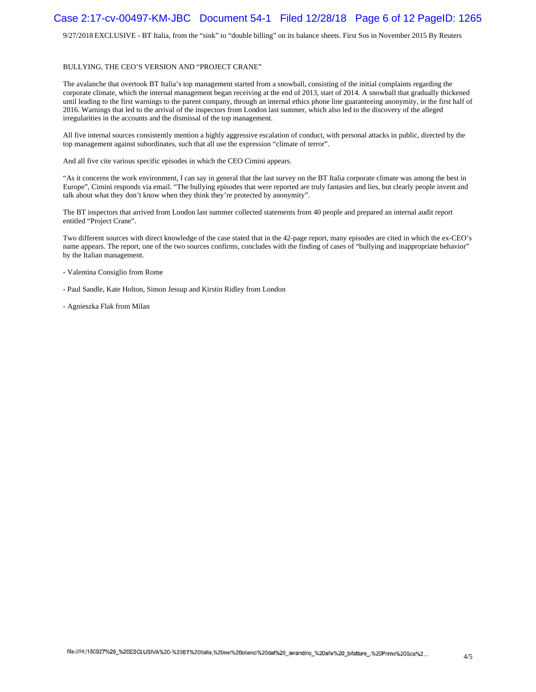# Case 2:17-cv-00497-KM-JBC Document 54-1 Filed 12/28/18 Page 6 of 12 PageID: 1265

9/27/2018 EXCLUSIVE - BT Italia, from the "sink" to "double billing" on its balance sheets. First Sos in November 2015 By Reuters

#### BULLYING, THE CEO'S VERSION AND "PROJECT CRANE"

The avalanche that overtook BT Italia's top management started from a snowball, consisting of the initial complaints regarding the corporate climate, which the internal management began receiving at the end of 2013, start of 2014. A snowball that gradually thickened until leading to the first warnings to the parent company, through an internal ethics phone line guaranteeing anonymity, in the first half of 2016. Warnings that led to the arrival of the inspectors from London last summer, which also led to the discovery of the alleged irregularities in the accounts and the dismissal of the top management.

All five internal sources consistently mention a highly aggressive escalation of conduct, with personal attacks in public, directed by the top management against subordinates, such that all use the expression "climate of terror".

And all five cite various specific episodes in which the CEO Cimini appears.

"As it concerns the work environment, I can say in general that the last survey on the BT Italia corporate climate was among the best in Europe", Cimini responds via email. "The bullying episodes that were reported are truly fantasies and lies, but clearly people invent and talk about what they don't know when they think they're protected by anonymity".

The BT inspectors that arrived from London last summer collected statements from 40 people and prepared an internal audit report entitled "Project Crane".

Two different sources with direct knowledge of the case stated that in the 42-page report, many episodes are cited in which the ex-CEO's name appears. The report, one of the two sources confirms, concludes with the finding of cases of "bullying and inappropriate behavior" by the Italian management.

- Valentina Consiglio from Rome
- Paul Sandle, Kate Holton, Simon Jessup and Kirstin Ridley from London
- Agnieszka Flak from Milan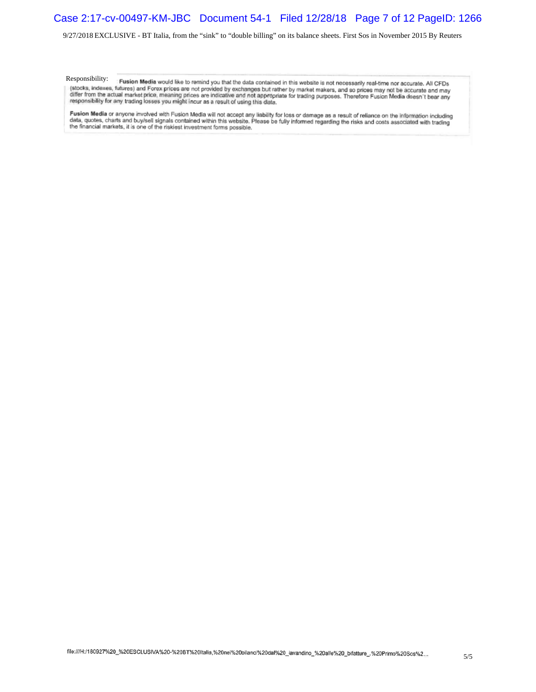# Case 2:17-cv-00497-KM-JBC Document 54-1 Filed 12/28/18 Page 7 of 12 PageID: 1266

9/27/2018 EXCLUSIVE - BT Italia, from the "sink" to "double billing" on its balance sheets. First Sos in November 2015 By Reuters

Responsibility: Fusion Media would like to remind you that the data contained in this website is not necessarily real-time nor accurate. All CFDs<br>(stocks, indexes, futures) and Forex prices are not provided by exchanges bu Fusion Media would like to remind you that the data contained in this website is not necessarily real-time nor accurate. All CFDs

Fusion Media or anyone involved with Fusion Media will not accept any liability for loss or damage as a result of reliance on the information including<br>data, quotes, charts and buy/sell signals contained within this websit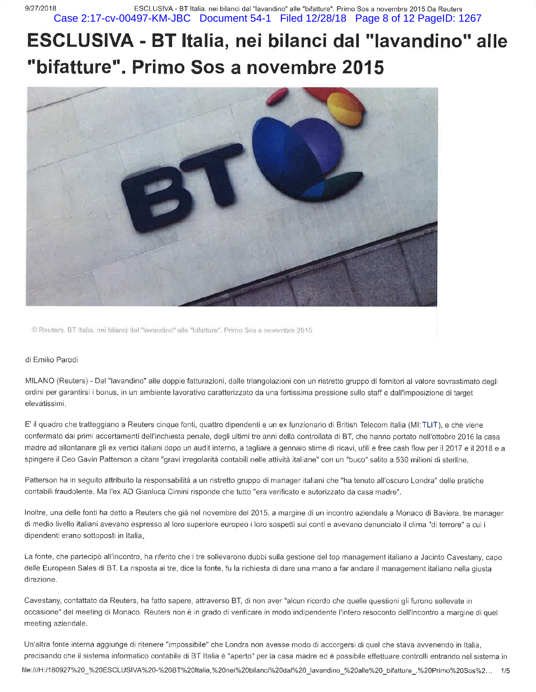# **ESCLUSIVA - BT Italia, nei bilanci dal "lavandino" alle "bifatture". Primo Sos a novembre 2015**



C Reuters, BT Italia, nei blianci dal "lavandino" alle "bifatture". Primo Sos a novembre 2015

#### di Emilio Parodi

MILANO (Reuters) - Dal "Javandino" alle doppie fatturazioni, dalle triangolazioni con un ristretto gruppo di fornitori al valore sovrastimato degli ordini per garantirsi i bonus, in un ambiente lavorativo caratterizzato da una fortissima pressione sullo staff e dall'imposizione di target elevatissimi.

E' ii quadro che tratteggiano a Reuters cinque fonti, quattro dipendenti e un ex funzionario di British Telecom Italia (Ml: TLIT), e che viene confermato dai primi accertamenti dell'inchiesta penale, degli ultimi tre anni della controllata di BT, che hanno portato nell'ottobre 2016 la casa madre ad allontanare gli ex vertici italiani dopo un audit interno, a tagliare a gennaio stime di ricavi, utili e free cash flow per il 2017 e il 2018 e a spingere ii Ceo Gavin Patterson a citare "gravi irregolarita contabili nelle attivita italiane" con un "buco" salito a 530 milioni di sterline.

Patterson ha in seguito attribuito la responsabilità a un ristretto gruppo di manager italiani che "ha tenuto all'oscuro Londra" delle pratiche contabili fraudolente. Ma l'ex AD Gianluca Cimini risponde che tutto "era verificato e autorizzato da casa madre".

Inoltre, una delle fonti ha detto a Reuters che già nel novembre del 2015, a margine di un incontro aziendale a Monaco di Baviera, tre manager di medic livello italiani avevano espresso al Joro superiore europeo i loro sospetti sui conti e avevano denunciato ii clima "di terrore" a cui i dipendenti erano sottoposti in Italia.

La fonte, che partecipo all'incontro, ha riferito che i tre sollevarono dubbi sulla gestione del top management italiano a Jacinto Cavestany, capo delle European Sales di BT. La risposta ai tre, dice la fonte, fu la richiesta di dare una mano a far andare il management italiano nella giusta direzione.

Cavestany, contattato da Reuters, ha fatto sapere, attraverso BT, di non aver "alcun ricordo che quelle questioni gli furono sollevate in occasione" del meeting di Monaco. Reuters non e in grado di verificare in modo indipendente l'intero resoconto dell'incontro a margine di quel meeting aziendale.

Un'altra fonte interna aggiunge di ritenere "impossibile" che Londra non avesse modo di accorgersi di quel che stava avvenendo in Italia, precisando che ii sistema informatico contabile di BT Italia e "aperto" per la casa madre ed e possibile effettuare controlli entrando nel sistema in file:///H :/180927%20 \_ %20ESCLUS1VA %20-%20BT%201talia, %20nei%20bilanci%20dal%20\_1avandino\_ %20alle%20\_bifatture\_. %20Primo%20Sos%2.. 1 /5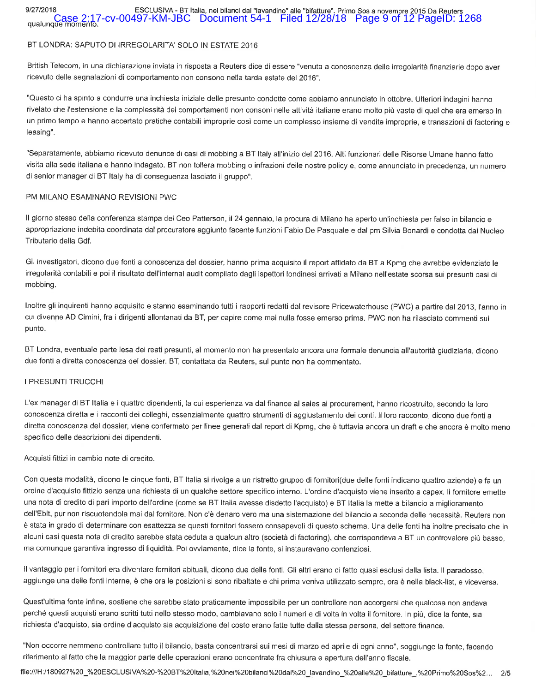9/27/2018 ESCLUSIVA - BT Italia, nei bilanci dal "lavandino" alle "bifatture". Primo Sos a novembre 2015 Da Reuters qualunque momento.<br>qualunque momento.<br>

# BT LONDRA: SAPUTO DI IRREGOLARITA' SOLO IN ESTATE 2016

British Telecom, in una dichiarazione inviata in risposta a Reuters dice di essere "venuta a conoscenza delle irregolarità finanziarie dopo aver ricevuto delle segnalazioni di comportamento non consono nella tarda estate del 2016".

"Questo ci ha spinto a condurre una inchiesta iniziale delle presunte condotte come abbiamo annunciato in ottobre. Ulteriori indagini hanno rivelato che l'estensione e la complessita dei comportamenti non consoni nelle attivita italiane erano molto piu vaste di quel che era emerso in un primo tempo e hanno accertato pratiche contabili improprie cosi come un complesso insieme di vendite improprie, e transazioni di factoring e leasing".

"Separatamente, abbiamo ricevuto denunce di casi di mobbing a BT Italy all'inizio del 2016. Alli funzionari delle Risorse Umane hanno fatto visita alla sede italiana e hanno indagato. BT non tollera mobbing o infrazioni delle nostre policy e, come annunciato in precedenza, un numero di senior manager di BT Italy ha di conseguenza lasciato ii gruppo".

### PM MILANO ESAMINANO REVISION! PWC

II giorno stesso della conferenza stampa del Ceo Patterson, ii 24 gennaio, la procura di Milano ha aperto un'inchiesta per falso in bilancio e appropriazione indebita coordinata dal procuratore aggiunto facente funzioni Fabio De Pasquale e dal pm Silvia Bonardi e condotta dal Nucleo Tributario della Gdf.

Gli investigatori, dicono due fonti a conoscenza del dossier, hanno prima acquisito ii report affidato da BT a Kpmg che avrebbe evidenziato le irregolarità contabili e poi il risultato dell'internal audit compilato dagli ispettori londinesi arrivati a Milano nell'estate scorsa sui presunti casi di mobbing.

lnoltre gli inquirenti hanno acquisito e stanno esaminando tutti i rapporti redatti dal revisore Pricewaterhouse (PWC) a partire dal 2013, l'anno in cui divenne AD Cimini, fra i dirigenti allontanati da BT, per capire come mai nulla fosse emerso prima. PWC non ha rilasciato commenti sul punto.

BT Londra, eventuale parte lesa dei reati presunti, al momento non ha presentato ancora una formale denuncia all'autorità giudiziaria, dicono due fonti a diretta conoscenza del dossier. BT, contattata da Reuters, sul punto non ha commentato.

#### I PRESUNTI TRUCCHI

L'ex manager di BT Italia e i quattro dipendenti, la cui esperienza va dal finance al sales al procurement. hanno ricostruito, secondo la loro conoscenza diretta e i racconti dei colleghi, essenzialmente quattro strumenti di aggiustamento dei conti. 11 loro racconto, dicono due fonti a diretta conoscenza del dossier, viene confermato per linee generali dal report di Kpmg, che è tuttavia ancora un draft e che ancora è molto meno specifico delle descrizioni dei dipendenti.

#### Acquisti fittizi in cambio note di credito.

Con questa modalita, dicono le cinque fonti, BT Italia si rivolge a un ristretto gruppo di fornitori(due delle fonti indicano quattro aziende) e faun ordine d'acquisto fittizio senza una richiesta di un qualche settore specifico interno. L'ordine d'acquisto viene inserito a capex. II fornitore emette una nota di credito di pari importo dell'ordine (come se BT Italia avesse disdetto l'acquisto) e BT Italia la mette a bilancio a miglioramento dell'Ebit, pur non riscuotendola mai dal fornitore. Non c'e denaro vero ma una sistemazione del bilancio a seconda delle necessita. Reuters non e stata in grado di determinare con esattezza se questi fornitori fossero consapevoli di questo schema. Una delle fonti ha inoltre precisato che in alcuni casi questa nota di credito sarebbe stata ceduta a qualcun altro (società di factoring), che corrispondeva a BT un controvalore più basso, ma comunque garantiva ingresso di liquidita. Poi ovviamente, dice la fonte, si instauravano contenziosi.

II vantaggio per i fornitori era diventare fornitori abituali, dicono due delle fonti. Gli altri erano di fatto quasi esclusi dalla lista. II paradosso, aggiunge una delle fonti interne, è che ora le posizioni si sono ribaltate e chi prima veniva utilizzato sempre, ora è nella black-list, e viceversa.

Quest'ultima fonte infine, sostiene che sarebbe stato praticamente impossibile per un controllore non accorgersi che qualcosa non andava perché questi acquisti erano scritti tutti nello stesso modo, cambiavano solo i numeri e di volta in volta il fornitore. In più, dice la fonte, sia richiesta d'acquisto, sia ordine d'acquisto sia acquisizione del costo erano fatte tutte dalla stessa persona, del settore finance.

"Non occorre nemmeno controllare tutto ii bilancio, basta concentrarsi sui mesi di marzo ed aprile di ogni anno", soggiunge la fonte, facendo riferimento al fatto che la maggior parte delle operazioni erano concentrate fra chiusura e apertura dell'anno fiscale.

file:///H :/180927%20 \_ %20ESCLUS1VA %20-%20BT%20lta1ia, %20nei%20bilanci%20dal%20 \_lavandino\_ %20alle%20 \_bifatture \_. %20Primo%20Sos%2. . . 2/5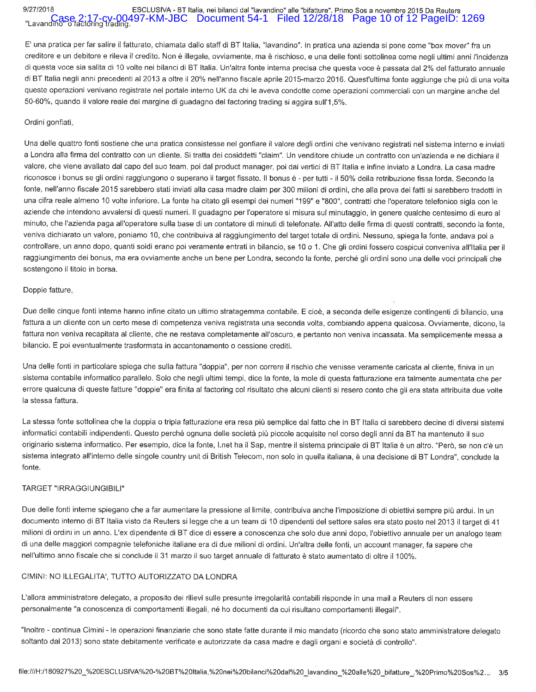# 9/27/2018 ESCLUSIVA - BT Italia, nei bilanci dal "lavandino" alle "bifatture". Primo Sos a novembre 2015 Da Reuters "Lavandino" o factoring trading.<br>"Lavandino" o factoring trading.

E' una pratica per far salire ii fatturato, chiamata dallo staff di BT Italia, "lavandino". In pratica una azienda si pone come "box mover" fra un creditore e un debitore e rileva il credito. Non è illegale, ovviamente, ma è rischioso, e una delle fonti sottolinea come negli ultimi anni l'incidenza di questa voce sia salita di 10 volte nei bilanci di BT Italia. Un'altra fonte interna precisa che questa voce è passata dal 2% del fatturato annuale di BT Italia negli anni precedenti al 2013 a oltre ii 20% nell'anno fiscale aprile 2015-marzo 2016. Quest'ultima fonte aggiunge che piu di una volta queste operazioni venivano registrate nel portale interno UK da chi le aveva condotte come operazioni commerciali con un margine anche del 50-60%, quando ii valore reale del margine di guadagno del factoring trading si aggira sull'1,5%.

#### Ordini gonfiati.

Una delle quattro fonti sostiene che una pratica consistesse nel gonfiare ii valore degli ordini che venivano registrati nel sistema interno e inviati a Londra alla firma del contralto con un cliente. Si tratta dei cosiddetti "claim". Un venditore chiude un contralto con un'azienda e ne dichiara ii valore, che viene avallato dal capo del suo team, poi dal product manager, poi dai vertici di BT Italia e infine inviato a Londra. La casa madre riconosce i bonus se gli ordini raggiungono o superano il target fissato. Il bonus è - per tutti - il 50% della retribuzione fissa lorda. Secondo la fonte, nell'anno fiscale 2015 sarebbero stati inviati alla casa madre claim per 300 milioni di ordini, che alla prova dei fatti si sarebbero tradotti in una cifra reale almeno 10 volte inferiore. La fonte ha citato gli esempi dei numeri "199" e "800", contratti che l'operatore telefonico sigla con le aziende che intendono avvalersi di questi numeri. II guadagno per l'operatore si misura sul minutaggio, in genere qualche centesimo di euro al minute, che l'azienda paga all'operatore sulla base di un contatore di minuti di telefonate. All'atto delle firma di questi contratti, secondo la fonte, veniva dichiarato un valore, poniamo 10, che contribuiva al raggiungimento del target totale di ordini. Nessuno, spiega la fonte, andava poi a controllare, un anno dopo, quanti soldi erano poi veramente entrati in bilancio, se 10 o 1. Che gli ordini fossero cospicui conveniva all'Italia per il raggiungimento dei bonus, ma era ovviamente anche un bene per Londra, secondo la fonte, perché gli ordini sono una delle voci principali che sostengono il titolo in borsa.

#### Doppie fatture.

Due delle cinque fonti interne hanno infine citato un ultimo stratagemma cantabile. E cioe, a seconda delle esigenze contingenti di bilancio, una fattura a un cliente con un certo mese di competenza veniva registrata una seconda volta, combiando appena qualcosa. Ovviamente, dicono, la fattura non veniva recapitata al cliente, che ne restava completamente all'oscuro, e pertanto non veniva incassata. Ma semplicemente messa a bilancio. E poi eventualmente trasformata in accantonamento o cessione crediti.

Una delle fonti in particolare spiega che sulla fattura "doppia", per non correre ii rischio che venisse veramente caricata al cliente, finiva in un sistema cantabile informatico parallelo. Solo che negli ultimi tempi, dice la fonte, la mole di questa fatturazione era talmente aumentata che per errore qualcuna di queste fatture "doppie" era finita al factoring col risultato che alcuni clienti si resero conto che gli era stata attribuita due volte la stessa fattura.

La stessa fonte sottolinea che la doppia o tripla fatturazione era resa più semplice dal fatto che in BT Italia ci sarebbero decine di diversi sistemi informatici contabili indipendenti. Questo perche ognuna delle societa piu piccole acquisite nel corso degli anni da BT ha mantenuto ii suo originario sistema informatico. Per esempio, dice la fonte, I.net ha ii Sap, mentre ii sistema principale di BT Italia e un altro. "Pero, se non c'e un sistema integrato all'interno delle singole country unit di British Telecom, non solo in quella italiana, e una decisione di BT Londra", conclude la fonte.

#### TARGET "IRRAGGIUNGIBILI"

Due delle fonti interne spiegano che a far aumentare la pressione al limite, contribuiva anche l'imposizione di obiettivi sempre più ardui. In un documento interno di BT Italia visto da Reuters si legge che a un team di 10 dipendenti del settore sales era stato posto nel 2013 il target di 41 milioni di ordini in un anno. L'ex dipendente di BT dice di essere a conoscenza che solo due anni dopa, l'obiettivo annuale per un analogo team di una delle maggiori compagnie telefoniche italiane era di due milioni di ordini. Un'altra delle fonti, un account manager, fa sapere che nell'ultimo anno fiscale che si conclude ii 31 marzo ii suo target annuale di fatturato e stato aumentato di oltre ii 100%.

#### CIMINI: NO ILLEGALITA', TUTTO AUTORIZZATO DA LONDRA

L'allora amministratore delegato, a proposito dei rilievi sulle presunte irregolarita contabili risponde in una mail a Reuters di non essere personalmente "a conoscenza di comportamenti illegali, né ho documenti da cui risultano comportamenti illegali".

"Inoltre - continua Cimini - le operazioni finanziarie che sono state fatte durante il mio mandato (ricordo che sono stato amministratore delegato soltanto dal 2013) sono state debitamente verificate e autorizzate da casa madre e dagli organi e societa di controllo".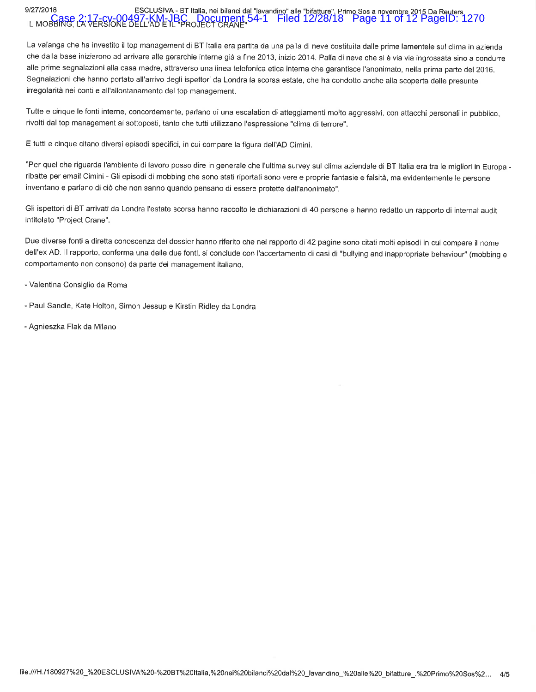# 9/27/2018 ESCLUSIVA- BT Italia, nei bilanci dal "lavandino" alle "bifatture". Primo Sos a novembre 2015 Da Reuters L MOBBING, LA VERSIONE DELL'ADE IL "PROJECT CRANE" 54-1 Filed 12/28/18 Page 11 of 12 PageID: 1270

La valanga che ha investito ii top management di BT Italia era partita da una palla di neve costituita dalle prime lamentele sul clima in azienda che dalla base iniziarono ad arrivare alle gerarchie interne già a fine 2013, inizio 2014. Palla di neve che si è via via ingrossata sino a condurre alle prime segnalazioni alla casa madre, attraverso una linea telefonica etica interna che garantisce l'anonimato, nella prima parte del 2016. Segnalazioni che hanno portato all'arrivo degli ispettori da Londra la scorsa estate, che ha condotto anche alla scoperta delle presunte irregolarita nei conti e all'allontanamento del top management.

Tutte e cinque le fonti interne, concordemente, parlano di una escalation di atteggiamenti molto aggressivi, con attacchi personali in pubblico, rivolti dal top management ai sottoposti, tanto che tutti utilizzano l'espressione "clima di terrore".

E tutti e cinque citano diversi episodi specifici, in cui compare la figura dell'AD Cimini.

"Per quel che riguarda l'ambiente di lavoro posso dire in generale che l'ultima survey sul clima aziendale di BT Italia era tra le migliori in Europa ribatte per email Cimini - Gli episodi di mobbing che sono stati riportati sono vere e proprie fantasie e falsità, ma evidentemente le persone inventano e parlano di cio che non sanno quando pensano di essere protette dall'anonimato".

Gli ispettori di BT arrivati da Londra !'estate scorsa hanno raccolto le dichiarazioni di 40 persone e hanno redatto un rapporto di internal audit intitolato "Project Crane".

Due diverse fonti a diretta conoscenza del dossier hanno riferito che nel rapporto di 42 pagine sono citati molti episodi in cui compare ii nome dell'ex AD. II rapporto, conferma una delle due fonti, si conclude con l'accertamento di casi di "bullying and inappropriate behaviour" (mobbing e comportamento non consono) da parte del management italiano.

- Valentina Consiglio da Roma
- Paul Sandie, Kate Holton, Simon Jessup e Kirstin Ridley da Londra
- Agnieszka Flak da Milano